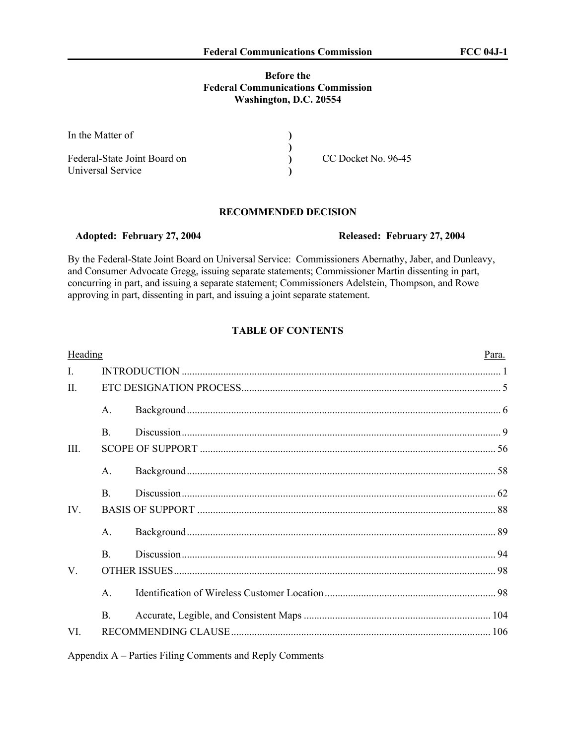# **Before the Federal Communications Commission Washington, D.C. 20554**

| In the Matter of             |                     |  |
|------------------------------|---------------------|--|
|                              |                     |  |
| Federal-State Joint Board on | CC Docket No. 96-45 |  |
| Universal Service            |                     |  |

# **RECOMMENDED DECISION**

By the Federal-State Joint Board on Universal Service: Commissioners Abernathy, Jaber, and Dunleavy, and Consumer Advocate Gregg, issuing separate statements; Commissioner Martin dissenting in part, concurring in part, and issuing a separate statement; Commissioners Adelstein, Thompson, and Rowe approving in part, dissenting in part, and issuing a joint separate statement.

# **TABLE OF CONTENTS**

| Heading      |                |  | Para. |  |  |  |
|--------------|----------------|--|-------|--|--|--|
| $\mathbf{I}$ |                |  |       |  |  |  |
| $\Pi$        |                |  |       |  |  |  |
|              | $\mathsf{A}$ . |  |       |  |  |  |
|              | <sub>B</sub>   |  |       |  |  |  |
| III.         |                |  |       |  |  |  |
|              | $A_{\cdot}$    |  |       |  |  |  |
|              | <sub>B</sub>   |  |       |  |  |  |
| IV.          |                |  |       |  |  |  |
|              | $A_{\cdot}$    |  |       |  |  |  |
|              | $\mathbf{B}$   |  |       |  |  |  |
| V.           |                |  |       |  |  |  |
|              | $\mathsf{A}$   |  |       |  |  |  |
|              | B.             |  |       |  |  |  |
| VI.          |                |  |       |  |  |  |
|              |                |  |       |  |  |  |

Appendix A – Parties Filing Comments and Reply Comments

 **Adopted: February 27, 2004 Released: February 27, 2004**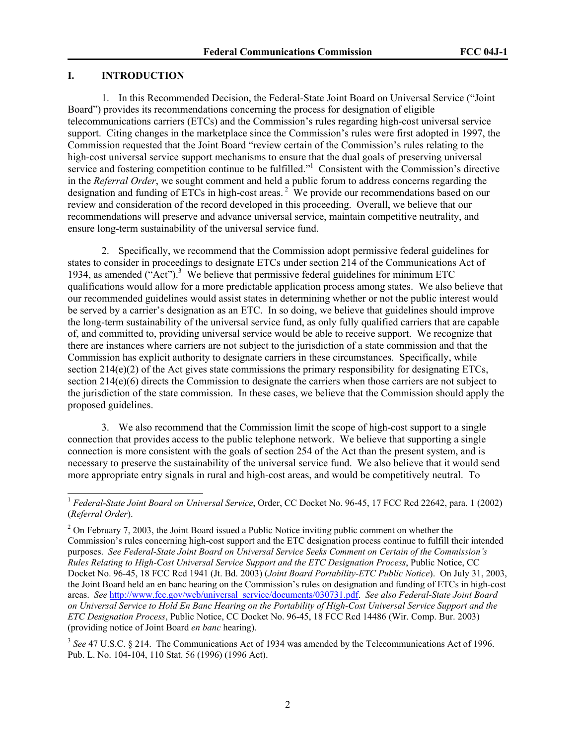## **I. INTRODUCTION**

 $\overline{a}$ 

1. In this Recommended Decision, the Federal-State Joint Board on Universal Service ("Joint Board") provides its recommendations concerning the process for designation of eligible telecommunications carriers (ETCs) and the Commission's rules regarding high-cost universal service support. Citing changes in the marketplace since the Commission's rules were first adopted in 1997, the Commission requested that the Joint Board "review certain of the Commission's rules relating to the high-cost universal service support mechanisms to ensure that the dual goals of preserving universal service and fostering competition continue to be fulfilled."<sup>1</sup> Consistent with the Commission's directive in the *Referral Order*, we sought comment and held a public forum to address concerns regarding the designation and funding of ETCs in high-cost areas.<sup>2</sup> We provide our recommendations based on our review and consideration of the record developed in this proceeding. Overall, we believe that our recommendations will preserve and advance universal service, maintain competitive neutrality, and ensure long-term sustainability of the universal service fund.

2. Specifically, we recommend that the Commission adopt permissive federal guidelines for states to consider in proceedings to designate ETCs under section 214 of the Communications Act of 1934, as amended ("Act").<sup>3</sup> We believe that permissive federal guidelines for minimum ETC qualifications would allow for a more predictable application process among states. We also believe that our recommended guidelines would assist states in determining whether or not the public interest would be served by a carrier's designation as an ETC. In so doing, we believe that guidelines should improve the long-term sustainability of the universal service fund, as only fully qualified carriers that are capable of, and committed to, providing universal service would be able to receive support. We recognize that there are instances where carriers are not subject to the jurisdiction of a state commission and that the Commission has explicit authority to designate carriers in these circumstances. Specifically, while section  $214(e)(2)$  of the Act gives state commissions the primary responsibility for designating ETCs, section 214(e)(6) directs the Commission to designate the carriers when those carriers are not subject to the jurisdiction of the state commission. In these cases, we believe that the Commission should apply the proposed guidelines.

3. We also recommend that the Commission limit the scope of high-cost support to a single connection that provides access to the public telephone network. We believe that supporting a single connection is more consistent with the goals of section 254 of the Act than the present system, and is necessary to preserve the sustainability of the universal service fund. We also believe that it would send more appropriate entry signals in rural and high-cost areas, and would be competitively neutral. To

<sup>1</sup> *Federal-State Joint Board on Universal Service*, Order, CC Docket No. 96-45, 17 FCC Rcd 22642, para. 1 (2002) (*Referral Order*).

 $2^{2}$  On February 7, 2003, the Joint Board issued a Public Notice inviting public comment on whether the Commission's rules concerning high-cost support and the ETC designation process continue to fulfill their intended purposes. *See Federal-State Joint Board on Universal Service Seeks Comment on Certain of the Commission's Rules Relating to High-Cost Universal Service Support and the ETC Designation Process*, Public Notice, CC Docket No. 96-45, 18 FCC Rcd 1941 (Jt. Bd. 2003) (*Joint Board Portability-ETC Public Notice*). On July 31, 2003, the Joint Board held an en banc hearing on the Commission's rules on designation and funding of ETCs in high-cost areas. *See* http://www.fcc.gov/wcb/universal\_service/documents/030731.pdf. *See also Federal-State Joint Board on Universal Service to Hold En Banc Hearing on the Portability of High-Cost Universal Service Support and the ETC Designation Process*, Public Notice, CC Docket No. 96-45, 18 FCC Rcd 14486 (Wir. Comp. Bur. 2003) (providing notice of Joint Board *en banc* hearing).

<sup>&</sup>lt;sup>3</sup> See 47 U.S.C. § 214. The Communications Act of 1934 was amended by the Telecommunications Act of 1996. Pub. L. No. 104-104, 110 Stat. 56 (1996) (1996 Act).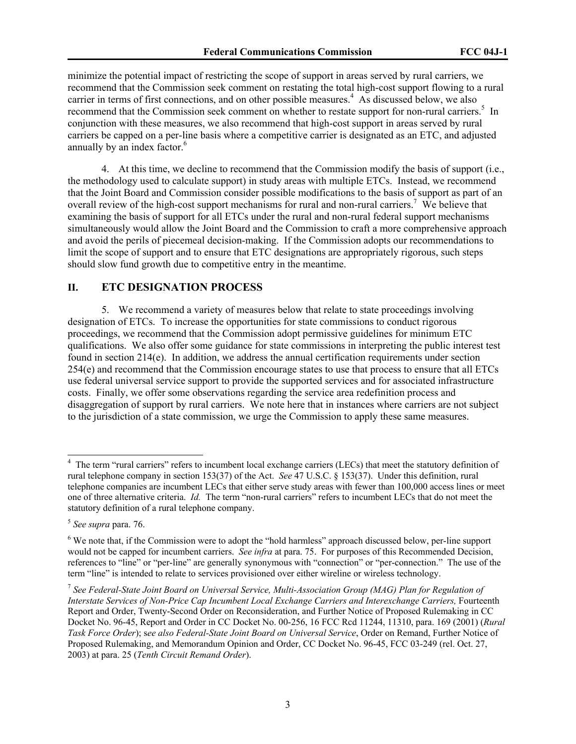minimize the potential impact of restricting the scope of support in areas served by rural carriers, we recommend that the Commission seek comment on restating the total high-cost support flowing to a rural carrier in terms of first connections, and on other possible measures.<sup>4</sup> As discussed below, we also recommend that the Commission seek comment on whether to restate support for non-rural carriers.<sup>5</sup> In conjunction with these measures, we also recommend that high-cost support in areas served by rural carriers be capped on a per-line basis where a competitive carrier is designated as an ETC, and adjusted annually by an index factor. $6$ 

4. At this time, we decline to recommend that the Commission modify the basis of support (i.e., the methodology used to calculate support) in study areas with multiple ETCs. Instead, we recommend that the Joint Board and Commission consider possible modifications to the basis of support as part of an overall review of the high-cost support mechanisms for rural and non-rural carriers.<sup>7</sup> We believe that examining the basis of support for all ETCs under the rural and non-rural federal support mechanisms simultaneously would allow the Joint Board and the Commission to craft a more comprehensive approach and avoid the perils of piecemeal decision-making. If the Commission adopts our recommendations to limit the scope of support and to ensure that ETC designations are appropriately rigorous, such steps should slow fund growth due to competitive entry in the meantime.

### **II. ETC DESIGNATION PROCESS**

5. We recommend a variety of measures below that relate to state proceedings involving designation of ETCs. To increase the opportunities for state commissions to conduct rigorous proceedings, we recommend that the Commission adopt permissive guidelines for minimum ETC qualifications. We also offer some guidance for state commissions in interpreting the public interest test found in section 214(e). In addition, we address the annual certification requirements under section 254(e) and recommend that the Commission encourage states to use that process to ensure that all ETCs use federal universal service support to provide the supported services and for associated infrastructure costs. Finally, we offer some observations regarding the service area redefinition process and disaggregation of support by rural carriers. We note here that in instances where carriers are not subject to the jurisdiction of a state commission, we urge the Commission to apply these same measures.

<sup>&</sup>lt;sup>4</sup> The term "rural carriers" refers to incumbent local exchange carriers (LECs) that meet the statutory definition of rural telephone company in section 153(37) of the Act. *See* 47 U.S.C. § 153(37). Under this definition, rural telephone companies are incumbent LECs that either serve study areas with fewer than 100,000 access lines or meet one of three alternative criteria. *Id.* The term "non-rural carriers" refers to incumbent LECs that do not meet the statutory definition of a rural telephone company.

<sup>5</sup> *See supra* para. 76.

<sup>&</sup>lt;sup>6</sup> We note that, if the Commission were to adopt the "hold harmless" approach discussed below, per-line support would not be capped for incumbent carriers. *See infra* at para. 75. For purposes of this Recommended Decision, references to "line" or "per-line" are generally synonymous with "connection" or "per-connection." The use of the term "line" is intended to relate to services provisioned over either wireline or wireless technology.

<sup>7</sup> *See Federal-State Joint Board on Universal Service, Multi-Association Group (MAG) Plan for Regulation of Interstate Services of Non-Price Cap Incumbent Local Exchange Carriers and Interexchange Carriers,* Fourteenth Report and Order, Twenty-Second Order on Reconsideration, and Further Notice of Proposed Rulemaking in CC Docket No. 96-45, Report and Order in CC Docket No. 00-256, 16 FCC Rcd 11244, 11310, para. 169 (2001) (*Rural Task Force Order*); s*ee also Federal-State Joint Board on Universal Service*, Order on Remand, Further Notice of Proposed Rulemaking, and Memorandum Opinion and Order, CC Docket No. 96-45, FCC 03-249 (rel. Oct. 27, 2003) at para. 25 (*Tenth Circuit Remand Order*).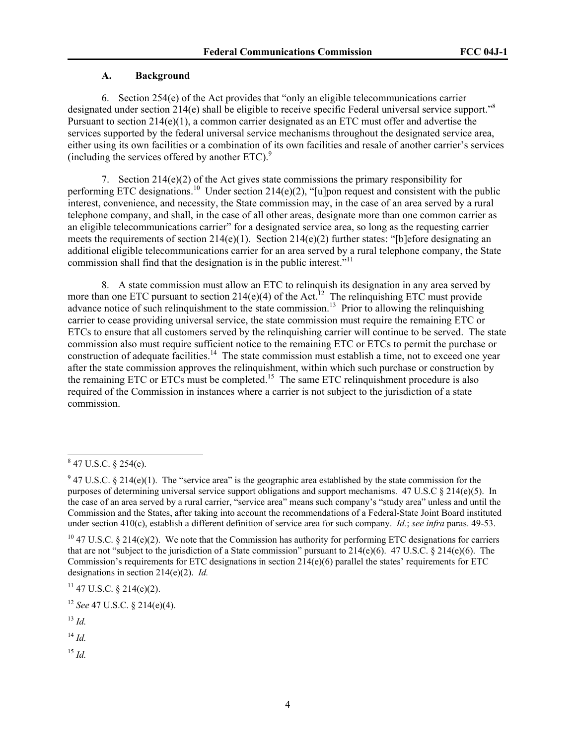# **A. Background**

6. Section 254(e) of the Act provides that "only an eligible telecommunications carrier designated under section 214(e) shall be eligible to receive specific Federal universal service support."<sup>8</sup> Pursuant to section 214(e)(1), a common carrier designated as an ETC must offer and advertise the services supported by the federal universal service mechanisms throughout the designated service area, either using its own facilities or a combination of its own facilities and resale of another carrier's services (including the services offered by another  $ETC$ ).<sup>9</sup>

7. Section 214(e)(2) of the Act gives state commissions the primary responsibility for performing ETC designations.<sup>10</sup> Under section 214(e)(2), "[u]pon request and consistent with the public interest, convenience, and necessity, the State commission may, in the case of an area served by a rural telephone company, and shall, in the case of all other areas, designate more than one common carrier as an eligible telecommunications carrier" for a designated service area, so long as the requesting carrier meets the requirements of section  $214(e)(1)$ . Section  $214(e)(2)$  further states: "[b]efore designating an additional eligible telecommunications carrier for an area served by a rural telephone company, the State commission shall find that the designation is in the public interest."<sup>11</sup>

8. A state commission must allow an ETC to relinquish its designation in any area served by more than one ETC pursuant to section 214(e)(4) of the Act.<sup>12</sup> The relinquishing ETC must provide advance notice of such relinquishment to the state commission.<sup>13</sup> Prior to allowing the relinquishing carrier to cease providing universal service, the state commission must require the remaining ETC or ETCs to ensure that all customers served by the relinquishing carrier will continue to be served. The state commission also must require sufficient notice to the remaining ETC or ETCs to permit the purchase or construction of adequate facilities.<sup>14</sup> The state commission must establish a time, not to exceed one year after the state commission approves the relinquishment, within which such purchase or construction by the remaining ETC or ETCs must be completed.<sup>15</sup> The same ETC relinquishment procedure is also required of the Commission in instances where a carrier is not subject to the jurisdiction of a state commission.

 $11$  47 U.S.C. § 214(e)(2).

<sup>12</sup> *See* 47 U.S.C. § 214(e)(4).

 $^{13}$  *Id.* 

 $\overline{a}$ 

 $^{14}$  *Id.* 

 $^{15}$  *Id.* 

 $847$  U.S.C. § 254(e).

 $9$  47 U.S.C. § 214(e)(1). The "service area" is the geographic area established by the state commission for the purposes of determining universal service support obligations and support mechanisms. 47 U.S.C § 214(e)(5). In the case of an area served by a rural carrier, "service area" means such company's "study area" unless and until the Commission and the States, after taking into account the recommendations of a Federal-State Joint Board instituted under section 410(c), establish a different definition of service area for such company. *Id.*; *see infra* paras. 49-53.

<sup>&</sup>lt;sup>10</sup> 47 U.S.C. § 214(e)(2). We note that the Commission has authority for performing ETC designations for carriers that are not "subject to the jurisdiction of a State commission" pursuant to 214(e)(6). 47 U.S.C. § 214(e)(6). The Commission's requirements for ETC designations in section 214(e)(6) parallel the states' requirements for ETC designations in section 214(e)(2). *Id.*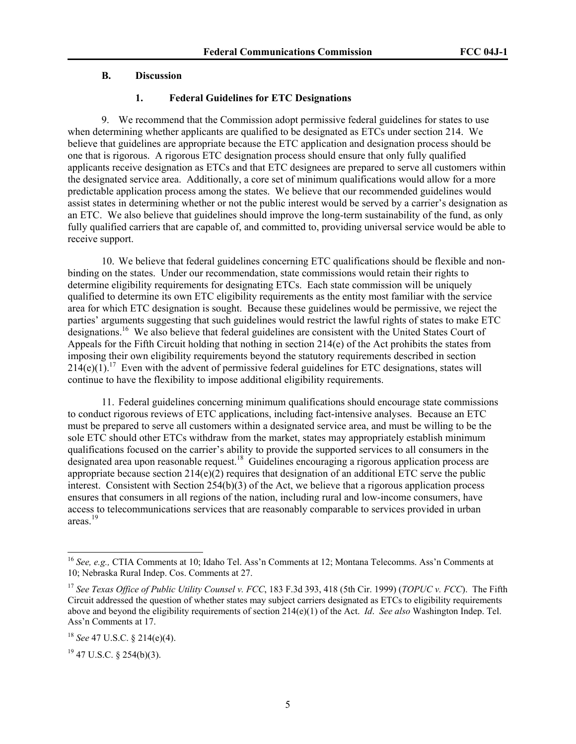# **B. Discussion**

# **1. Federal Guidelines for ETC Designations**

9. We recommend that the Commission adopt permissive federal guidelines for states to use when determining whether applicants are qualified to be designated as ETCs under section 214. We believe that guidelines are appropriate because the ETC application and designation process should be one that is rigorous. A rigorous ETC designation process should ensure that only fully qualified applicants receive designation as ETCs and that ETC designees are prepared to serve all customers within the designated service area. Additionally, a core set of minimum qualifications would allow for a more predictable application process among the states. We believe that our recommended guidelines would assist states in determining whether or not the public interest would be served by a carrier's designation as an ETC. We also believe that guidelines should improve the long-term sustainability of the fund, as only fully qualified carriers that are capable of, and committed to, providing universal service would be able to receive support.

10. We believe that federal guidelines concerning ETC qualifications should be flexible and nonbinding on the states. Under our recommendation, state commissions would retain their rights to determine eligibility requirements for designating ETCs. Each state commission will be uniquely qualified to determine its own ETC eligibility requirements as the entity most familiar with the service area for which ETC designation is sought. Because these guidelines would be permissive, we reject the parties' arguments suggesting that such guidelines would restrict the lawful rights of states to make ETC designations.<sup>16</sup> We also believe that federal guidelines are consistent with the United States Court of Appeals for the Fifth Circuit holding that nothing in section 214(e) of the Act prohibits the states from imposing their own eligibility requirements beyond the statutory requirements described in section  $214(e)(1)$ .<sup>17</sup> Even with the advent of permissive federal guidelines for ETC designations, states will continue to have the flexibility to impose additional eligibility requirements.

11. Federal guidelines concerning minimum qualifications should encourage state commissions to conduct rigorous reviews of ETC applications, including fact-intensive analyses. Because an ETC must be prepared to serve all customers within a designated service area, and must be willing to be the sole ETC should other ETCs withdraw from the market, states may appropriately establish minimum qualifications focused on the carrier's ability to provide the supported services to all consumers in the designated area upon reasonable request.<sup>18</sup> Guidelines encouraging a rigorous application process are appropriate because section 214(e)(2) requires that designation of an additional ETC serve the public interest. Consistent with Section 254(b)(3) of the Act, we believe that a rigorous application process ensures that consumers in all regions of the nation, including rural and low-income consumers, have access to telecommunications services that are reasonably comparable to services provided in urban areas.<sup>19</sup>

l

<sup>16</sup> *See, e.g.,* CTIA Comments at 10; Idaho Tel. Ass'n Comments at 12; Montana Telecomms. Ass'n Comments at 10; Nebraska Rural Indep. Cos. Comments at 27.

<sup>17</sup> *See Texas Office of Public Utility Counsel v. FCC*, 183 F.3d 393, 418 (5th Cir. 1999) (*TOPUC v. FCC*). The Fifth Circuit addressed the question of whether states may subject carriers designated as ETCs to eligibility requirements above and beyond the eligibility requirements of section 214(e)(1) of the Act. *Id*. *See also* Washington Indep. Tel. Ass'n Comments at 17.

<sup>18</sup> *See* 47 U.S.C. § 214(e)(4).

 $19$  47 U.S.C. § 254(b)(3).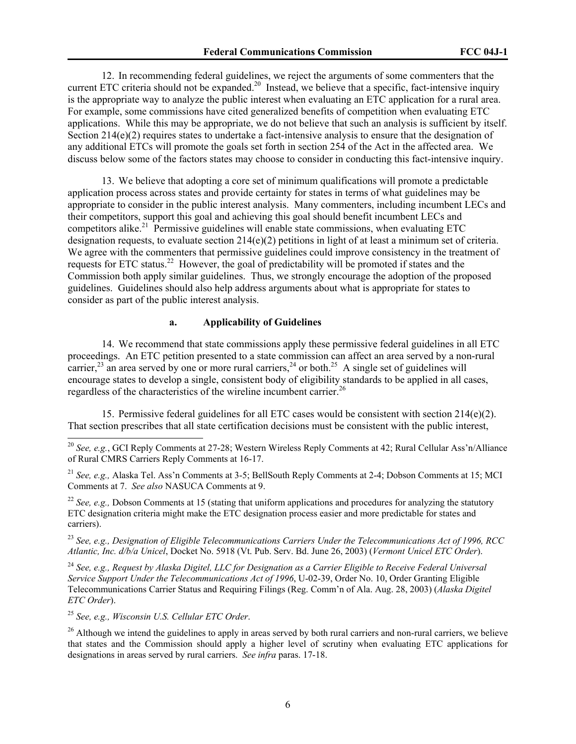12. In recommending federal guidelines, we reject the arguments of some commenters that the current ETC criteria should not be expanded.<sup>20</sup> Instead, we believe that a specific, fact-intensive inquiry is the appropriate way to analyze the public interest when evaluating an ETC application for a rural area. For example, some commissions have cited generalized benefits of competition when evaluating ETC applications. While this may be appropriate, we do not believe that such an analysis is sufficient by itself. Section 214(e)(2) requires states to undertake a fact-intensive analysis to ensure that the designation of any additional ETCs will promote the goals set forth in section 254 of the Act in the affected area. We discuss below some of the factors states may choose to consider in conducting this fact-intensive inquiry.

13. We believe that adopting a core set of minimum qualifications will promote a predictable application process across states and provide certainty for states in terms of what guidelines may be appropriate to consider in the public interest analysis. Many commenters, including incumbent LECs and their competitors, support this goal and achieving this goal should benefit incumbent LECs and competitors alike.<sup>21</sup> Permissive guidelines will enable state commissions, when evaluating ETC designation requests, to evaluate section  $214(e)(2)$  petitions in light of at least a minimum set of criteria. We agree with the commenters that permissive guidelines could improve consistency in the treatment of requests for ETC status.<sup>22</sup> However, the goal of predictability will be promoted if states and the Commission both apply similar guidelines. Thus, we strongly encourage the adoption of the proposed guidelines. Guidelines should also help address arguments about what is appropriate for states to consider as part of the public interest analysis.

# **a. Applicability of Guidelines**

14. We recommend that state commissions apply these permissive federal guidelines in all ETC proceedings. An ETC petition presented to a state commission can affect an area served by a non-rural carrier,<sup>23</sup> an area served by one or more rural carriers,<sup>24</sup> or both.<sup>25</sup> A single set of guidelines will encourage states to develop a single, consistent body of eligibility standards to be applied in all cases, regardless of the characteristics of the wireline incumbent carrier.<sup>26</sup>

15. Permissive federal guidelines for all ETC cases would be consistent with section 214(e)(2). That section prescribes that all state certification decisions must be consistent with the public interest,

<sup>21</sup> *See, e.g.,* Alaska Tel. Ass'n Comments at 3-5; BellSouth Reply Comments at 2-4; Dobson Comments at 15; MCI Comments at 7. *See also* NASUCA Comments at 9.

<sup>22</sup> *See, e.g., Dobson Comments at 15 (stating that uniform applications and procedures for analyzing the statutory* ETC designation criteria might make the ETC designation process easier and more predictable for states and carriers).

<sup>23</sup> *See, e.g., Designation of Eligible Telecommunications Carriers Under the Telecommunications Act of 1996, RCC Atlantic, Inc. d/b/a Unicel*, Docket No. 5918 (Vt. Pub. Serv. Bd. June 26, 2003) (*Vermont Unicel ETC Order*).

<sup>24</sup> *See, e.g., Request by Alaska Digitel, LLC for Designation as a Carrier Eligible to Receive Federal Universal Service Support Under the Telecommunications Act of 1996*, U-02-39, Order No. 10, Order Granting Eligible Telecommunications Carrier Status and Requiring Filings (Reg. Comm'n of Ala. Aug. 28, 2003) (*Alaska Digitel ETC Order*).

<sup>25</sup> *See, e.g., Wisconsin U.S. Cellular ETC Order*.

 $\overline{a}$ 

 $^{26}$  Although we intend the guidelines to apply in areas served by both rural carriers and non-rural carriers, we believe that states and the Commission should apply a higher level of scrutiny when evaluating ETC applications for designations in areas served by rural carriers. *See infra* paras. 17-18.

<sup>20</sup> *See, e.g.*, GCI Reply Comments at 27-28; Western Wireless Reply Comments at 42; Rural Cellular Ass'n/Alliance of Rural CMRS Carriers Reply Comments at 16-17.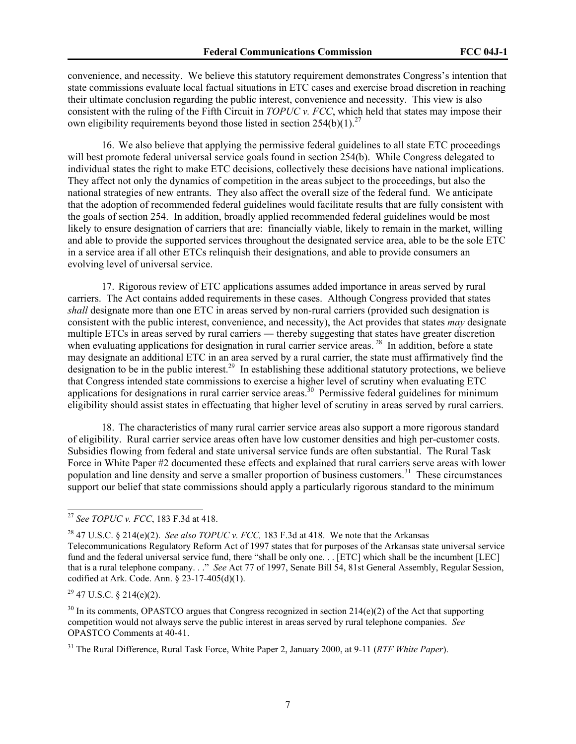convenience, and necessity. We believe this statutory requirement demonstrates Congress's intention that state commissions evaluate local factual situations in ETC cases and exercise broad discretion in reaching their ultimate conclusion regarding the public interest, convenience and necessity. This view is also consistent with the ruling of the Fifth Circuit in *TOPUC v. FCC*, which held that states may impose their own eligibility requirements beyond those listed in section  $254(b)(1)^{27}$ 

16. We also believe that applying the permissive federal guidelines to all state ETC proceedings will best promote federal universal service goals found in section 254(b). While Congress delegated to individual states the right to make ETC decisions, collectively these decisions have national implications. They affect not only the dynamics of competition in the areas subject to the proceedings, but also the national strategies of new entrants. They also affect the overall size of the federal fund. We anticipate that the adoption of recommended federal guidelines would facilitate results that are fully consistent with the goals of section 254. In addition, broadly applied recommended federal guidelines would be most likely to ensure designation of carriers that are: financially viable, likely to remain in the market, willing and able to provide the supported services throughout the designated service area, able to be the sole ETC in a service area if all other ETCs relinquish their designations, and able to provide consumers an evolving level of universal service.

17. Rigorous review of ETC applications assumes added importance in areas served by rural carriers. The Act contains added requirements in these cases. Although Congress provided that states *shall* designate more than one ETC in areas served by non-rural carriers (provided such designation is consistent with the public interest, convenience, and necessity), the Act provides that states *may* designate multiple ETCs in areas served by rural carriers ― thereby suggesting that states have greater discretion when evaluating applications for designation in rural carrier service areas.<sup>28</sup> In addition, before a state may designate an additional ETC in an area served by a rural carrier, the state must affirmatively find the designation to be in the public interest.<sup>29</sup> In establishing these additional statutory protections, we believe that Congress intended state commissions to exercise a higher level of scrutiny when evaluating ETC applications for designations in rural carrier service areas.<sup>30</sup> Permissive federal guidelines for minimum eligibility should assist states in effectuating that higher level of scrutiny in areas served by rural carriers.

18. The characteristics of many rural carrier service areas also support a more rigorous standard of eligibility. Rural carrier service areas often have low customer densities and high per-customer costs. Subsidies flowing from federal and state universal service funds are often substantial. The Rural Task Force in White Paper #2 documented these effects and explained that rural carriers serve areas with lower population and line density and serve a smaller proportion of business customers.<sup>31</sup> These circumstances support our belief that state commissions should apply a particularly rigorous standard to the minimum

<sup>27</sup> *See TOPUC v. FCC*, 183 F.3d at 418.

<sup>&</sup>lt;sup>28</sup> 47 U.S.C. § 214(e)(2). *See also TOPUC v. FCC*, 183 F.3d at 418. We note that the Arkansas Telecommunications Regulatory Reform Act of 1997 states that for purposes of the Arkansas state universal service fund and the federal universal service fund, there "shall be only one. . . [ETC] which shall be the incumbent [LEC] that is a rural telephone company. . ." *See* Act 77 of 1997, Senate Bill 54, 81st General Assembly, Regular Session, codified at Ark. Code. Ann. § 23-17-405(d)(1).

 $29$  47 U.S.C. § 214(e)(2).

 $30$  In its comments, OPASTCO argues that Congress recognized in section 214(e)(2) of the Act that supporting competition would not always serve the public interest in areas served by rural telephone companies. *See*  OPASTCO Comments at 40-41.

<sup>31</sup> The Rural Difference, Rural Task Force, White Paper 2, January 2000, at 9-11 (*RTF White Paper*).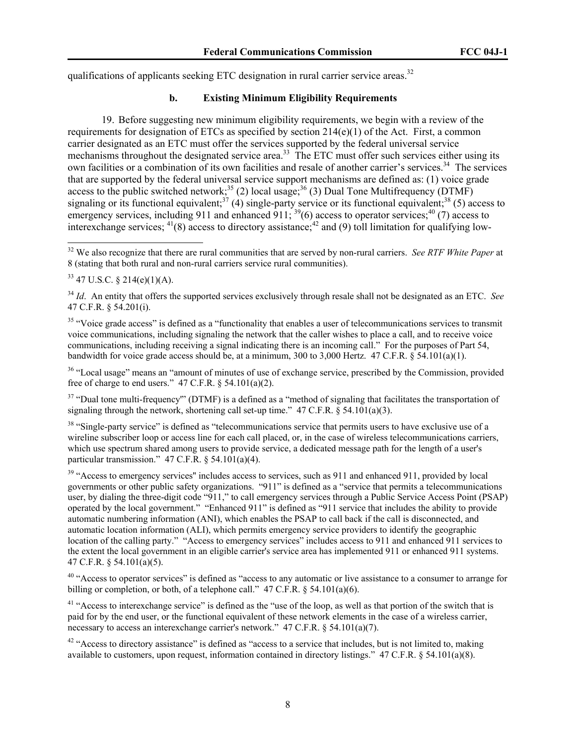qualifications of applicants seeking ETC designation in rural carrier service areas.<sup>32</sup>

## **b. Existing Minimum Eligibility Requirements**

19. Before suggesting new minimum eligibility requirements, we begin with a review of the requirements for designation of ETCs as specified by section  $214(e)(1)$  of the Act. First, a common carrier designated as an ETC must offer the services supported by the federal universal service mechanisms throughout the designated service area.<sup>33</sup> The ETC must offer such services either using its own facilities or a combination of its own facilities and resale of another carrier's services.<sup>34</sup> The services that are supported by the federal universal service support mechanisms are defined as: (1) voice grade access to the public switched network;<sup>35</sup> (2) local usage;<sup>36</sup> (3) Dual Tone Multifrequency (DTMF) signaling or its functional equivalent;<sup>37</sup> (4) single-party service or its functional equivalent;<sup>38</sup> (5) access to emergency services, including 911 and enhanced 911;  $^{39}(6)$  access to operator services;<sup>40</sup> (7) access to interexchange services;  $^{41}(8)$  access to directory assistance;  $^{42}$  and (9) toll limitation for qualifying low-

 $\overline{a}$ 

<sup>35</sup> "Voice grade access" is defined as a "functionality that enables a user of telecommunications services to transmit voice communications, including signaling the network that the caller wishes to place a call, and to receive voice communications, including receiving a signal indicating there is an incoming call." For the purposes of Part 54, bandwidth for voice grade access should be, at a minimum, 300 to 3,000 Hertz. 47 C.F.R. § 54.101(a)(1).

<sup>36</sup> "Local usage" means an "amount of minutes of use of exchange service, prescribed by the Commission, provided free of charge to end users."  $47$  C.F.R. §  $54.101(a)(2)$ .

 $37$  "Dual tone multi-frequency"" (DTMF) is a defined as a "method of signaling that facilitates the transportation of signaling through the network, shortening call set-up time."  $47 \text{ C.F.R.}$  §  $54.101(a)(3)$ .

<sup>38</sup> "Single-party service" is defined as "telecommunications service that permits users to have exclusive use of a wireline subscriber loop or access line for each call placed, or, in the case of wireless telecommunications carriers, which use spectrum shared among users to provide service, a dedicated message path for the length of a user's particular transmission." 47 C.F.R. § 54.101(a)(4).

<sup>39</sup> "Access to emergency services" includes access to services, such as 911 and enhanced 911, provided by local governments or other public safety organizations. "911" is defined as a "service that permits a telecommunications user, by dialing the three-digit code "911," to call emergency services through a Public Service Access Point (PSAP) operated by the local government." "Enhanced 911" is defined as "911 service that includes the ability to provide automatic numbering information (ANI), which enables the PSAP to call back if the call is disconnected, and automatic location information (ALI), which permits emergency service providers to identify the geographic location of the calling party." "Access to emergency services" includes access to 911 and enhanced 911 services to the extent the local government in an eligible carrier's service area has implemented 911 or enhanced 911 systems. 47 C.F.R. § 54.101(a)(5).

<sup>40</sup> "Access to operator services" is defined as "access to any automatic or live assistance to a consumer to arrange for billing or completion, or both, of a telephone call." 47 C.F.R. § 54.101(a)(6).

<sup>41</sup> "Access to interexchange service" is defined as the "use of the loop, as well as that portion of the switch that is paid for by the end user, or the functional equivalent of these network elements in the case of a wireless carrier, necessary to access an interexchange carrier's network." 47 C.F.R. § 54.101(a)(7).

 $42$  "Access to directory assistance" is defined as "access to a service that includes, but is not limited to, making available to customers, upon request, information contained in directory listings." 47 C.F.R. § 54.101(a)(8).

<sup>32</sup> We also recognize that there are rural communities that are served by non-rural carriers. *See RTF White Paper* at 8 (stating that both rural and non-rural carriers service rural communities).

 $33$  47 U.S.C. § 214(e)(1)(A).

<sup>34</sup> *Id*. An entity that offers the supported services exclusively through resale shall not be designated as an ETC. *See*  47 C.F.R. § 54.201(i).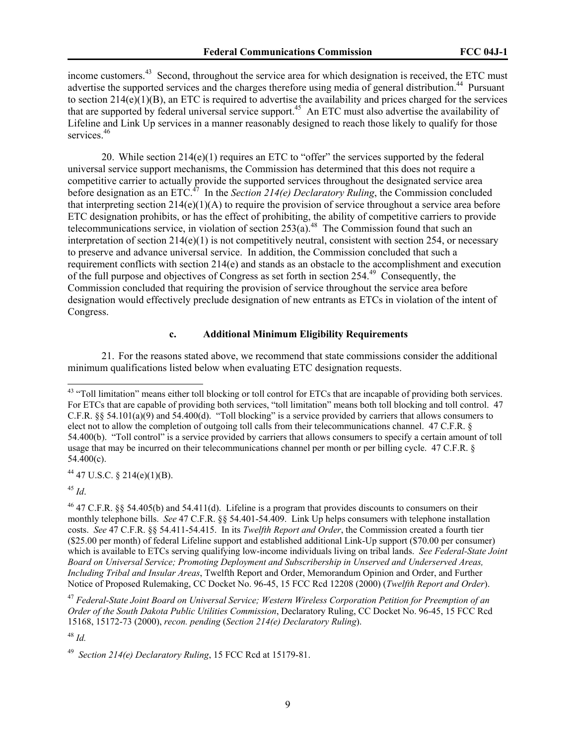income customers.<sup>43</sup> Second, throughout the service area for which designation is received, the ETC must advertise the supported services and the charges therefore using media of general distribution.<sup>44</sup> Pursuant to section 214(e)(1)(B), an ETC is required to advertise the availability and prices charged for the services that are supported by federal universal service support.45 An ETC must also advertise the availability of Lifeline and Link Up services in a manner reasonably designed to reach those likely to qualify for those services.<sup>46</sup>

20. While section 214(e)(1) requires an ETC to "offer" the services supported by the federal universal service support mechanisms, the Commission has determined that this does not require a competitive carrier to actually provide the supported services throughout the designated service area before designation as an ETC.47 In the *Section 214(e) Declaratory Ruling*, the Commission concluded that interpreting section 214(e)(1)(A) to require the provision of service throughout a service area before ETC designation prohibits, or has the effect of prohibiting, the ability of competitive carriers to provide telecommunications service, in violation of section  $253(a)$ .<sup>48</sup> The Commission found that such an interpretation of section  $214(e)(1)$  is not competitively neutral, consistent with section 254, or necessary to preserve and advance universal service. In addition, the Commission concluded that such a requirement conflicts with section 214(e) and stands as an obstacle to the accomplishment and execution of the full purpose and objectives of Congress as set forth in section 254.49 Consequently, the Commission concluded that requiring the provision of service throughout the service area before designation would effectively preclude designation of new entrants as ETCs in violation of the intent of Congress.

### **c. Additional Minimum Eligibility Requirements**

21. For the reasons stated above, we recommend that state commissions consider the additional minimum qualifications listed below when evaluating ETC designation requests.

 $44$  47 U.S.C. § 214(e)(1)(B).

<sup>45</sup> *Id*.

<sup>&</sup>lt;sup>43</sup> "Toll limitation" means either toll blocking or toll control for ETCs that are incapable of providing both services. For ETCs that are capable of providing both services, "toll limitation" means both toll blocking and toll control. 47 C.F.R.  $\S$ § 54.101(a)(9) and 54.400(d). "Toll blocking" is a service provided by carriers that allows consumers to elect not to allow the completion of outgoing toll calls from their telecommunications channel. 47 C.F.R. § 54.400(b). "Toll control" is a service provided by carriers that allows consumers to specify a certain amount of toll usage that may be incurred on their telecommunications channel per month or per billing cycle. 47 C.F.R. § 54.400(c).

<sup>46 47</sup> C.F.R. §§ 54.405(b) and 54.411(d). Lifeline is a program that provides discounts to consumers on their monthly telephone bills. *See* 47 C.F.R. §§ 54.401-54.409. Link Up helps consumers with telephone installation costs. *See* 47 C.F.R. §§ 54.411-54.415. In its *Twelfth Report and Order*, the Commission created a fourth tier (\$25.00 per month) of federal Lifeline support and established additional Link-Up support (\$70.00 per consumer) which is available to ETCs serving qualifying low-income individuals living on tribal lands. *See Federal-State Joint Board on Universal Service; Promoting Deployment and Subscribership in Unserved and Underserved Areas, Including Tribal and Insular Areas*, Twelfth Report and Order, Memorandum Opinion and Order, and Further Notice of Proposed Rulemaking, CC Docket No. 96-45, 15 FCC Rcd 12208 (2000) (*Twelfth Report and Order*).

<sup>47</sup> *Federal-State Joint Board on Universal Service; Western Wireless Corporation Petition for Preemption of an Order of the South Dakota Public Utilities Commission*, Declaratory Ruling, CC Docket No. 96-45, 15 FCC Rcd 15168, 15172-73 (2000), *recon. pending* (*Section 214(e) Declaratory Ruling*).

<sup>48</sup> *Id.* 

<sup>49</sup> *Section 214(e) Declaratory Ruling*, 15 FCC Rcd at 15179-81.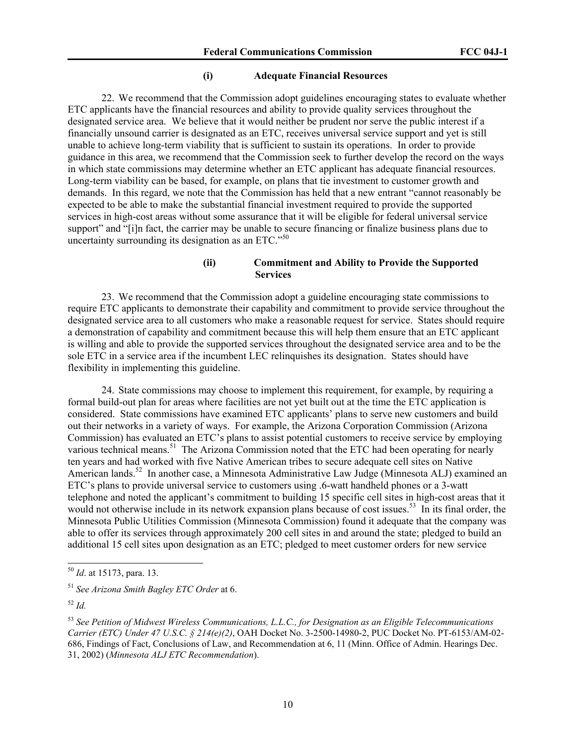#### **(i) Adequate Financial Resources**

22. We recommend that the Commission adopt guidelines encouraging states to evaluate whether ETC applicants have the financial resources and ability to provide quality services throughout the designated service area. We believe that it would neither be prudent nor serve the public interest if a financially unsound carrier is designated as an ETC, receives universal service support and yet is still unable to achieve long-term viability that is sufficient to sustain its operations. In order to provide guidance in this area, we recommend that the Commission seek to further develop the record on the ways in which state commissions may determine whether an ETC applicant has adequate financial resources. Long-term viability can be based, for example, on plans that tie investment to customer growth and demands. In this regard, we note that the Commission has held that a new entrant "cannot reasonably be expected to be able to make the substantial financial investment required to provide the supported services in high-cost areas without some assurance that it will be eligible for federal universal service support" and "[i]n fact, the carrier may be unable to secure financing or finalize business plans due to uncertainty surrounding its designation as an ETC."50

# **(ii) Commitment and Ability to Provide the Supported Services**

23. We recommend that the Commission adopt a guideline encouraging state commissions to require ETC applicants to demonstrate their capability and commitment to provide service throughout the designated service area to all customers who make a reasonable request for service. States should require a demonstration of capability and commitment because this will help them ensure that an ETC applicant is willing and able to provide the supported services throughout the designated service area and to be the sole ETC in a service area if the incumbent LEC relinquishes its designation. States should have flexibility in implementing this guideline.

24. State commissions may choose to implement this requirement, for example, by requiring a formal build-out plan for areas where facilities are not yet built out at the time the ETC application is considered. State commissions have examined ETC applicants' plans to serve new customers and build out their networks in a variety of ways. For example, the Arizona Corporation Commission (Arizona Commission) has evaluated an ETC's plans to assist potential customers to receive service by employing various technical means.<sup>51</sup> The Arizona Commission noted that the ETC had been operating for nearly ten years and had worked with five Native American tribes to secure adequate cell sites on Native American lands.<sup>52</sup> In another case, a Minnesota Administrative Law Judge (Minnesota ALJ) examined an ETC's plans to provide universal service to customers using .6-watt handheld phones or a 3-watt telephone and noted the applicant's commitment to building 15 specific cell sites in high-cost areas that it would not otherwise include in its network expansion plans because of cost issues.<sup>53</sup> In its final order, the Minnesota Public Utilities Commission (Minnesota Commission) found it adequate that the company was able to offer its services through approximately 200 cell sites in and around the state; pledged to build an additional 15 cell sites upon designation as an ETC; pledged to meet customer orders for new service

<sup>50</sup> *Id*. at 15173, para. 13.

<sup>51</sup> *See Arizona Smith Bagley ETC Order* at 6.

<sup>52</sup> *Id.* 

<sup>53</sup> *See Petition of Midwest Wireless Communications, L.L.C., for Designation as an Eligible Telecommunications Carrier (ETC) Under 47 U.S.C. § 214(e)(2)*, OAH Docket No. 3-2500-14980-2, PUC Docket No. PT-6153/AM-02- 686, Findings of Fact, Conclusions of Law, and Recommendation at 6, 11 (Minn. Office of Admin. Hearings Dec. 31, 2002) (*Minnesota ALJ ETC Recommendation*).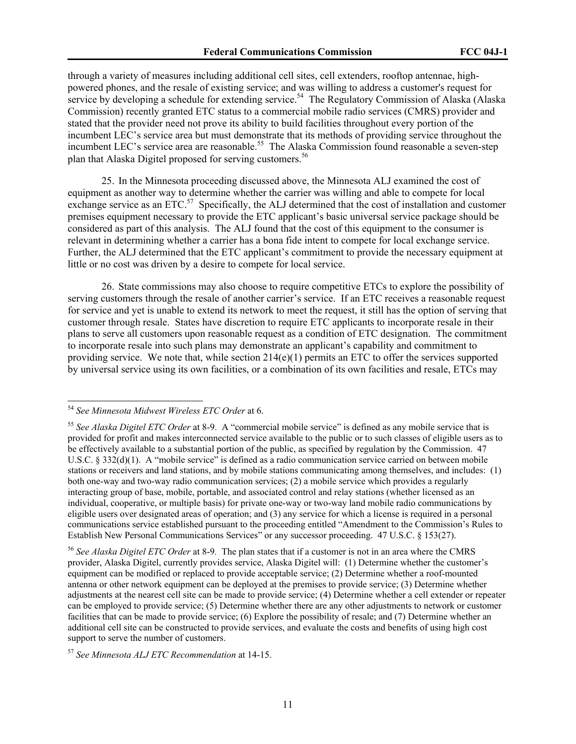through a variety of measures including additional cell sites, cell extenders, rooftop antennae, highpowered phones, and the resale of existing service; and was willing to address a customer's request for service by developing a schedule for extending service.<sup>54</sup> The Regulatory Commission of Alaska (Alaska Commission) recently granted ETC status to a commercial mobile radio services (CMRS) provider and stated that the provider need not prove its ability to build facilities throughout every portion of the incumbent LEC's service area but must demonstrate that its methods of providing service throughout the incumbent LEC's service area are reasonable.<sup>55</sup> The Alaska Commission found reasonable a seven-step plan that Alaska Digitel proposed for serving customers.<sup>56</sup>

25. In the Minnesota proceeding discussed above, the Minnesota ALJ examined the cost of equipment as another way to determine whether the carrier was willing and able to compete for local exchange service as an ETC. $57$  Specifically, the ALJ determined that the cost of installation and customer premises equipment necessary to provide the ETC applicant's basic universal service package should be considered as part of this analysis. The ALJ found that the cost of this equipment to the consumer is relevant in determining whether a carrier has a bona fide intent to compete for local exchange service. Further, the ALJ determined that the ETC applicant's commitment to provide the necessary equipment at little or no cost was driven by a desire to compete for local service.

26. State commissions may also choose to require competitive ETCs to explore the possibility of serving customers through the resale of another carrier's service. If an ETC receives a reasonable request for service and yet is unable to extend its network to meet the request, it still has the option of serving that customer through resale. States have discretion to require ETC applicants to incorporate resale in their plans to serve all customers upon reasonable request as a condition of ETC designation. The commitment to incorporate resale into such plans may demonstrate an applicant's capability and commitment to providing service. We note that, while section  $214(e)(1)$  permits an ETC to offer the services supported by universal service using its own facilities, or a combination of its own facilities and resale, ETCs may

<sup>54</sup> *See Minnesota Midwest Wireless ETC Order* at 6.

<sup>55</sup> *See Alaska Digitel ETC Order* at 8-9. A "commercial mobile service" is defined as any mobile service that is provided for profit and makes interconnected service available to the public or to such classes of eligible users as to be effectively available to a substantial portion of the public, as specified by regulation by the Commission. 47 U.S.C. § 332(d)(1). A "mobile service" is defined as a radio communication service carried on between mobile stations or receivers and land stations, and by mobile stations communicating among themselves, and includes: (1) both one-way and two-way radio communication services; (2) a mobile service which provides a regularly interacting group of base, mobile, portable, and associated control and relay stations (whether licensed as an individual, cooperative, or multiple basis) for private one-way or two-way land mobile radio communications by eligible users over designated areas of operation; and (3) any service for which a license is required in a personal communications service established pursuant to the proceeding entitled "Amendment to the Commission's Rules to Establish New Personal Communications Services" or any successor proceeding. 47 U.S.C. § 153(27).

<sup>56</sup> *See Alaska Digitel ETC Order* at 8-9*.* The plan states that if a customer is not in an area where the CMRS provider, Alaska Digitel, currently provides service, Alaska Digitel will: (1) Determine whether the customer's equipment can be modified or replaced to provide acceptable service; (2) Determine whether a roof-mounted antenna or other network equipment can be deployed at the premises to provide service; (3) Determine whether adjustments at the nearest cell site can be made to provide service; (4) Determine whether a cell extender or repeater can be employed to provide service; (5) Determine whether there are any other adjustments to network or customer facilities that can be made to provide service; (6) Explore the possibility of resale; and (7) Determine whether an additional cell site can be constructed to provide services, and evaluate the costs and benefits of using high cost support to serve the number of customers.

<sup>57</sup> *See Minnesota ALJ ETC Recommendation* at 14-15.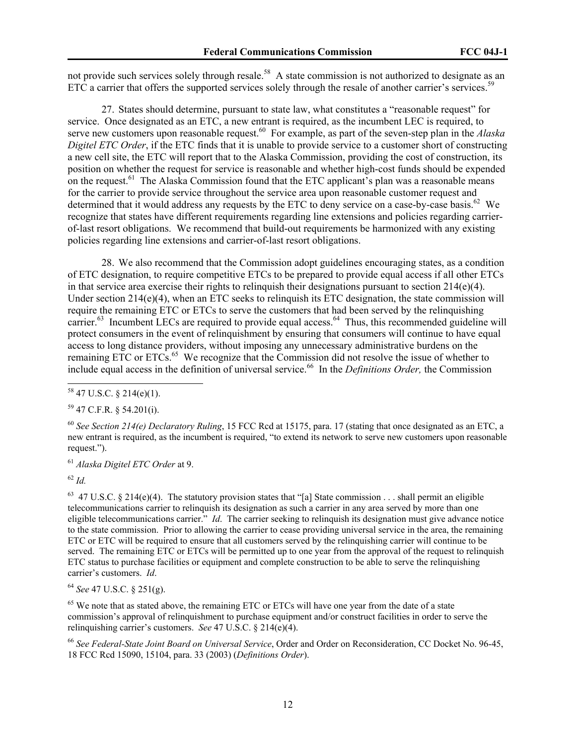not provide such services solely through resale.<sup>58</sup> A state commission is not authorized to designate as an ETC a carrier that offers the supported services solely through the resale of another carrier's services.<sup>59</sup>

27. States should determine, pursuant to state law, what constitutes a "reasonable request" for service. Once designated as an ETC, a new entrant is required, as the incumbent LEC is required, to serve new customers upon reasonable request.<sup>60</sup> For example, as part of the seven-step plan in the *Alaska Digitel ETC Order*, if the ETC finds that it is unable to provide service to a customer short of constructing a new cell site, the ETC will report that to the Alaska Commission, providing the cost of construction, its position on whether the request for service is reasonable and whether high-cost funds should be expended on the request.<sup>61</sup> The Alaska Commission found that the ETC applicant's plan was a reasonable means for the carrier to provide service throughout the service area upon reasonable customer request and determined that it would address any requests by the ETC to deny service on a case-by-case basis.<sup>62</sup> We recognize that states have different requirements regarding line extensions and policies regarding carrierof-last resort obligations. We recommend that build-out requirements be harmonized with any existing policies regarding line extensions and carrier-of-last resort obligations.

28. We also recommend that the Commission adopt guidelines encouraging states, as a condition of ETC designation, to require competitive ETCs to be prepared to provide equal access if all other ETCs in that service area exercise their rights to relinquish their designations pursuant to section  $214(e)(4)$ . Under section  $214(e)(4)$ , when an ETC seeks to relinquish its ETC designation, the state commission will require the remaining ETC or ETCs to serve the customers that had been served by the relinquishing carrier.<sup>63</sup> Incumbent LECs are required to provide equal access.<sup>64</sup> Thus, this recommended guideline will protect consumers in the event of relinquishment by ensuring that consumers will continue to have equal access to long distance providers, without imposing any unnecessary administrative burdens on the remaining ETC or ETCs.<sup>65</sup> We recognize that the Commission did not resolve the issue of whether to include equal access in the definition of universal service.<sup>66</sup> In the *Definitions Order*, the Commission

<sup>61</sup> *Alaska Digitel ETC Order* at 9.

 $62$  *Id.* 

 $\overline{a}$ 

<sup>63</sup> 47 U.S.C. § 214(e)(4). The statutory provision states that "[a] State commission . . . shall permit an eligible telecommunications carrier to relinquish its designation as such a carrier in any area served by more than one eligible telecommunications carrier." *Id*. The carrier seeking to relinquish its designation must give advance notice to the state commission. Prior to allowing the carrier to cease providing universal service in the area, the remaining ETC or ETC will be required to ensure that all customers served by the relinquishing carrier will continue to be served. The remaining ETC or ETCs will be permitted up to one year from the approval of the request to relinquish ETC status to purchase facilities or equipment and complete construction to be able to serve the relinquishing carrier's customers. *Id*.

<sup>64</sup> *See* 47 U.S.C. § 251(g).

<sup>65</sup> We note that as stated above, the remaining ETC or ETCs will have one year from the date of a state commission's approval of relinquishment to purchase equipment and/or construct facilities in order to serve the relinquishing carrier's customers. *See* 47 U.S.C. § 214(e)(4).

<sup>66</sup> *See Federal-State Joint Board on Universal Service*, Order and Order on Reconsideration, CC Docket No. 96-45, 18 FCC Rcd 15090, 15104, para. 33 (2003) (*Definitions Order*).

 $58$  47 U.S.C. § 214(e)(1).

<sup>59 47</sup> C.F.R. § 54.201(i).

<sup>60</sup> *See Section 214(e) Declaratory Ruling*, 15 FCC Rcd at 15175, para. 17 (stating that once designated as an ETC, a new entrant is required, as the incumbent is required, "to extend its network to serve new customers upon reasonable request.").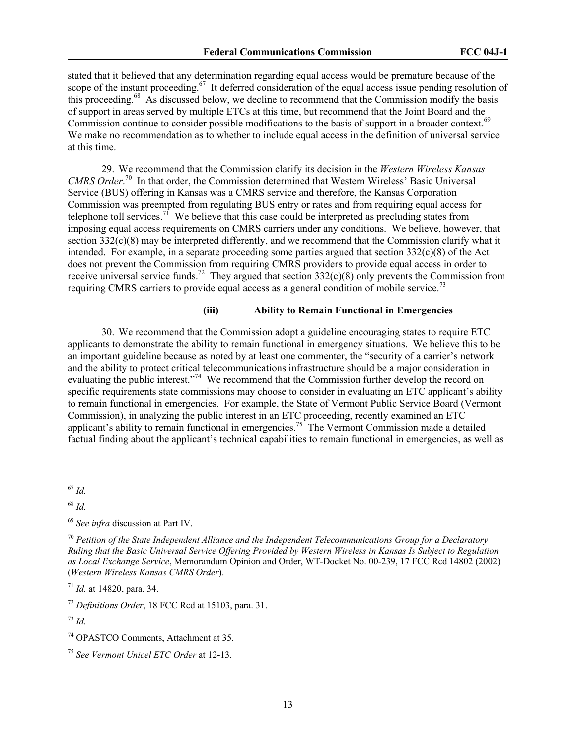stated that it believed that any determination regarding equal access would be premature because of the scope of the instant proceeding.<sup>67</sup> It deferred consideration of the equal access issue pending resolution of this proceeding.68 As discussed below, we decline to recommend that the Commission modify the basis of support in areas served by multiple ETCs at this time, but recommend that the Joint Board and the Commission continue to consider possible modifications to the basis of support in a broader context.<sup>69</sup> We make no recommendation as to whether to include equal access in the definition of universal service at this time.

29. We recommend that the Commission clarify its decision in the *Western Wireless Kansas*  CMRS Order.<sup>70</sup> In that order, the Commission determined that Western Wireless' Basic Universal Service (BUS) offering in Kansas was a CMRS service and therefore, the Kansas Corporation Commission was preempted from regulating BUS entry or rates and from requiring equal access for telephone toll services.<sup>71</sup> We believe that this case could be interpreted as precluding states from imposing equal access requirements on CMRS carriers under any conditions. We believe, however, that section  $332(c)(8)$  may be interpreted differently, and we recommend that the Commission clarify what it intended. For example, in a separate proceeding some parties argued that section  $332(c)(8)$  of the Act does not prevent the Commission from requiring CMRS providers to provide equal access in order to receive universal service funds.<sup>72</sup> They argued that section  $332(c)(8)$  only prevents the Commission from requiring CMRS carriers to provide equal access as a general condition of mobile service.<sup>73</sup>

# **(iii) Ability to Remain Functional in Emergencies**

30. We recommend that the Commission adopt a guideline encouraging states to require ETC applicants to demonstrate the ability to remain functional in emergency situations. We believe this to be an important guideline because as noted by at least one commenter, the "security of a carrier's network and the ability to protect critical telecommunications infrastructure should be a major consideration in evaluating the public interest."<sup>74</sup> We recommend that the Commission further develop the record on specific requirements state commissions may choose to consider in evaluating an ETC applicant's ability to remain functional in emergencies. For example, the State of Vermont Public Service Board (Vermont Commission), in analyzing the public interest in an ETC proceeding, recently examined an ETC applicant's ability to remain functional in emergencies.<sup>75</sup> The Vermont Commission made a detailed factual finding about the applicant's technical capabilities to remain functional in emergencies, as well as

<sup>68</sup> *Id.* 

<sup>71</sup> *Id.* at 14820, para. 34.

<sup>72</sup> *Definitions Order*, 18 FCC Rcd at 15103, para. 31.

 $^{73}$  *Id.* 

 $\overline{a}$ <sup>67</sup> *Id.* 

<sup>69</sup> *See infra* discussion at Part IV.

<sup>70</sup> *Petition of the State Independent Alliance and the Independent Telecommunications Group for a Declaratory Ruling that the Basic Universal Service Offering Provided by Western Wireless in Kansas Is Subject to Regulation as Local Exchange Service*, Memorandum Opinion and Order, WT-Docket No. 00-239, 17 FCC Rcd 14802 (2002) (*Western Wireless Kansas CMRS Order*).

<sup>74</sup> OPASTCO Comments, Attachment at 35.

<sup>75</sup> *See Vermont Unicel ETC Order* at 12-13.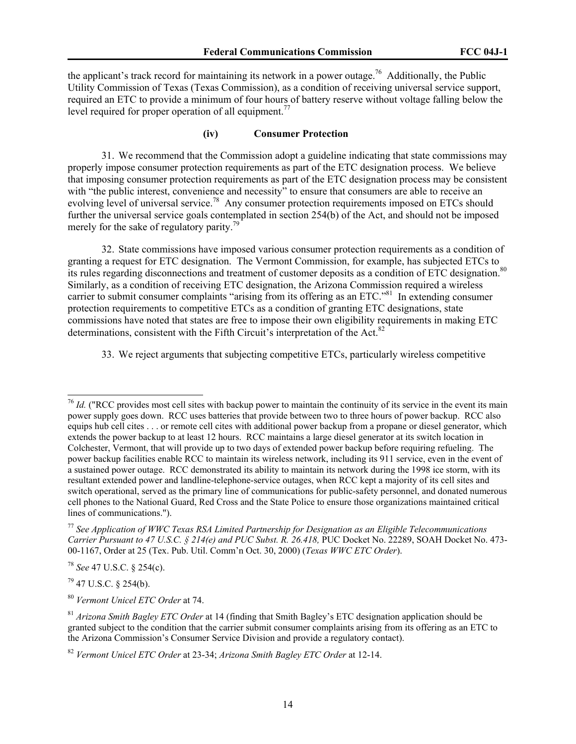the applicant's track record for maintaining its network in a power outage.<sup>76</sup> Additionally, the Public Utility Commission of Texas (Texas Commission), as a condition of receiving universal service support, required an ETC to provide a minimum of four hours of battery reserve without voltage falling below the level required for proper operation of all equipment.<sup>77</sup>

#### **(iv) Consumer Protection**

31. We recommend that the Commission adopt a guideline indicating that state commissions may properly impose consumer protection requirements as part of the ETC designation process. We believe that imposing consumer protection requirements as part of the ETC designation process may be consistent with "the public interest, convenience and necessity" to ensure that consumers are able to receive an evolving level of universal service.<sup>78</sup> Any consumer protection requirements imposed on ETCs should further the universal service goals contemplated in section 254(b) of the Act, and should not be imposed merely for the sake of regulatory parity.<sup>79</sup>

32. State commissions have imposed various consumer protection requirements as a condition of granting a request for ETC designation. The Vermont Commission, for example, has subjected ETCs to its rules regarding disconnections and treatment of customer deposits as a condition of ETC designation.<sup>80</sup> Similarly, as a condition of receiving ETC designation, the Arizona Commission required a wireless carrier to submit consumer complaints "arising from its offering as an ETC."<sup>81</sup> In extending consumer protection requirements to competitive ETCs as a condition of granting ETC designations, state commissions have noted that states are free to impose their own eligibility requirements in making ETC determinations, consistent with the Fifth Circuit's interpretation of the Act.<sup>82</sup>

33. We reject arguments that subjecting competitive ETCs, particularly wireless competitive

<sup>78</sup> *See* 47 U.S.C. § 254(c).

79 47 U.S.C. § 254(b).

 $\overline{a}$ 

<sup>80</sup> *Vermont Unicel ETC Order* at 74.

<sup>&</sup>lt;sup>76</sup> *Id.* ("RCC provides most cell sites with backup power to maintain the continuity of its service in the event its main power supply goes down. RCC uses batteries that provide between two to three hours of power backup. RCC also equips hub cell cites . . . or remote cell cites with additional power backup from a propane or diesel generator, which extends the power backup to at least 12 hours. RCC maintains a large diesel generator at its switch location in Colchester, Vermont, that will provide up to two days of extended power backup before requiring refueling. The power backup facilities enable RCC to maintain its wireless network, including its 911 service, even in the event of a sustained power outage. RCC demonstrated its ability to maintain its network during the 1998 ice storm, with its resultant extended power and landline-telephone-service outages, when RCC kept a majority of its cell sites and switch operational, served as the primary line of communications for public-safety personnel, and donated numerous cell phones to the National Guard, Red Cross and the State Police to ensure those organizations maintained critical lines of communications.").

<sup>77</sup> *See Application of WWC Texas RSA Limited Partnership for Designation as an Eligible Telecommunications Carrier Pursuant to 47 U.S.C. § 214(e) and PUC Subst. R. 26.418,* PUC Docket No. 22289, SOAH Docket No. 473- 00-1167, Order at 25 (Tex. Pub. Util. Comm'n Oct. 30, 2000) (*Texas WWC ETC Order*).

<sup>81</sup> *Arizona Smith Bagley ETC Order* at 14 (finding that Smith Bagley's ETC designation application should be granted subject to the condition that the carrier submit consumer complaints arising from its offering as an ETC to the Arizona Commission's Consumer Service Division and provide a regulatory contact).

<sup>82</sup> *Vermont Unicel ETC Order* at 23-34; *Arizona Smith Bagley ETC Order* at 12-14.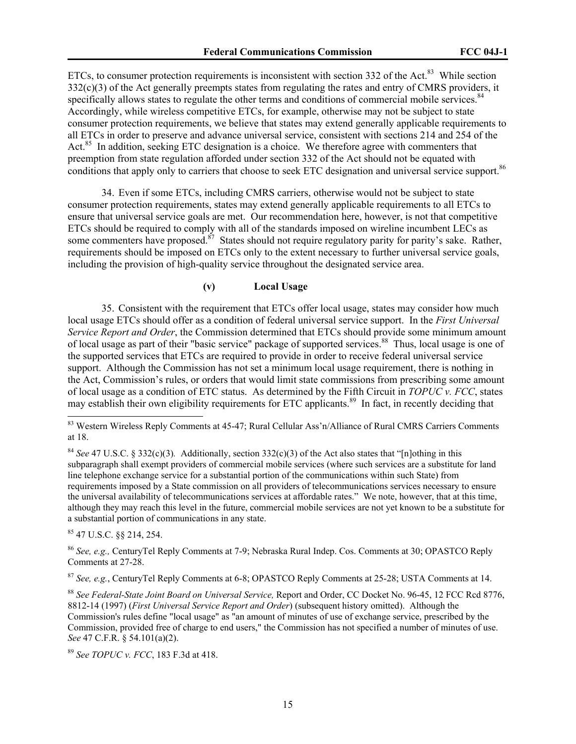ETCs, to consumer protection requirements is inconsistent with section  $332$  of the Act.<sup>83</sup> While section 332(c)(3) of the Act generally preempts states from regulating the rates and entry of CMRS providers, it specifically allows states to regulate the other terms and conditions of commercial mobile services.<sup>84</sup> Accordingly, while wireless competitive ETCs, for example, otherwise may not be subject to state consumer protection requirements, we believe that states may extend generally applicable requirements to all ETCs in order to preserve and advance universal service, consistent with sections 214 and 254 of the Act.<sup>85</sup> In addition, seeking ETC designation is a choice. We therefore agree with commenters that preemption from state regulation afforded under section 332 of the Act should not be equated with conditions that apply only to carriers that choose to seek ETC designation and universal service support.<sup>86</sup>

34. Even if some ETCs, including CMRS carriers, otherwise would not be subject to state consumer protection requirements, states may extend generally applicable requirements to all ETCs to ensure that universal service goals are met. Our recommendation here, however, is not that competitive ETCs should be required to comply with all of the standards imposed on wireline incumbent LECs as some commenters have proposed.<sup>87</sup> States should not require regulatory parity for parity's sake. Rather, requirements should be imposed on ETCs only to the extent necessary to further universal service goals, including the provision of high-quality service throughout the designated service area.

# **(v) Local Usage**

35. Consistent with the requirement that ETCs offer local usage, states may consider how much local usage ETCs should offer as a condition of federal universal service support. In the *First Universal Service Report and Order*, the Commission determined that ETCs should provide some minimum amount of local usage as part of their "basic service" package of supported services.<sup>88</sup> Thus, local usage is one of the supported services that ETCs are required to provide in order to receive federal universal service support. Although the Commission has not set a minimum local usage requirement, there is nothing in the Act, Commission's rules, or orders that would limit state commissions from prescribing some amount of local usage as a condition of ETC status. As determined by the Fifth Circuit in *TOPUC v. FCC*, states may establish their own eligibility requirements for ETC applicants.<sup>89</sup> In fact, in recently deciding that

85 47 U.S.C. §§ 214, 254.

 $\overline{a}$ 

<sup>86</sup> *See, e.g.,* CenturyTel Reply Comments at 7-9; Nebraska Rural Indep. Cos. Comments at 30; OPASTCO Reply Comments at 27-28.

<sup>87</sup> *See, e.g.*, CenturyTel Reply Comments at 6-8; OPASTCO Reply Comments at 25-28; USTA Comments at 14.

<sup>88</sup> *See Federal-State Joint Board on Universal Service,* Report and Order, CC Docket No. 96-45, 12 FCC Rcd 8776, 8812-14 (1997) (*First Universal Service Report and Order*) (subsequent history omitted). Although the Commission's rules define "local usage" as "an amount of minutes of use of exchange service, prescribed by the Commission, provided free of charge to end users," the Commission has not specified a number of minutes of use. *See* 47 C.F.R. § 54.101(a)(2).

<sup>89</sup> *See TOPUC v. FCC*, 183 F.3d at 418.

<sup>&</sup>lt;sup>83</sup> Western Wireless Reply Comments at 45-47; Rural Cellular Ass'n/Alliance of Rural CMRS Carriers Comments at 18.

<sup>&</sup>lt;sup>84</sup> *See* 47 U.S.C. § 332(c)(3). Additionally, section 332(c)(3) of the Act also states that "[n]othing in this subparagraph shall exempt providers of commercial mobile services (where such services are a substitute for land line telephone exchange service for a substantial portion of the communications within such State) from requirements imposed by a State commission on all providers of telecommunications services necessary to ensure the universal availability of telecommunications services at affordable rates." We note, however, that at this time, although they may reach this level in the future, commercial mobile services are not yet known to be a substitute for a substantial portion of communications in any state.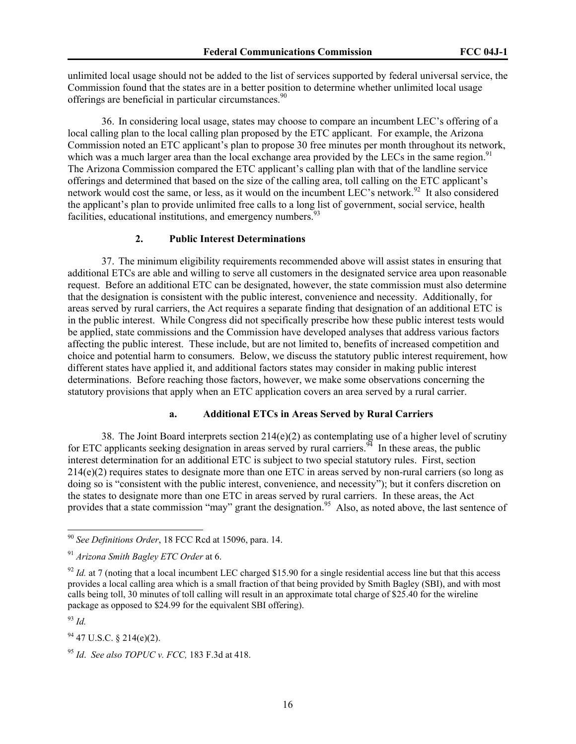unlimited local usage should not be added to the list of services supported by federal universal service, the Commission found that the states are in a better position to determine whether unlimited local usage offerings are beneficial in particular circumstances.<sup>90</sup>

36. In considering local usage, states may choose to compare an incumbent LEC's offering of a local calling plan to the local calling plan proposed by the ETC applicant. For example, the Arizona Commission noted an ETC applicant's plan to propose 30 free minutes per month throughout its network, which was a much larger area than the local exchange area provided by the LECs in the same region.<sup>91</sup> The Arizona Commission compared the ETC applicant's calling plan with that of the landline service offerings and determined that based on the size of the calling area, toll calling on the ETC applicant's network would cost the same, or less, as it would on the incumbent LEC's network.<sup>92</sup> It also considered the applicant's plan to provide unlimited free calls to a long list of government, social service, health facilities, educational institutions, and emergency numbers.  $93$ 

# **2. Public Interest Determinations**

37. The minimum eligibility requirements recommended above will assist states in ensuring that additional ETCs are able and willing to serve all customers in the designated service area upon reasonable request. Before an additional ETC can be designated, however, the state commission must also determine that the designation is consistent with the public interest, convenience and necessity. Additionally, for areas served by rural carriers, the Act requires a separate finding that designation of an additional ETC is in the public interest. While Congress did not specifically prescribe how these public interest tests would be applied, state commissions and the Commission have developed analyses that address various factors affecting the public interest. These include, but are not limited to, benefits of increased competition and choice and potential harm to consumers. Below, we discuss the statutory public interest requirement, how different states have applied it, and additional factors states may consider in making public interest determinations. Before reaching those factors, however, we make some observations concerning the statutory provisions that apply when an ETC application covers an area served by a rural carrier.

#### **a. Additional ETCs in Areas Served by Rural Carriers**

38. The Joint Board interprets section 214(e)(2) as contemplating use of a higher level of scrutiny for ETC applicants seeking designation in areas served by rural carriers.<sup>94</sup> In these areas, the public interest determination for an additional ETC is subject to two special statutory rules. First, section 214(e)(2) requires states to designate more than one ETC in areas served by non-rural carriers (so long as doing so is "consistent with the public interest, convenience, and necessity"); but it confers discretion on the states to designate more than one ETC in areas served by rural carriers. In these areas, the Act provides that a state commission "may" grant the designation.<sup>95</sup> Also, as noted above, the last sentence of

<sup>93</sup> *Id.* 

 $\overline{a}$ 

 $94$  47 U.S.C. § 214(e)(2).

<sup>90</sup> *See Definitions Order*, 18 FCC Rcd at 15096, para. 14.

<sup>91</sup> *Arizona Smith Bagley ETC Order* at 6.

 $\frac{92}{1}$  *Id.* at 7 (noting that a local incumbent LEC charged \$15.90 for a single residential access line but that this access provides a local calling area which is a small fraction of that being provided by Smith Bagley (SBI), and with most calls being toll, 30 minutes of toll calling will result in an approximate total charge of \$25.40 for the wireline package as opposed to \$24.99 for the equivalent SBI offering).

<sup>95</sup> *Id*. *See also TOPUC v. FCC,* 183 F.3d at 418.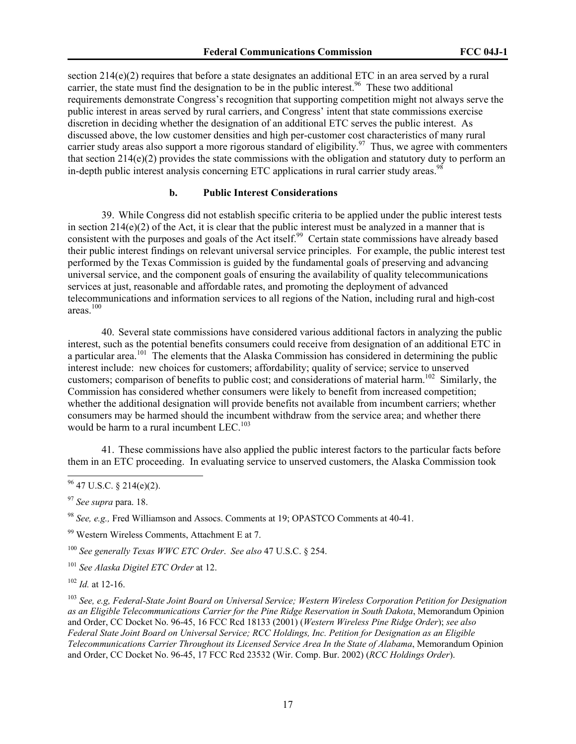section  $214(e)(2)$  requires that before a state designates an additional ETC in an area served by a rural carrier, the state must find the designation to be in the public interest.<sup>96</sup> These two additional requirements demonstrate Congress's recognition that supporting competition might not always serve the public interest in areas served by rural carriers, and Congress' intent that state commissions exercise discretion in deciding whether the designation of an additional ETC serves the public interest. As discussed above, the low customer densities and high per-customer cost characteristics of many rural carrier study areas also support a more rigorous standard of eligibility.<sup>97</sup> Thus, we agree with commenters that section 214(e)(2) provides the state commissions with the obligation and statutory duty to perform an in-depth public interest analysis concerning ETC applications in rural carrier study areas.<sup>98</sup>

# **b. Public Interest Considerations**

39. While Congress did not establish specific criteria to be applied under the public interest tests in section 214(e)(2) of the Act, it is clear that the public interest must be analyzed in a manner that is consistent with the purposes and goals of the Act itself.<sup>99</sup> Certain state commissions have already based their public interest findings on relevant universal service principles. For example, the public interest test performed by the Texas Commission is guided by the fundamental goals of preserving and advancing universal service, and the component goals of ensuring the availability of quality telecommunications services at just, reasonable and affordable rates, and promoting the deployment of advanced telecommunications and information services to all regions of the Nation, including rural and high-cost areas.100

40. Several state commissions have considered various additional factors in analyzing the public interest, such as the potential benefits consumers could receive from designation of an additional ETC in a particular area.<sup>101</sup> The elements that the Alaska Commission has considered in determining the public interest include: new choices for customers; affordability; quality of service; service to unserved customers; comparison of benefits to public cost; and considerations of material harm.<sup>102</sup> Similarly, the Commission has considered whether consumers were likely to benefit from increased competition; whether the additional designation will provide benefits not available from incumbent carriers; whether consumers may be harmed should the incumbent withdraw from the service area; and whether there would be harm to a rural incumbent LEC.<sup>103</sup>

41. These commissions have also applied the public interest factors to the particular facts before them in an ETC proceeding. In evaluating service to unserved customers, the Alaska Commission took

 $\overline{a}$ 

<sup>98</sup> *See, e.g.,* Fred Williamson and Assocs. Comments at 19; OPASTCO Comments at 40-41.

99 Western Wireless Comments, Attachment E at 7.

<sup>100</sup> *See generally Texas WWC ETC Order*. *See also* 47 U.S.C. § 254.

<sup>101</sup> *See Alaska Digitel ETC Order* at 12.

<sup>102</sup> *Id.* at 12-16.

<sup>103</sup> *See, e.g, Federal-State Joint Board on Universal Service; Western Wireless Corporation Petition for Designation as an Eligible Telecommunications Carrier for the Pine Ridge Reservation in South Dakota*, Memorandum Opinion and Order, CC Docket No. 96-45, 16 FCC Rcd 18133 (2001) (*Western Wireless Pine Ridge Order*); *see also Federal State Joint Board on Universal Service; RCC Holdings, Inc. Petition for Designation as an Eligible Telecommunications Carrier Throughout its Licensed Service Area In the State of Alabama*, Memorandum Opinion and Order, CC Docket No. 96-45, 17 FCC Rcd 23532 (Wir. Comp. Bur. 2002) (*RCC Holdings Order*).

 $96$  47 U.S.C. § 214(e)(2).

<sup>97</sup> *See supra* para. 18.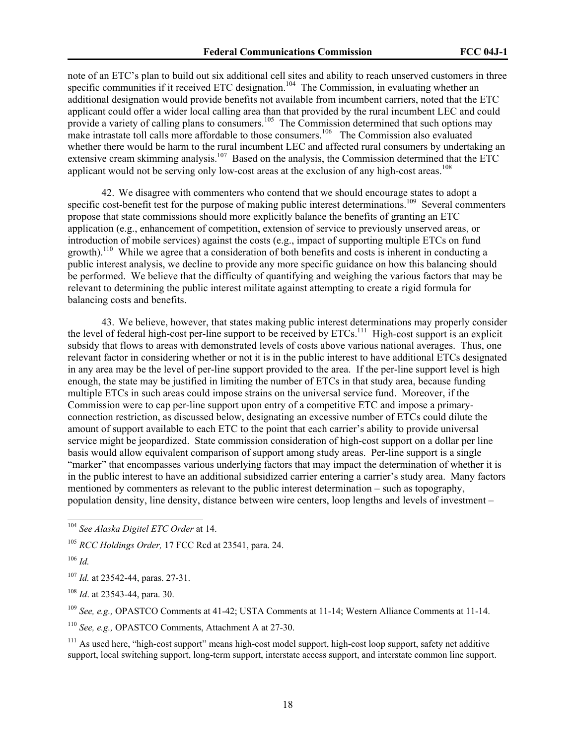note of an ETC's plan to build out six additional cell sites and ability to reach unserved customers in three specific communities if it received ETC designation.<sup>104</sup> The Commission, in evaluating whether an additional designation would provide benefits not available from incumbent carriers, noted that the ETC applicant could offer a wider local calling area than that provided by the rural incumbent LEC and could provide a variety of calling plans to consumers.<sup>105</sup> The Commission determined that such options may make intrastate toll calls more affordable to those consumers.<sup>106</sup> The Commission also evaluated whether there would be harm to the rural incumbent LEC and affected rural consumers by undertaking an extensive cream skimming analysis.<sup>107</sup> Based on the analysis, the Commission determined that the ETC applicant would not be serving only low-cost areas at the exclusion of any high-cost areas.<sup>108</sup>

42. We disagree with commenters who contend that we should encourage states to adopt a specific cost-benefit test for the purpose of making public interest determinations.<sup>109</sup> Several commenters propose that state commissions should more explicitly balance the benefits of granting an ETC application (e.g., enhancement of competition, extension of service to previously unserved areas, or introduction of mobile services) against the costs (e.g., impact of supporting multiple ETCs on fund growth).<sup>110</sup> While we agree that a consideration of both benefits and costs is inherent in conducting a public interest analysis, we decline to provide any more specific guidance on how this balancing should be performed. We believe that the difficulty of quantifying and weighing the various factors that may be relevant to determining the public interest militate against attempting to create a rigid formula for balancing costs and benefits.

43. We believe, however, that states making public interest determinations may properly consider the level of federal high-cost per-line support to be received by ETCs.<sup>111</sup> High-cost support is an explicit subsidy that flows to areas with demonstrated levels of costs above various national averages. Thus, one relevant factor in considering whether or not it is in the public interest to have additional ETCs designated in any area may be the level of per-line support provided to the area. If the per-line support level is high enough, the state may be justified in limiting the number of ETCs in that study area, because funding multiple ETCs in such areas could impose strains on the universal service fund. Moreover, if the Commission were to cap per-line support upon entry of a competitive ETC and impose a primaryconnection restriction, as discussed below, designating an excessive number of ETCs could dilute the amount of support available to each ETC to the point that each carrier's ability to provide universal service might be jeopardized. State commission consideration of high-cost support on a dollar per line basis would allow equivalent comparison of support among study areas. Per-line support is a single "marker" that encompasses various underlying factors that may impact the determination of whether it is in the public interest to have an additional subsidized carrier entering a carrier's study area. Many factors mentioned by commenters as relevant to the public interest determination – such as topography, population density, line density, distance between wire centers, loop lengths and levels of investment –

 $\overline{a}$ 

<sup>107</sup> *Id.* at 23542-44, paras. 27-31.

<sup>108</sup> *Id*. at 23543-44, para. 30.

<sup>109</sup> *See, e.g.,* OPASTCO Comments at 41-42; USTA Comments at 11-14; Western Alliance Comments at 11-14.

<sup>110</sup> *See, e.g.,* OPASTCO Comments, Attachment A at 27-30.

<sup>111</sup> As used here, "high-cost support" means high-cost model support, high-cost loop support, safety net additive support, local switching support, long-term support, interstate access support, and interstate common line support.

<sup>104</sup> *See Alaska Digitel ETC Order* at 14.

<sup>105</sup> *RCC Holdings Order,* 17 FCC Rcd at 23541, para. 24.

 $106$  *Id.*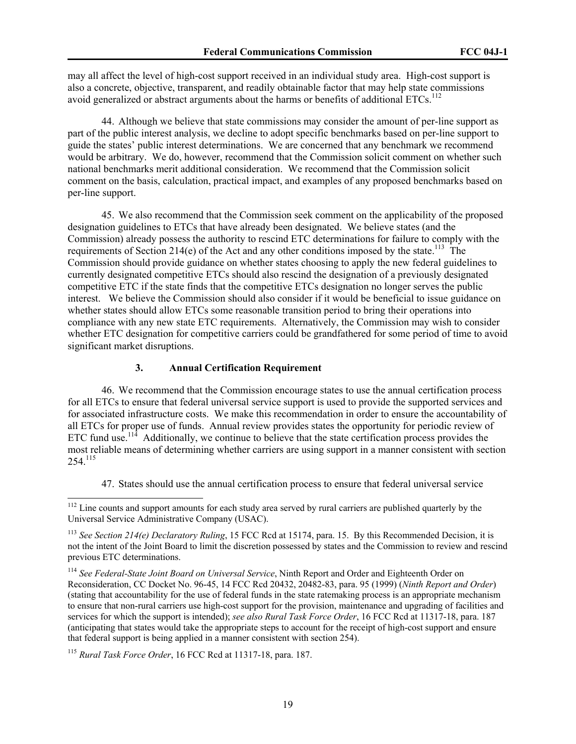may all affect the level of high-cost support received in an individual study area. High-cost support is also a concrete, objective, transparent, and readily obtainable factor that may help state commissions avoid generalized or abstract arguments about the harms or benefits of additional ETCs.<sup>112</sup>

44. Although we believe that state commissions may consider the amount of per-line support as part of the public interest analysis, we decline to adopt specific benchmarks based on per-line support to guide the states' public interest determinations. We are concerned that any benchmark we recommend would be arbitrary. We do, however, recommend that the Commission solicit comment on whether such national benchmarks merit additional consideration. We recommend that the Commission solicit comment on the basis, calculation, practical impact, and examples of any proposed benchmarks based on per-line support.

45. We also recommend that the Commission seek comment on the applicability of the proposed designation guidelines to ETCs that have already been designated. We believe states (and the Commission) already possess the authority to rescind ETC determinations for failure to comply with the requirements of Section 214(e) of the Act and any other conditions imposed by the state.<sup>113</sup> The Commission should provide guidance on whether states choosing to apply the new federal guidelines to currently designated competitive ETCs should also rescind the designation of a previously designated competitive ETC if the state finds that the competitive ETCs designation no longer serves the public interest. We believe the Commission should also consider if it would be beneficial to issue guidance on whether states should allow ETCs some reasonable transition period to bring their operations into compliance with any new state ETC requirements. Alternatively, the Commission may wish to consider whether ETC designation for competitive carriers could be grandfathered for some period of time to avoid significant market disruptions.

#### **3. Annual Certification Requirement**

46. We recommend that the Commission encourage states to use the annual certification process for all ETCs to ensure that federal universal service support is used to provide the supported services and for associated infrastructure costs. We make this recommendation in order to ensure the accountability of all ETCs for proper use of funds. Annual review provides states the opportunity for periodic review of ETC fund use.<sup>114</sup> Additionally, we continue to believe that the state certification process provides the most reliable means of determining whether carriers are using support in a manner consistent with section 254.115

47. States should use the annual certification process to ensure that federal universal service

 $112$  Line counts and support amounts for each study area served by rural carriers are published quarterly by the Universal Service Administrative Company (USAC).

<sup>113</sup> *See Section 214(e) Declaratory Ruling*, 15 FCC Rcd at 15174, para. 15. By this Recommended Decision, it is not the intent of the Joint Board to limit the discretion possessed by states and the Commission to review and rescind previous ETC determinations.

<sup>114</sup> *See Federal-State Joint Board on Universal Service*, Ninth Report and Order and Eighteenth Order on Reconsideration, CC Docket No. 96-45, 14 FCC Rcd 20432, 20482-83, para. 95 (1999) (*Ninth Report and Order*) (stating that accountability for the use of federal funds in the state ratemaking process is an appropriate mechanism to ensure that non-rural carriers use high-cost support for the provision, maintenance and upgrading of facilities and services for which the support is intended); *see also Rural Task Force Order*, 16 FCC Rcd at 11317-18, para. 187 (anticipating that states would take the appropriate steps to account for the receipt of high-cost support and ensure that federal support is being applied in a manner consistent with section 254).

<sup>115</sup> *Rural Task Force Order*, 16 FCC Rcd at 11317-18, para. 187.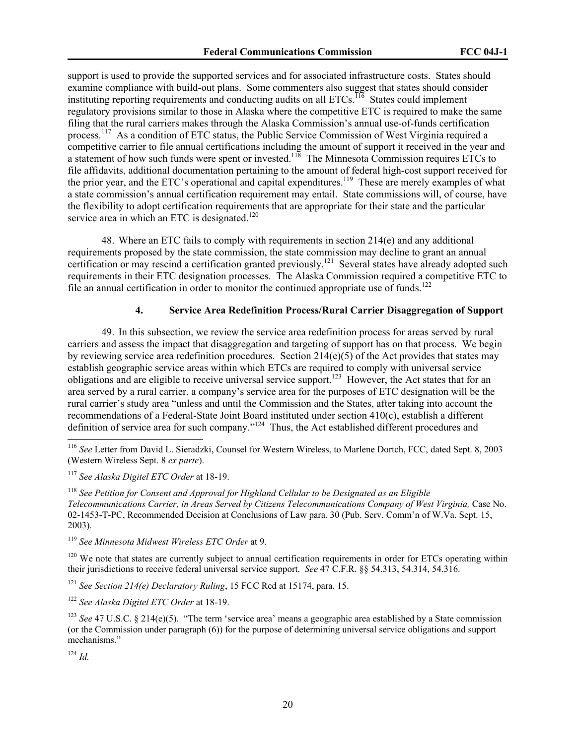support is used to provide the supported services and for associated infrastructure costs. States should examine compliance with build-out plans. Some commenters also suggest that states should consider instituting reporting requirements and conducting audits on all ETCs.<sup>116</sup> States could implement regulatory provisions similar to those in Alaska where the competitive ETC is required to make the same filing that the rural carriers makes through the Alaska Commission's annual use-of-funds certification process.117 As a condition of ETC status, the Public Service Commission of West Virginia required a competitive carrier to file annual certifications including the amount of support it received in the year and a statement of how such funds were spent or invested.<sup>118</sup> The Minnesota Commission requires ETCs to file affidavits, additional documentation pertaining to the amount of federal high-cost support received for the prior year, and the ETC's operational and capital expenditures.<sup>119</sup> These are merely examples of what a state commission's annual certification requirement may entail. State commissions will, of course, have the flexibility to adopt certification requirements that are appropriate for their state and the particular service area in which an ETC is designated.<sup>120</sup>

48. Where an ETC fails to comply with requirements in section 214(e) and any additional requirements proposed by the state commission, the state commission may decline to grant an annual certification or may rescind a certification granted previously.<sup>121</sup> Several states have already adopted such requirements in their ETC designation processes. The Alaska Commission required a competitive ETC to file an annual certification in order to monitor the continued appropriate use of funds.<sup>122</sup>

# **4. Service Area Redefinition Process/Rural Carrier Disaggregation of Support**

49. In this subsection, we review the service area redefinition process for areas served by rural carriers and assess the impact that disaggregation and targeting of support has on that process. We begin by reviewing service area redefinition procedures*.* Section 214(e)(5) of the Act provides that states may establish geographic service areas within which ETCs are required to comply with universal service obligations and are eligible to receive universal service support.<sup>123</sup> However, the Act states that for an area served by a rural carrier, a company's service area for the purposes of ETC designation will be the rural carrier's study area "unless and until the Commission and the States, after taking into account the recommendations of a Federal-State Joint Board instituted under section 410(c), establish a different definition of service area for such company."124 Thus, the Act established different procedures and

<sup>118</sup> *See Petition for Consent and Approval for Highland Cellular to be Designated as an Eligible Telecommunications Carrier, in Areas Served by Citizens Telecommunications Company of West Virginia,* Case No. 02-1453-T-PC, Recommended Decision at Conclusions of Law para. 30 (Pub. Serv. Comm'n of W.Va. Sept. 15, 2003).

<sup>119</sup> *See Minnesota Midwest Wireless ETC Order* at 9.

 $120$  We note that states are currently subject to annual certification requirements in order for ETCs operating within their jurisdictions to receive federal universal service support. *See* 47 C.F.R. §§ 54.313, 54.314, 54.316.

<sup>121</sup> *See Section 214(e) Declaratory Ruling*, 15 FCC Rcd at 15174, para. 15.

<sup>122</sup> *See Alaska Digitel ETC Order* at 18-19.

<sup>124</sup> *Id.*

<sup>116</sup> *See* Letter from David L. Sieradzki, Counsel for Western Wireless, to Marlene Dortch, FCC, dated Sept. 8, 2003 (Western Wireless Sept. 8 *ex parte*).

<sup>117</sup> *See Alaska Digitel ETC Order* at 18-19.

<sup>&</sup>lt;sup>123</sup> *See* 47 U.S.C. § 214(e)(5). "The term 'service area' means a geographic area established by a State commission (or the Commission under paragraph (6)) for the purpose of determining universal service obligations and support mechanisms."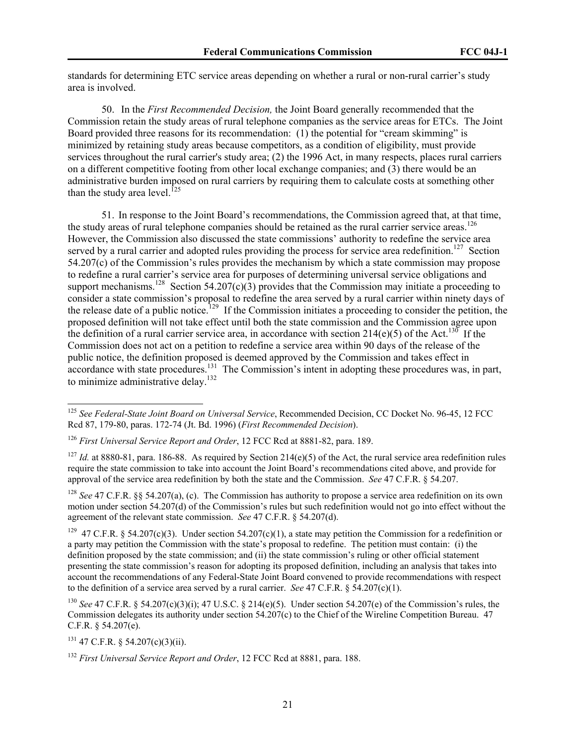standards for determining ETC service areas depending on whether a rural or non-rural carrier's study area is involved.

50. In the *First Recommended Decision,* the Joint Board generally recommended that the Commission retain the study areas of rural telephone companies as the service areas for ETCs. The Joint Board provided three reasons for its recommendation: (1) the potential for "cream skimming" is minimized by retaining study areas because competitors, as a condition of eligibility, must provide services throughout the rural carrier's study area; (2) the 1996 Act, in many respects, places rural carriers on a different competitive footing from other local exchange companies; and (3) there would be an administrative burden imposed on rural carriers by requiring them to calculate costs at something other than the study area level.<sup>125</sup>

51. In response to the Joint Board's recommendations, the Commission agreed that, at that time, the study areas of rural telephone companies should be retained as the rural carrier service areas.<sup>126</sup> However, the Commission also discussed the state commissions' authority to redefine the service area served by a rural carrier and adopted rules providing the process for service area redefinition.<sup>127</sup> Section  $54.207(c)$  of the Commission's rules provides the mechanism by which a state commission may propose to redefine a rural carrier's service area for purposes of determining universal service obligations and support mechanisms.<sup>128</sup> Section 54.207(c)(3) provides that the Commission may initiate a proceeding to consider a state commission's proposal to redefine the area served by a rural carrier within ninety days of the release date of a public notice.<sup>129</sup> If the Commission initiates a proceeding to consider the petition, the proposed definition will not take effect until both the state commission and the Commission agree upon the definition of a rural carrier service area, in accordance with section  $214(e)(5)$  of the Act.<sup>130</sup> If the Commission does not act on a petition to redefine a service area within 90 days of the release of the public notice, the definition proposed is deemed approved by the Commission and takes effect in accordance with state procedures.131 The Commission's intent in adopting these procedures was, in part, to minimize administrative delay.<sup>132</sup>

<sup>128</sup> *See* 47 C.F.R. §§ 54.207(a), (c). The Commission has authority to propose a service area redefinition on its own motion under section 54.207(d) of the Commission's rules but such redefinition would not go into effect without the agreement of the relevant state commission. *See* 47 C.F.R. § 54.207(d).

<sup>129</sup> 47 C.F.R. § 54.207(c)(3). Under section 54.207(c)(1), a state may petition the Commission for a redefinition or a party may petition the Commission with the state's proposal to redefine. The petition must contain: (i) the definition proposed by the state commission; and (ii) the state commission's ruling or other official statement presenting the state commission's reason for adopting its proposed definition, including an analysis that takes into account the recommendations of any Federal-State Joint Board convened to provide recommendations with respect to the definition of a service area served by a rural carrier. *See* 47 C.F.R. § 54.207(c)(1).

<sup>130</sup> *See* 47 C.F.R. § 54.207(c)(3)(i); 47 U.S.C. § 214(e)(5). Under section 54.207(e) of the Commission's rules, the Commission delegates its authority under section 54.207(c) to the Chief of the Wireline Competition Bureau. 47 C.F.R. § 54.207(e).

 $131$  47 C.F.R. § 54.207(c)(3)(ii).

<sup>125</sup> *See Federal-State Joint Board on Universal Service*, Recommended Decision, CC Docket No. 96-45, 12 FCC Rcd 87, 179-80, paras. 172-74 (Jt. Bd. 1996) (*First Recommended Decision*).

<sup>126</sup> *First Universal Service Report and Order*, 12 FCC Rcd at 8881-82, para. 189.

<sup>&</sup>lt;sup>127</sup> *Id.* at 8880-81, para. 186-88. As required by Section 214(e)(5) of the Act, the rural service area redefinition rules require the state commission to take into account the Joint Board's recommendations cited above, and provide for approval of the service area redefinition by both the state and the Commission. *See* 47 C.F.R. § 54.207.

<sup>132</sup> *First Universal Service Report and Order*, 12 FCC Rcd at 8881, para. 188.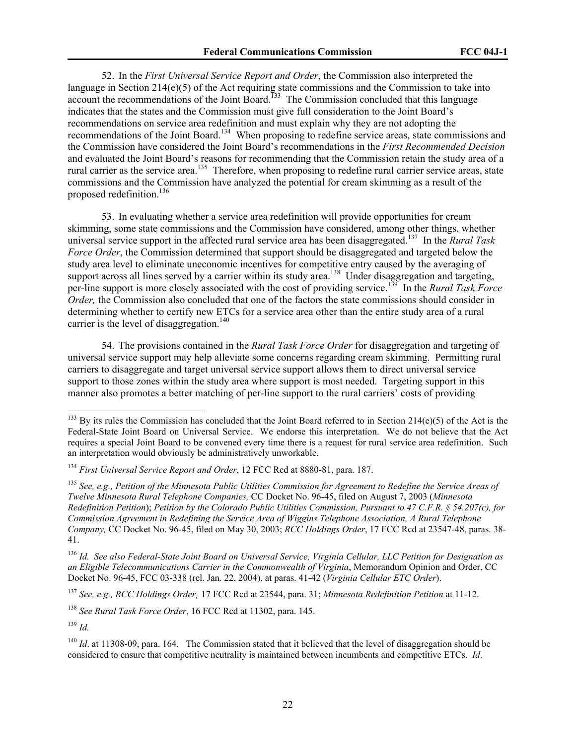52. In the *First Universal Service Report and Order*, the Commission also interpreted the language in Section 214(e)(5) of the Act requiring state commissions and the Commission to take into account the recommendations of the Joint Board.<sup>133</sup> The Commission concluded that this language indicates that the states and the Commission must give full consideration to the Joint Board's recommendations on service area redefinition and must explain why they are not adopting the recommendations of the Joint Board.134 When proposing to redefine service areas, state commissions and the Commission have considered the Joint Board's recommendations in the *First Recommended Decision* and evaluated the Joint Board's reasons for recommending that the Commission retain the study area of a rural carrier as the service area.<sup>135</sup> Therefore, when proposing to redefine rural carrier service areas, state commissions and the Commission have analyzed the potential for cream skimming as a result of the proposed redefinition.<sup>136</sup>

53. In evaluating whether a service area redefinition will provide opportunities for cream skimming, some state commissions and the Commission have considered, among other things, whether universal service support in the affected rural service area has been disaggregated.137 In the *Rural Task Force Order*, the Commission determined that support should be disaggregated and targeted below the study area level to eliminate uneconomic incentives for competitive entry caused by the averaging of support across all lines served by a carrier within its study area.<sup>138</sup> Under disaggregation and targeting, per-line support is more closely associated with the cost of providing service.<sup>139</sup> In the *Rural Task Force Order*, the Commission also concluded that one of the factors the state commissions should consider in determining whether to certify new ETCs for a service area other than the entire study area of a rural carrier is the level of disaggregation.<sup>140</sup>

54. The provisions contained in the *Rural Task Force Order* for disaggregation and targeting of universal service support may help alleviate some concerns regarding cream skimming. Permitting rural carriers to disaggregate and target universal service support allows them to direct universal service support to those zones within the study area where support is most needed. Targeting support in this manner also promotes a better matching of per-line support to the rural carriers' costs of providing

<sup>136</sup> *Id. See also Federal-State Joint Board on Universal Service, Virginia Cellular, LLC Petition for Designation as an Eligible Telecommunications Carrier in the Commonwealth of Virginia*, Memorandum Opinion and Order, CC Docket No. 96-45, FCC 03-338 (rel. Jan. 22, 2004), at paras. 41-42 (*Virginia Cellular ETC Order*).

<sup>137</sup> *See, e.g., RCC Holdings Order¸* 17 FCC Rcd at 23544, para. 31; *Minnesota Redefinition Petition* at 11-12.

<sup>138</sup> *See Rural Task Force Order*, 16 FCC Rcd at 11302, para. 145.

<sup>139</sup> *Id.*

 $^{133}$  By its rules the Commission has concluded that the Joint Board referred to in Section 214(e)(5) of the Act is the Federal-State Joint Board on Universal Service. We endorse this interpretation. We do not believe that the Act requires a special Joint Board to be convened every time there is a request for rural service area redefinition. Such an interpretation would obviously be administratively unworkable.

<sup>134</sup> *First Universal Service Report and Order*, 12 FCC Rcd at 8880-81, para. 187.

<sup>135</sup> *See, e.g., Petition of the Minnesota Public Utilities Commission for Agreement to Redefine the Service Areas of Twelve Minnesota Rural Telephone Companies,* CC Docket No. 96-45, filed on August 7, 2003 (*Minnesota Redefinition Petition*); *Petition by the Colorado Public Utilities Commission, Pursuant to 47 C.F.R. § 54.207(c), for Commission Agreement in Redefining the Service Area of Wiggins Telephone Association, A Rural Telephone Company,* CC Docket No. 96-45, filed on May 30, 2003; *RCC Holdings Order*, 17 FCC Rcd at 23547-48, paras. 38- 41.

<sup>&</sup>lt;sup>140</sup> *Id.* at 11308-09, para. 164. The Commission stated that it believed that the level of disaggregation should be considered to ensure that competitive neutrality is maintained between incumbents and competitive ETCs. *Id*.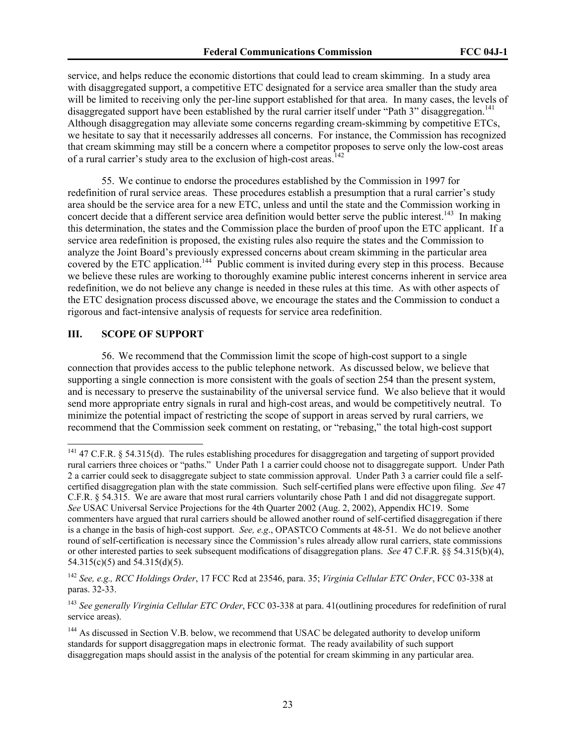service, and helps reduce the economic distortions that could lead to cream skimming. In a study area with disaggregated support, a competitive ETC designated for a service area smaller than the study area will be limited to receiving only the per-line support established for that area. In many cases, the levels of disaggregated support have been established by the rural carrier itself under "Path 3" disaggregation.<sup>141</sup> Although disaggregation may alleviate some concerns regarding cream-skimming by competitive ETCs, we hesitate to say that it necessarily addresses all concerns. For instance, the Commission has recognized that cream skimming may still be a concern where a competitor proposes to serve only the low-cost areas of a rural carrier's study area to the exclusion of high-cost areas.<sup>142</sup>

55. We continue to endorse the procedures established by the Commission in 1997 for redefinition of rural service areas. These procedures establish a presumption that a rural carrier's study area should be the service area for a new ETC, unless and until the state and the Commission working in concert decide that a different service area definition would better serve the public interest.<sup>143</sup> In making this determination, the states and the Commission place the burden of proof upon the ETC applicant. If a service area redefinition is proposed, the existing rules also require the states and the Commission to analyze the Joint Board's previously expressed concerns about cream skimming in the particular area covered by the ETC application.<sup>144</sup> Public comment is invited during every step in this process. Because we believe these rules are working to thoroughly examine public interest concerns inherent in service area redefinition, we do not believe any change is needed in these rules at this time. As with other aspects of the ETC designation process discussed above, we encourage the states and the Commission to conduct a rigorous and fact-intensive analysis of requests for service area redefinition.

### **III. SCOPE OF SUPPORT**

 $\overline{a}$ 

56. We recommend that the Commission limit the scope of high-cost support to a single connection that provides access to the public telephone network. As discussed below, we believe that supporting a single connection is more consistent with the goals of section 254 than the present system, and is necessary to preserve the sustainability of the universal service fund. We also believe that it would send more appropriate entry signals in rural and high-cost areas, and would be competitively neutral. To minimize the potential impact of restricting the scope of support in areas served by rural carriers, we recommend that the Commission seek comment on restating, or "rebasing," the total high-cost support

 $141$  47 C.F.R. § 54.315(d). The rules establishing procedures for disaggregation and targeting of support provided rural carriers three choices or "paths." Under Path 1 a carrier could choose not to disaggregate support. Under Path 2 a carrier could seek to disaggregate subject to state commission approval. Under Path 3 a carrier could file a selfcertified disaggregation plan with the state commission. Such self-certified plans were effective upon filing. *See* 47 C.F.R. § 54.315. We are aware that most rural carriers voluntarily chose Path 1 and did not disaggregate support. *See* USAC Universal Service Projections for the 4th Quarter 2002 (Aug. 2, 2002), Appendix HC19. Some commenters have argued that rural carriers should be allowed another round of self-certified disaggregation if there is a change in the basis of high-cost support. *See, e.g*., OPASTCO Comments at 48-51. We do not believe another round of self-certification is necessary since the Commission's rules already allow rural carriers, state commissions or other interested parties to seek subsequent modifications of disaggregation plans. *See* 47 C.F.R. §§ 54.315(b)(4), 54.315(c)(5) and 54.315(d)(5).

<sup>142</sup> *See, e.g., RCC Holdings Order*, 17 FCC Rcd at 23546, para. 35; *Virginia Cellular ETC Order*, FCC 03-338 at paras. 32-33.

<sup>143</sup> *See generally Virginia Cellular ETC Order*, FCC 03-338 at para. 41(outlining procedures for redefinition of rural service areas).

<sup>&</sup>lt;sup>144</sup> As discussed in Section V.B. below, we recommend that USAC be delegated authority to develop uniform standards for support disaggregation maps in electronic format. The ready availability of such support disaggregation maps should assist in the analysis of the potential for cream skimming in any particular area.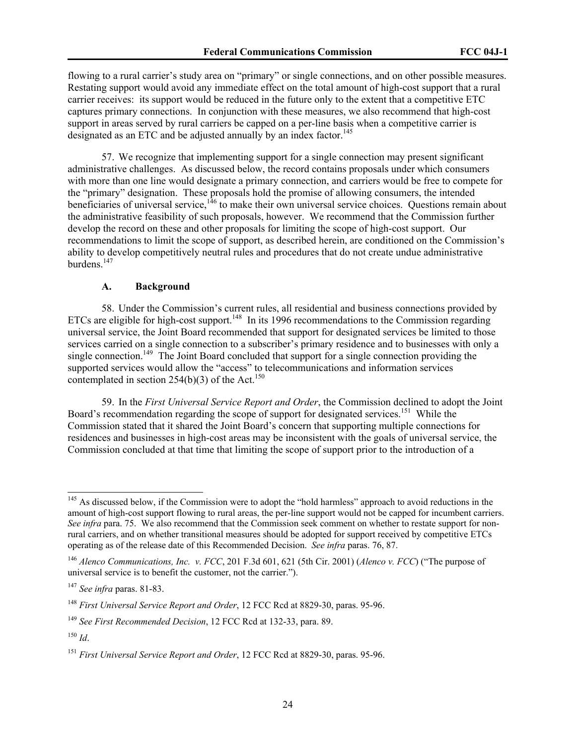flowing to a rural carrier's study area on "primary" or single connections, and on other possible measures. Restating support would avoid any immediate effect on the total amount of high-cost support that a rural carrier receives: its support would be reduced in the future only to the extent that a competitive ETC captures primary connections. In conjunction with these measures, we also recommend that high-cost support in areas served by rural carriers be capped on a per-line basis when a competitive carrier is designated as an ETC and be adjusted annually by an index factor.<sup>145</sup>

57. We recognize that implementing support for a single connection may present significant administrative challenges. As discussed below, the record contains proposals under which consumers with more than one line would designate a primary connection, and carriers would be free to compete for the "primary" designation. These proposals hold the promise of allowing consumers, the intended beneficiaries of universal service, $146$  to make their own universal service choices. Questions remain about the administrative feasibility of such proposals, however. We recommend that the Commission further develop the record on these and other proposals for limiting the scope of high-cost support. Our recommendations to limit the scope of support, as described herein, are conditioned on the Commission's ability to develop competitively neutral rules and procedures that do not create undue administrative burdens.<sup>147</sup>

#### **A. Background**

58. Under the Commission's current rules, all residential and business connections provided by ETCs are eligible for high-cost support.<sup>148</sup> In its 1996 recommendations to the Commission regarding universal service, the Joint Board recommended that support for designated services be limited to those services carried on a single connection to a subscriber's primary residence and to businesses with only a single connection.<sup>149</sup> The Joint Board concluded that support for a single connection providing the supported services would allow the "access" to telecommunications and information services contemplated in section  $254(b)(3)$  of the Act.<sup>150</sup>

59. In the *First Universal Service Report and Order*, the Commission declined to adopt the Joint Board's recommendation regarding the scope of support for designated services.<sup>151</sup> While the Commission stated that it shared the Joint Board's concern that supporting multiple connections for residences and businesses in high-cost areas may be inconsistent with the goals of universal service, the Commission concluded at that time that limiting the scope of support prior to the introduction of a

<sup>&</sup>lt;sup>145</sup> As discussed below, if the Commission were to adopt the "hold harmless" approach to avoid reductions in the amount of high-cost support flowing to rural areas, the per-line support would not be capped for incumbent carriers. *See infra* para. 75. We also recommend that the Commission seek comment on whether to restate support for nonrural carriers, and on whether transitional measures should be adopted for support received by competitive ETCs operating as of the release date of this Recommended Decision. *See infra* paras. 76, 87.

<sup>146</sup> *Alenco Communications, Inc. v. FCC*, 201 F.3d 601, 621 (5th Cir. 2001) (*Alenco v. FCC*) ("The purpose of universal service is to benefit the customer, not the carrier.").

<sup>147</sup> *See infra* paras. 81-83.

<sup>148</sup> *First Universal Service Report and Order*, 12 FCC Rcd at 8829-30, paras. 95-96.

<sup>149</sup> *See First Recommended Decision*, 12 FCC Rcd at 132-33, para. 89.

<sup>150</sup> *Id*.

<sup>151</sup> *First Universal Service Report and Order*, 12 FCC Rcd at 8829-30, paras. 95-96.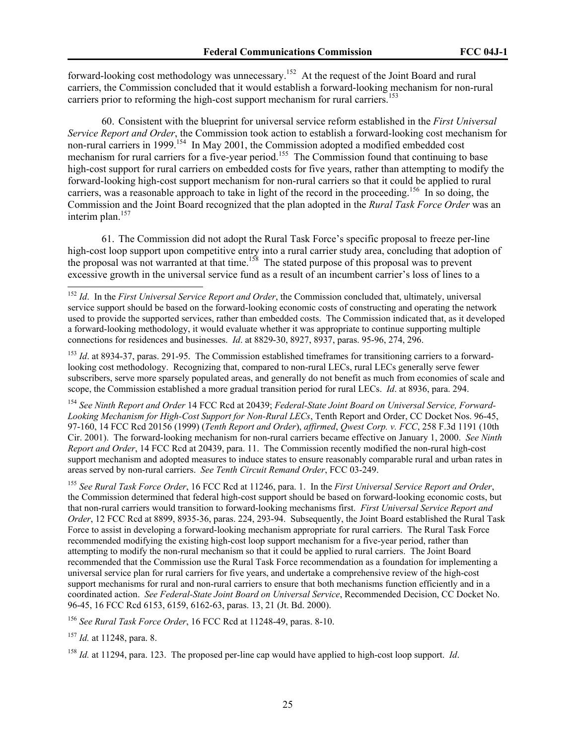forward-looking cost methodology was unnecessary.<sup>152</sup> At the request of the Joint Board and rural carriers, the Commission concluded that it would establish a forward-looking mechanism for non-rural carriers prior to reforming the high-cost support mechanism for rural carriers.<sup>153</sup>

60. Consistent with the blueprint for universal service reform established in the *First Universal Service Report and Order*, the Commission took action to establish a forward-looking cost mechanism for non-rural carriers in 1999.<sup>154</sup> In May 2001, the Commission adopted a modified embedded cost mechanism for rural carriers for a five-year period.<sup>155</sup> The Commission found that continuing to base high-cost support for rural carriers on embedded costs for five years, rather than attempting to modify the forward-looking high-cost support mechanism for non-rural carriers so that it could be applied to rural carriers, was a reasonable approach to take in light of the record in the proceeding.<sup>156</sup> In so doing, the Commission and the Joint Board recognized that the plan adopted in the *Rural Task Force Order* was an interim plan.<sup>157</sup>

61. The Commission did not adopt the Rural Task Force's specific proposal to freeze per-line high-cost loop support upon competitive entry into a rural carrier study area, concluding that adoption of the proposal was not warranted at that time.<sup>158</sup> The stated purpose of this proposal was to prevent excessive growth in the universal service fund as a result of an incumbent carrier's loss of lines to a

<sup>153</sup> *Id.* at 8934-37, paras. 291-95. The Commission established timeframes for transitioning carriers to a forwardlooking cost methodology. Recognizing that, compared to non-rural LECs, rural LECs generally serve fewer subscribers, serve more sparsely populated areas, and generally do not benefit as much from economies of scale and scope, the Commission established a more gradual transition period for rural LECs. *Id*. at 8936, para. 294.

<sup>154</sup> *See Ninth Report and Order* 14 FCC Rcd at 20439; *Federal-State Joint Board on Universal Service, Forward-Looking Mechanism for High-Cost Support for Non-Rural LECs*, Tenth Report and Order, CC Docket Nos. 96-45, 97-160, 14 FCC Rcd 20156 (1999) (*Tenth Report and Order*), *affirmed*, *Qwest Corp. v. FCC*, 258 F.3d 1191 (10th Cir. 2001). The forward-looking mechanism for non-rural carriers became effective on January 1, 2000. *See Ninth Report and Order*, 14 FCC Rcd at 20439, para. 11. The Commission recently modified the non-rural high-cost support mechanism and adopted measures to induce states to ensure reasonably comparable rural and urban rates in areas served by non-rural carriers. *See Tenth Circuit Remand Order*, FCC 03-249.

<sup>155</sup> *See Rural Task Force Order*, 16 FCC Rcd at 11246, para. 1. In the *First Universal Service Report and Order*, the Commission determined that federal high-cost support should be based on forward-looking economic costs, but that non-rural carriers would transition to forward-looking mechanisms first. *First Universal Service Report and Order*, 12 FCC Rcd at 8899, 8935-36, paras. 224, 293-94. Subsequently, the Joint Board established the Rural Task Force to assist in developing a forward-looking mechanism appropriate for rural carriers. The Rural Task Force recommended modifying the existing high-cost loop support mechanism for a five-year period, rather than attempting to modify the non-rural mechanism so that it could be applied to rural carriers. The Joint Board recommended that the Commission use the Rural Task Force recommendation as a foundation for implementing a universal service plan for rural carriers for five years, and undertake a comprehensive review of the high-cost support mechanisms for rural and non-rural carriers to ensure that both mechanisms function efficiently and in a coordinated action. *See Federal-State Joint Board on Universal Service*, Recommended Decision, CC Docket No. 96-45, 16 FCC Rcd 6153, 6159, 6162-63, paras. 13, 21 (Jt. Bd. 2000).

<sup>156</sup> *See Rural Task Force Order*, 16 FCC Rcd at 11248-49, paras. 8-10.

<sup>157</sup> *Id.* at 11248, para. 8.

 $\overline{a}$ 

<sup>158</sup> *Id.* at 11294, para. 123. The proposed per-line cap would have applied to high-cost loop support. *Id*.

<sup>&</sup>lt;sup>152</sup> *Id.* In the *First Universal Service Report and Order*, the Commission concluded that, ultimately, universal service support should be based on the forward-looking economic costs of constructing and operating the network used to provide the supported services, rather than embedded costs. The Commission indicated that, as it developed a forward-looking methodology, it would evaluate whether it was appropriate to continue supporting multiple connections for residences and businesses. *Id*. at 8829-30, 8927, 8937, paras. 95-96, 274, 296.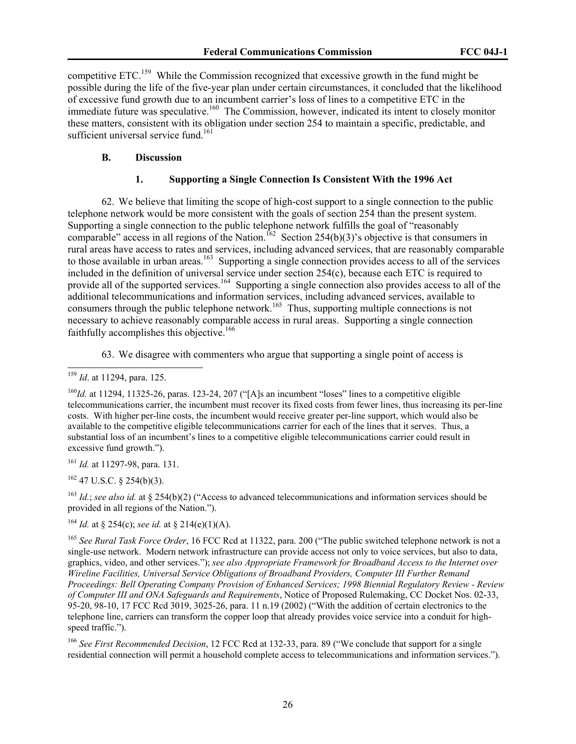competitive ETC.159 While the Commission recognized that excessive growth in the fund might be possible during the life of the five-year plan under certain circumstances, it concluded that the likelihood of excessive fund growth due to an incumbent carrier's loss of lines to a competitive ETC in the immediate future was speculative.<sup>160</sup> The Commission, however, indicated its intent to closely monitor these matters, consistent with its obligation under section 254 to maintain a specific, predictable, and sufficient universal service fund.<sup>161</sup>

# **B. Discussion**

## **1. Supporting a Single Connection Is Consistent With the 1996 Act**

62. We believe that limiting the scope of high-cost support to a single connection to the public telephone network would be more consistent with the goals of section 254 than the present system. Supporting a single connection to the public telephone network fulfills the goal of "reasonably comparable" access in all regions of the Nation.<sup>162</sup> Section 254(b)(3)'s objective is that consumers in rural areas have access to rates and services, including advanced services, that are reasonably comparable to those available in urban areas.<sup>163</sup> Supporting a single connection provides access to all of the services included in the definition of universal service under section 254(c), because each ETC is required to provide all of the supported services.<sup>164</sup> Supporting a single connection also provides access to all of the additional telecommunications and information services, including advanced services, available to consumers through the public telephone network.165 Thus, supporting multiple connections is not necessary to achieve reasonably comparable access in rural areas. Supporting a single connection faithfully accomplishes this objective.<sup>166</sup>

63. We disagree with commenters who argue that supporting a single point of access is

<sup>160</sup>*Id.* at 11294, 11325-26, paras. 123-24, 207 ("[A]s an incumbent "loses" lines to a competitive eligible telecommunications carrier, the incumbent must recover its fixed costs from fewer lines, thus increasing its per-line costs. With higher per-line costs, the incumbent would receive greater per-line support, which would also be available to the competitive eligible telecommunications carrier for each of the lines that it serves. Thus, a substantial loss of an incumbent's lines to a competitive eligible telecommunications carrier could result in excessive fund growth.").

<sup>161</sup> *Id.* at 11297-98, para. 131.

 $162$  47 U.S.C. § 254(b)(3).

<sup>163</sup> *Id.*; *see also id.* at § 254(b)(2) ("Access to advanced telecommunications and information services should be provided in all regions of the Nation.").

<sup>164</sup> *Id.* at § 254(c); *see id.* at § 214(e)(1)(A).

<sup>165</sup> *See Rural Task Force Order*, 16 FCC Rcd at 11322, para. 200 ("The public switched telephone network is not a single-use network. Modern network infrastructure can provide access not only to voice services, but also to data, graphics, video, and other services."); *see also Appropriate Framework for Broadband Access to the Internet over Wireline Facilities, Universal Service Obligations of Broadband Providers, Computer III Further Remand Proceedings: Bell Operating Company Provision of Enhanced Services; 1998 Biennial Regulatory Review - Review of Computer III and ONA Safeguards and Requirements*, Notice of Proposed Rulemaking, CC Docket Nos. 02-33, 95-20, 98-10, 17 FCC Rcd 3019, 3025-26, para. 11 n.19 (2002) ("With the addition of certain electronics to the telephone line, carriers can transform the copper loop that already provides voice service into a conduit for highspeed traffic.").

<sup>166</sup> *See First Recommended Decision*, 12 FCC Rcd at 132-33, para. 89 ("We conclude that support for a single residential connection will permit a household complete access to telecommunications and information services.").

 $\overline{a}$ <sup>159</sup> *Id*. at 11294, para. 125.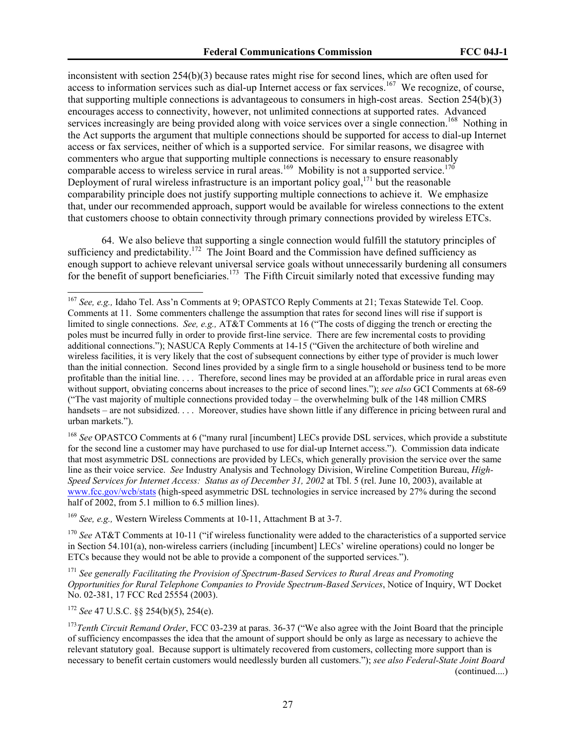inconsistent with section 254(b)(3) because rates might rise for second lines, which are often used for access to information services such as dial-up Internet access or fax services.<sup>167</sup> We recognize, of course, that supporting multiple connections is advantageous to consumers in high-cost areas. Section 254(b)(3) encourages access to connectivity, however, not unlimited connections at supported rates. Advanced services increasingly are being provided along with voice services over a single connection.<sup>168</sup> Nothing in the Act supports the argument that multiple connections should be supported for access to dial-up Internet access or fax services, neither of which is a supported service. For similar reasons, we disagree with commenters who argue that supporting multiple connections is necessary to ensure reasonably comparable access to wireless service in rural areas.<sup>169</sup> Mobility is not a supported service.<sup>170</sup> Deployment of rural wireless infrastructure is an important policy goal,  $171 \text{ bit}$  the reasonable comparability principle does not justify supporting multiple connections to achieve it. We emphasize that, under our recommended approach, support would be available for wireless connections to the extent that customers choose to obtain connectivity through primary connections provided by wireless ETCs.

64. We also believe that supporting a single connection would fulfill the statutory principles of sufficiency and predictability.<sup>172</sup> The Joint Board and the Commission have defined sufficiency as enough support to achieve relevant universal service goals without unnecessarily burdening all consumers for the benefit of support beneficiaries.<sup>173</sup> The Fifth Circuit similarly noted that excessive funding may

<sup>168</sup> See OPASTCO Comments at 6 ("many rural [incumbent] LECs provide DSL services, which provide a substitute for the second line a customer may have purchased to use for dial-up Internet access."). Commission data indicate that most asymmetric DSL connections are provided by LECs, which generally provision the service over the same line as their voice service. *See* Industry Analysis and Technology Division, Wireline Competition Bureau, *High-Speed Services for Internet Access: Status as of December 31, 2002* at Tbl. 5 (rel. June 10, 2003), available at www.fcc.gov/wcb/stats (high-speed asymmetric DSL technologies in service increased by 27% during the second half of 2002, from 5.1 million to 6.5 million lines).

<sup>169</sup> *See, e.g.,* Western Wireless Comments at 10-11, Attachment B at 3-7.

<sup>170</sup> See AT&T Comments at 10-11 ("if wireless functionality were added to the characteristics of a supported service in Section 54.101(a), non-wireless carriers (including [incumbent] LECs' wireline operations) could no longer be ETCs because they would not be able to provide a component of the supported services.").

<sup>171</sup> *See generally Facilitating the Provision of Spectrum-Based Services to Rural Areas and Promoting Opportunities for Rural Telephone Companies to Provide Spectrum-Based Services*, Notice of Inquiry, WT Docket No. 02-381, 17 FCC Rcd 25554 (2003).

<sup>172</sup> *See* 47 U.S.C. §§ 254(b)(5), 254(e).

<sup>167</sup> *See, e.g.,* Idaho Tel. Ass'n Comments at 9; OPASTCO Reply Comments at 21; Texas Statewide Tel. Coop. Comments at 11. Some commenters challenge the assumption that rates for second lines will rise if support is limited to single connections. *See, e.g.,* AT&T Comments at 16 ("The costs of digging the trench or erecting the poles must be incurred fully in order to provide first-line service. There are few incremental costs to providing additional connections."); NASUCA Reply Comments at 14-15 ("Given the architecture of both wireline and wireless facilities, it is very likely that the cost of subsequent connections by either type of provider is much lower than the initial connection. Second lines provided by a single firm to a single household or business tend to be more profitable than the initial line. . . . Therefore, second lines may be provided at an affordable price in rural areas even without support, obviating concerns about increases to the price of second lines."); *see also* GCI Comments at 68-69 ("The vast majority of multiple connections provided today – the overwhelming bulk of the 148 million CMRS handsets – are not subsidized. . . . Moreover, studies have shown little if any difference in pricing between rural and urban markets.").

<sup>&</sup>lt;sup>173</sup>Tenth Circuit Remand Order, FCC 03-239 at paras. 36-37 ("We also agree with the Joint Board that the principle of sufficiency encompasses the idea that the amount of support should be only as large as necessary to achieve the relevant statutory goal. Because support is ultimately recovered from customers, collecting more support than is necessary to benefit certain customers would needlessly burden all customers."); *see also Federal-State Joint Board*  (continued....)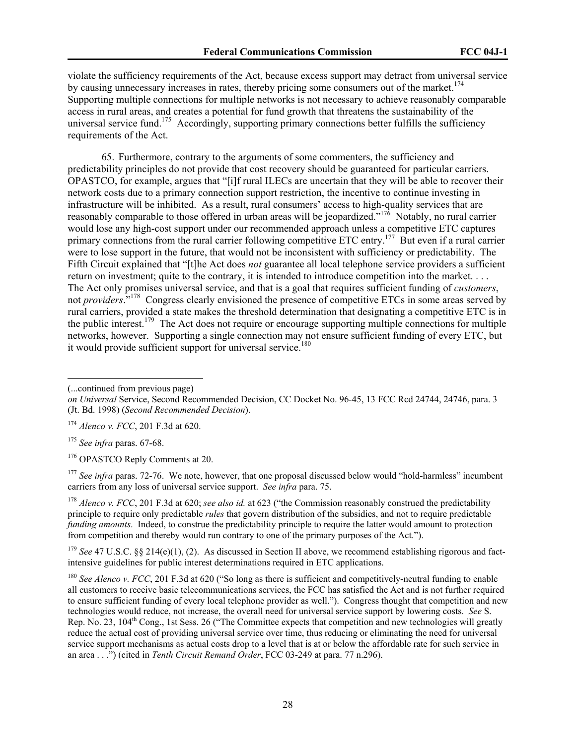violate the sufficiency requirements of the Act, because excess support may detract from universal service by causing unnecessary increases in rates, thereby pricing some consumers out of the market.<sup>174</sup> Supporting multiple connections for multiple networks is not necessary to achieve reasonably comparable access in rural areas, and creates a potential for fund growth that threatens the sustainability of the universal service fund.<sup>175</sup> Accordingly, supporting primary connections better fulfills the sufficiency requirements of the Act.

65. Furthermore, contrary to the arguments of some commenters, the sufficiency and predictability principles do not provide that cost recovery should be guaranteed for particular carriers. OPASTCO, for example, argues that "[i]f rural ILECs are uncertain that they will be able to recover their network costs due to a primary connection support restriction, the incentive to continue investing in infrastructure will be inhibited. As a result, rural consumers' access to high-quality services that are reasonably comparable to those offered in urban areas will be jeopardized."<sup>176</sup> Notably, no rural carrier would lose any high-cost support under our recommended approach unless a competitive ETC captures primary connections from the rural carrier following competitive ETC entry.<sup>177</sup> But even if a rural carrier were to lose support in the future, that would not be inconsistent with sufficiency or predictability. The Fifth Circuit explained that "[t]he Act does *not* guarantee all local telephone service providers a sufficient return on investment; quite to the contrary, it is intended to introduce competition into the market. . . . The Act only promises universal service, and that is a goal that requires sufficient funding of *customers*, not *providers*."178 Congress clearly envisioned the presence of competitive ETCs in some areas served by rural carriers, provided a state makes the threshold determination that designating a competitive ETC is in the public interest.179 The Act does not require or encourage supporting multiple connections for multiple networks, however. Supporting a single connection may not ensure sufficient funding of every ETC, but it would provide sufficient support for universal service.<sup>180</sup>

<sup>(...</sup>continued from previous page)

*on Universal* Service, Second Recommended Decision, CC Docket No. 96-45, 13 FCC Rcd 24744, 24746, para. 3 (Jt. Bd. 1998) (*Second Recommended Decision*).

<sup>174</sup> *Alenco v. FCC*, 201 F.3d at 620.

<sup>175</sup> *See infra* paras. 67-68.

<sup>&</sup>lt;sup>176</sup> OPASTCO Reply Comments at 20.

<sup>&</sup>lt;sup>177</sup> See infra paras. 72-76. We note, however, that one proposal discussed below would "hold-harmless" incumbent carriers from any loss of universal service support. *See infra* para. 75.

<sup>&</sup>lt;sup>178</sup> *Alenco v. FCC*, 201 F.3d at 620; *see also id.* at 623 ("the Commission reasonably construed the predictability principle to require only predictable *rules* that govern distribution of the subsidies, and not to require predictable *funding amounts*. Indeed, to construe the predictability principle to require the latter would amount to protection from competition and thereby would run contrary to one of the primary purposes of the Act.").

<sup>&</sup>lt;sup>179</sup> See 47 U.S.C. §§ 214(e)(1), (2). As discussed in Section II above, we recommend establishing rigorous and factintensive guidelines for public interest determinations required in ETC applications.

<sup>&</sup>lt;sup>180</sup> *See Alenco v. FCC*, 201 F.3d at 620 ("So long as there is sufficient and competitively-neutral funding to enable all customers to receive basic telecommunications services, the FCC has satisfied the Act and is not further required to ensure sufficient funding of every local telephone provider as well."). Congress thought that competition and new technologies would reduce, not increase, the overall need for universal service support by lowering costs. *See* S. Rep. No. 23, 104<sup>th</sup> Cong., 1st Sess. 26 ("The Committee expects that competition and new technologies will greatly reduce the actual cost of providing universal service over time, thus reducing or eliminating the need for universal service support mechanisms as actual costs drop to a level that is at or below the affordable rate for such service in an area . . .") (cited in *Tenth Circuit Remand Order*, FCC 03-249 at para. 77 n.296).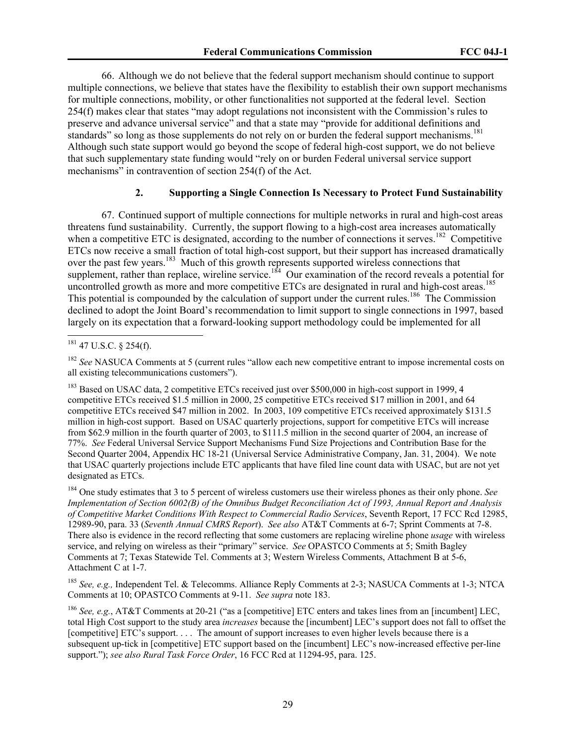66. Although we do not believe that the federal support mechanism should continue to support multiple connections, we believe that states have the flexibility to establish their own support mechanisms for multiple connections, mobility, or other functionalities not supported at the federal level. Section 254(f) makes clear that states "may adopt regulations not inconsistent with the Commission's rules to preserve and advance universal service" and that a state may "provide for additional definitions and standards" so long as those supplements do not rely on or burden the federal support mechanisms.<sup>181</sup> Although such state support would go beyond the scope of federal high-cost support, we do not believe that such supplementary state funding would "rely on or burden Federal universal service support mechanisms" in contravention of section 254(f) of the Act.

# **2. Supporting a Single Connection Is Necessary to Protect Fund Sustainability**

67. Continued support of multiple connections for multiple networks in rural and high-cost areas threatens fund sustainability. Currently, the support flowing to a high-cost area increases automatically when a competitive ETC is designated, according to the number of connections it serves.<sup>182</sup> Competitive ETCs now receive a small fraction of total high-cost support, but their support has increased dramatically over the past few years.<sup>183</sup> Much of this growth represents supported wireless connections that supplement, rather than replace, wireline service.<sup>184</sup> Our examination of the record reveals a potential for uncontrolled growth as more and more competitive ETCs are designated in rural and high-cost areas.<sup>185</sup> This potential is compounded by the calculation of support under the current rules.<sup>186</sup> The Commission declined to adopt the Joint Board's recommendation to limit support to single connections in 1997, based largely on its expectation that a forward-looking support methodology could be implemented for all

 $\overline{a}$ 

<sup>183</sup> Based on USAC data, 2 competitive ETCs received just over \$500,000 in high-cost support in 1999, 4 competitive ETCs received \$1.5 million in 2000, 25 competitive ETCs received \$17 million in 2001, and 64 competitive ETCs received \$47 million in 2002. In 2003, 109 competitive ETCs received approximately \$131.5 million in high-cost support. Based on USAC quarterly projections, support for competitive ETCs will increase from \$62.9 million in the fourth quarter of 2003, to \$111.5 million in the second quarter of 2004, an increase of 77%. *See* Federal Universal Service Support Mechanisms Fund Size Projections and Contribution Base for the Second Quarter 2004, Appendix HC 18-21 (Universal Service Administrative Company, Jan. 31, 2004). We note that USAC quarterly projections include ETC applicants that have filed line count data with USAC, but are not yet designated as ETCs.

184 One study estimates that 3 to 5 percent of wireless customers use their wireless phones as their only phone. *See Implementation of Section 6002(B) of the Omnibus Budget Reconciliation Act of 1993, Annual Report and Analysis of Competitive Market Conditions With Respect to Commercial Radio Services*, Seventh Report, 17 FCC Rcd 12985, 12989-90, para. 33 (*Seventh Annual CMRS Report*). *See also* AT&T Comments at 6-7; Sprint Comments at 7-8. There also is evidence in the record reflecting that some customers are replacing wireline phone *usage* with wireless service, and relying on wireless as their "primary" service. *See* OPASTCO Comments at 5; Smith Bagley Comments at 7; Texas Statewide Tel. Comments at 3; Western Wireless Comments, Attachment B at 5-6, Attachment C at 1-7.

<sup>185</sup> *See, e.g.,* Independent Tel. & Telecomms. Alliance Reply Comments at 2-3; NASUCA Comments at 1-3; NTCA Comments at 10; OPASTCO Comments at 9-11. *See supra* note 183.

<sup>186</sup> *See, e.g.*, AT&T Comments at 20-21 ("as a [competitive] ETC enters and takes lines from an [incumbent] LEC, total High Cost support to the study area *increases* because the [incumbent] LEC's support does not fall to offset the [competitive] ETC's support. . . . The amount of support increases to even higher levels because there is a subsequent up-tick in [competitive] ETC support based on the [incumbent] LEC's now-increased effective per-line support."); *see also Rural Task Force Order*, 16 FCC Rcd at 11294-95, para. 125.

 $181$  47 U.S.C. § 254(f).

<sup>&</sup>lt;sup>182</sup> *See* NASUCA Comments at 5 (current rules "allow each new competitive entrant to impose incremental costs on all existing telecommunications customers").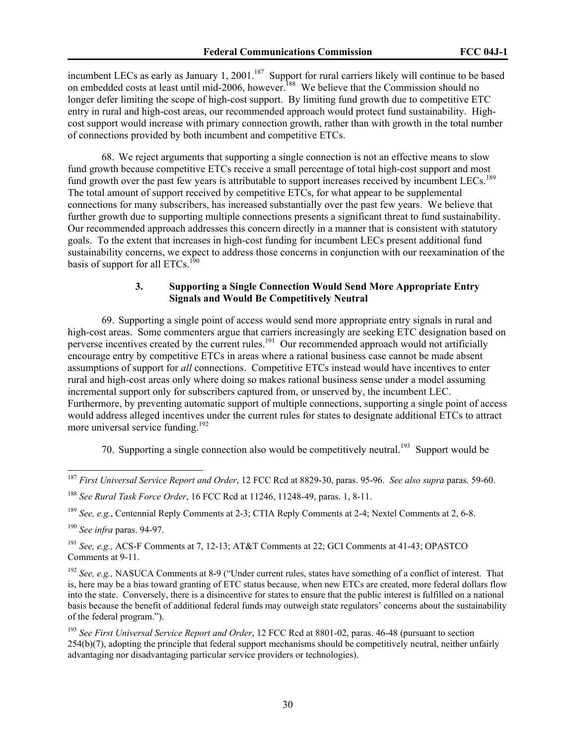incumbent LECs as early as January 1, 2001.<sup>187</sup> Support for rural carriers likely will continue to be based on embedded costs at least until mid-2006, however.<sup>188</sup> We believe that the Commission should no longer defer limiting the scope of high-cost support. By limiting fund growth due to competitive ETC entry in rural and high-cost areas, our recommended approach would protect fund sustainability. Highcost support would increase with primary connection growth, rather than with growth in the total number of connections provided by both incumbent and competitive ETCs.

68. We reject arguments that supporting a single connection is not an effective means to slow fund growth because competitive ETCs receive a small percentage of total high-cost support and most fund growth over the past few years is attributable to support increases received by incumbent LECs.<sup>189</sup> The total amount of support received by competitive ETCs, for what appear to be supplemental connections for many subscribers, has increased substantially over the past few years. We believe that further growth due to supporting multiple connections presents a significant threat to fund sustainability. Our recommended approach addresses this concern directly in a manner that is consistent with statutory goals. To the extent that increases in high-cost funding for incumbent LECs present additional fund sustainability concerns, we expect to address those concerns in conjunction with our reexamination of the basis of support for all  $ETCs$ <sup>190</sup>

# **3. Supporting a Single Connection Would Send More Appropriate Entry Signals and Would Be Competitively Neutral**

69. Supporting a single point of access would send more appropriate entry signals in rural and high-cost areas. Some commenters argue that carriers increasingly are seeking ETC designation based on perverse incentives created by the current rules.<sup>191</sup> Our recommended approach would not artificially encourage entry by competitive ETCs in areas where a rational business case cannot be made absent assumptions of support for *all* connections. Competitive ETCs instead would have incentives to enter rural and high-cost areas only where doing so makes rational business sense under a model assuming incremental support only for subscribers captured from, or unserved by, the incumbent LEC. Furthermore, by preventing automatic support of multiple connections, supporting a single point of access would address alleged incentives under the current rules for states to designate additional ETCs to attract more universal service funding.<sup>192</sup>

70. Supporting a single connection also would be competitively neutral.<sup>193</sup> Support would be

<sup>189</sup> *See, e.g.*, Centennial Reply Comments at 2-3; CTIA Reply Comments at 2-4; Nextel Comments at 2, 6-8.

<sup>187</sup> *First Universal Service Report and Order*, 12 FCC Rcd at 8829-30, paras. 95-96. *See also supra* paras. 59-60.

<sup>188</sup> *See Rural Task Force Order*, 16 FCC Rcd at 11246, 11248-49, paras. 1, 8-11.

<sup>190</sup> *See infra* paras. 94-97.

<sup>191</sup> *See, e.g.,* ACS-F Comments at 7, 12-13; AT&T Comments at 22; GCI Comments at 41-43; OPASTCO Comments at 9-11.

<sup>192</sup> *See, e.g.,* NASUCA Comments at 8-9 ("Under current rules, states have something of a conflict of interest. That is, here may be a bias toward granting of ETC status because, when new ETCs are created, more federal dollars flow into the state. Conversely, there is a disincentive for states to ensure that the public interest is fulfilled on a national basis because the benefit of additional federal funds may outweigh state regulators' concerns about the sustainability of the federal program.").

<sup>193</sup> *See First Universal Service Report and Order*, 12 FCC Rcd at 8801-02, paras. 46-48 (pursuant to section 254(b)(7), adopting the principle that federal support mechanisms should be competitively neutral, neither unfairly advantaging nor disadvantaging particular service providers or technologies).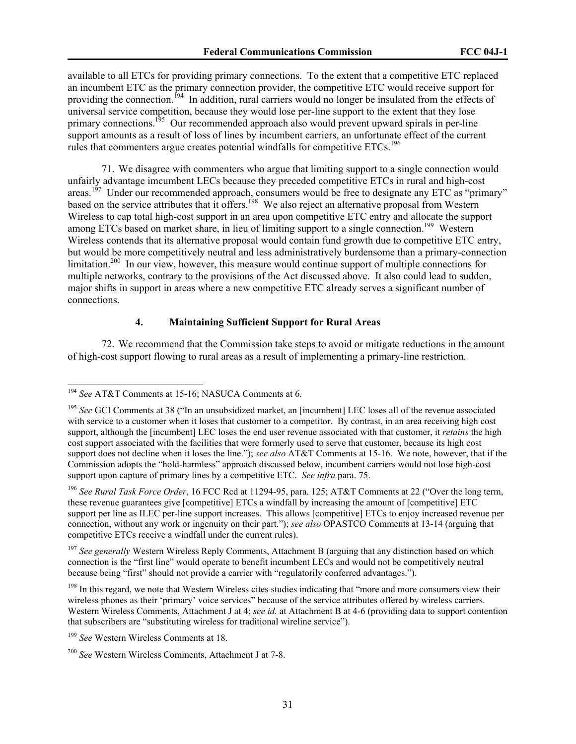available to all ETCs for providing primary connections. To the extent that a competitive ETC replaced an incumbent ETC as the primary connection provider, the competitive ETC would receive support for providing the connection.<sup>194</sup> In addition, rural carriers would no longer be insulated from the effects of universal service competition, because they would lose per-line support to the extent that they lose primary connections.<sup>195</sup> Our recommended approach also would prevent upward spirals in per-line support amounts as a result of loss of lines by incumbent carriers, an unfortunate effect of the current rules that commenters argue creates potential windfalls for competitive  $ETCs$ .<sup>196</sup>

71. We disagree with commenters who argue that limiting support to a single connection would unfairly advantage imcumbent LECs because they preceded competitive ETCs in rural and high-cost areas.<sup>197</sup> Under our recommended approach, consumers would be free to designate any ETC as "primary" based on the service attributes that it offers.<sup>198</sup> We also reject an alternative proposal from Western Wireless to cap total high-cost support in an area upon competitive ETC entry and allocate the support among ETCs based on market share, in lieu of limiting support to a single connection.<sup>199</sup> Western Wireless contends that its alternative proposal would contain fund growth due to competitive ETC entry, but would be more competitively neutral and less administratively burdensome than a primary-connection limitation.<sup>200</sup> In our view, however, this measure would continue support of multiple connections for multiple networks, contrary to the provisions of the Act discussed above. It also could lead to sudden, major shifts in support in areas where a new competitive ETC already serves a significant number of connections.

# **4. Maintaining Sufficient Support for Rural Areas**

72. We recommend that the Commission take steps to avoid or mitigate reductions in the amount of high-cost support flowing to rural areas as a result of implementing a primary-line restriction.

 $\overline{a}$ 

<sup>197</sup> See generally Western Wireless Reply Comments, Attachment B (arguing that any distinction based on which connection is the "first line" would operate to benefit incumbent LECs and would not be competitively neutral because being "first" should not provide a carrier with "regulatorily conferred advantages.").

<sup>194</sup> *See* AT&T Comments at 15-16; NASUCA Comments at 6.

<sup>195</sup> *See* GCI Comments at 38 ("In an unsubsidized market, an [incumbent] LEC loses all of the revenue associated with service to a customer when it loses that customer to a competitor. By contrast, in an area receiving high cost support, although the [incumbent] LEC loses the end user revenue associated with that customer, it *retains* the high cost support associated with the facilities that were formerly used to serve that customer, because its high cost support does not decline when it loses the line."); *see also* AT&T Comments at 15-16. We note, however, that if the Commission adopts the "hold-harmless" approach discussed below, incumbent carriers would not lose high-cost support upon capture of primary lines by a competitive ETC. *See infra* para. 75.

<sup>196</sup> *See Rural Task Force Order*, 16 FCC Rcd at 11294-95, para. 125; AT&T Comments at 22 ("Over the long term, these revenue guarantees give [competitive] ETCs a windfall by increasing the amount of [competitive] ETC support per line as ILEC per-line support increases. This allows [competitive] ETCs to enjoy increased revenue per connection, without any work or ingenuity on their part."); *see also* OPASTCO Comments at 13-14 (arguing that competitive ETCs receive a windfall under the current rules).

<sup>&</sup>lt;sup>198</sup> In this regard, we note that Western Wireless cites studies indicating that "more and more consumers view their wireless phones as their 'primary' voice services" because of the service attributes offered by wireless carriers. Western Wireless Comments, Attachment J at 4; *see id.* at Attachment B at 4-6 (providing data to support contention that subscribers are "substituting wireless for traditional wireline service").

<sup>199</sup> *See* Western Wireless Comments at 18.

<sup>200</sup> *See* Western Wireless Comments, Attachment J at 7-8.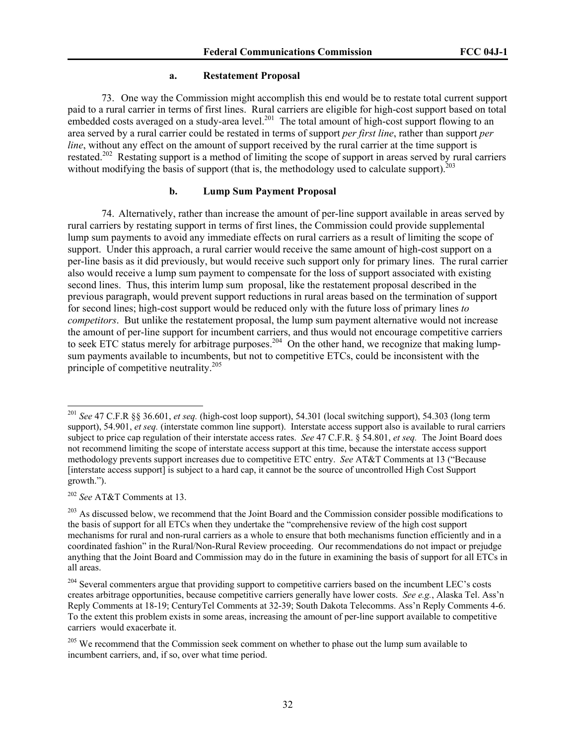#### **a. Restatement Proposal**

73. One way the Commission might accomplish this end would be to restate total current support paid to a rural carrier in terms of first lines. Rural carriers are eligible for high-cost support based on total embedded costs averaged on a study-area level.<sup>201</sup> The total amount of high-cost support flowing to an area served by a rural carrier could be restated in terms of support *per first line*, rather than support *per line*, without any effect on the amount of support received by the rural carrier at the time support is restated.<sup>202</sup> Restating support is a method of limiting the scope of support in areas served by rural carriers without modifying the basis of support (that is, the methodology used to calculate support).<sup>203</sup>

#### **b. Lump Sum Payment Proposal**

74. Alternatively, rather than increase the amount of per-line support available in areas served by rural carriers by restating support in terms of first lines, the Commission could provide supplemental lump sum payments to avoid any immediate effects on rural carriers as a result of limiting the scope of support. Under this approach, a rural carrier would receive the same amount of high-cost support on a per-line basis as it did previously, but would receive such support only for primary lines. The rural carrier also would receive a lump sum payment to compensate for the loss of support associated with existing second lines. Thus, this interim lump sum proposal, like the restatement proposal described in the previous paragraph, would prevent support reductions in rural areas based on the termination of support for second lines; high-cost support would be reduced only with the future loss of primary lines *to competitors*. But unlike the restatement proposal, the lump sum payment alternative would not increase the amount of per-line support for incumbent carriers, and thus would not encourage competitive carriers to seek ETC status merely for arbitrage purposes.<sup>204</sup> On the other hand, we recognize that making lumpsum payments available to incumbents, but not to competitive ETCs, could be inconsistent with the principle of competitive neutrality.<sup>205</sup>

<sup>202</sup> *See* AT&T Comments at 13.

<sup>201</sup> *See* 47 C.F.R §§ 36.601, *et seq.* (high-cost loop support), 54.301 (local switching support), 54.303 (long term support), 54.901, *et seq.* (interstate common line support). Interstate access support also is available to rural carriers subject to price cap regulation of their interstate access rates. *See* 47 C.F.R. § 54.801, *et seq.* The Joint Board does not recommend limiting the scope of interstate access support at this time, because the interstate access support methodology prevents support increases due to competitive ETC entry. *See* AT&T Comments at 13 ("Because [interstate access support] is subject to a hard cap, it cannot be the source of uncontrolled High Cost Support growth.").

<sup>&</sup>lt;sup>203</sup> As discussed below, we recommend that the Joint Board and the Commission consider possible modifications to the basis of support for all ETCs when they undertake the "comprehensive review of the high cost support mechanisms for rural and non-rural carriers as a whole to ensure that both mechanisms function efficiently and in a coordinated fashion" in the Rural/Non-Rural Review proceeding. Our recommendations do not impact or prejudge anything that the Joint Board and Commission may do in the future in examining the basis of support for all ETCs in all areas.

<sup>&</sup>lt;sup>204</sup> Several commenters argue that providing support to competitive carriers based on the incumbent LEC's costs creates arbitrage opportunities, because competitive carriers generally have lower costs. *See e.g.*, Alaska Tel. Ass'n Reply Comments at 18-19; CenturyTel Comments at 32-39; South Dakota Telecomms. Ass'n Reply Comments 4-6. To the extent this problem exists in some areas, increasing the amount of per-line support available to competitive carriers would exacerbate it.

<sup>&</sup>lt;sup>205</sup> We recommend that the Commission seek comment on whether to phase out the lump sum available to incumbent carriers, and, if so, over what time period.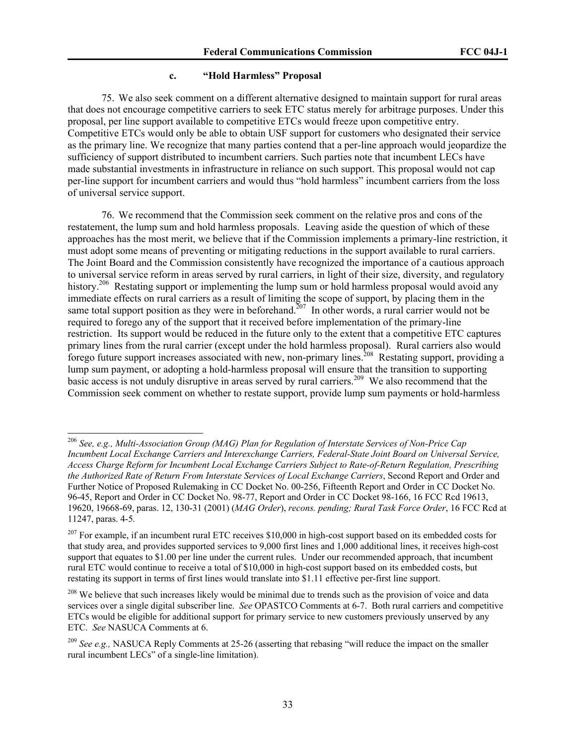#### **c. "Hold Harmless" Proposal**

75. We also seek comment on a different alternative designed to maintain support for rural areas that does not encourage competitive carriers to seek ETC status merely for arbitrage purposes. Under this proposal, per line support available to competitive ETCs would freeze upon competitive entry. Competitive ETCs would only be able to obtain USF support for customers who designated their service as the primary line. We recognize that many parties contend that a per-line approach would jeopardize the sufficiency of support distributed to incumbent carriers. Such parties note that incumbent LECs have made substantial investments in infrastructure in reliance on such support. This proposal would not cap per-line support for incumbent carriers and would thus "hold harmless" incumbent carriers from the loss of universal service support.

76. We recommend that the Commission seek comment on the relative pros and cons of the restatement, the lump sum and hold harmless proposals. Leaving aside the question of which of these approaches has the most merit, we believe that if the Commission implements a primary-line restriction, it must adopt some means of preventing or mitigating reductions in the support available to rural carriers. The Joint Board and the Commission consistently have recognized the importance of a cautious approach to universal service reform in areas served by rural carriers, in light of their size, diversity, and regulatory history.<sup>206</sup> Restating support or implementing the lump sum or hold harmless proposal would avoid any immediate effects on rural carriers as a result of limiting the scope of support, by placing them in the same total support position as they were in beforehand.<sup>207</sup> In other words, a rural carrier would not be required to forego any of the support that it received before implementation of the primary-line restriction. Its support would be reduced in the future only to the extent that a competitive ETC captures primary lines from the rural carrier (except under the hold harmless proposal). Rural carriers also would forego future support increases associated with new, non-primary lines.<sup>208</sup> Restating support, providing a lump sum payment, or adopting a hold-harmless proposal will ensure that the transition to supporting basic access is not unduly disruptive in areas served by rural carriers.<sup>209</sup> We also recommend that the Commission seek comment on whether to restate support, provide lump sum payments or hold-harmless

<sup>206</sup> *See, e.g., Multi-Association Group (MAG) Plan for Regulation of Interstate Services of Non-Price Cap Incumbent Local Exchange Carriers and Interexchange Carriers, Federal-State Joint Board on Universal Service, Access Charge Reform for Incumbent Local Exchange Carriers Subject to Rate-of-Return Regulation, Prescribing the Authorized Rate of Return From Interstate Services of Local Exchange Carriers*, Second Report and Order and Further Notice of Proposed Rulemaking in CC Docket No. 00-256, Fifteenth Report and Order in CC Docket No. 96-45, Report and Order in CC Docket No. 98-77, Report and Order in CC Docket 98-166, 16 FCC Rcd 19613, 19620, 19668-69, paras. 12, 130-31 (2001) (*MAG Order*), *recons. pending; Rural Task Force Order*, 16 FCC Rcd at 11247, paras. 4-5*.* 

 $207$  For example, if an incumbent rural ETC receives \$10,000 in high-cost support based on its embedded costs for that study area, and provides supported services to 9,000 first lines and 1,000 additional lines, it receives high-cost support that equates to \$1.00 per line under the current rules. Under our recommended approach, that incumbent rural ETC would continue to receive a total of \$10,000 in high-cost support based on its embedded costs, but restating its support in terms of first lines would translate into \$1.11 effective per-first line support.

<sup>&</sup>lt;sup>208</sup> We believe that such increases likely would be minimal due to trends such as the provision of voice and data services over a single digital subscriber line. *See* OPASTCO Comments at 6-7. Both rural carriers and competitive ETCs would be eligible for additional support for primary service to new customers previously unserved by any ETC. *See* NASUCA Comments at 6.

<sup>&</sup>lt;sup>209</sup> *See e.g.*, NASUCA Reply Comments at 25-26 (asserting that rebasing "will reduce the impact on the smaller rural incumbent LECs" of a single-line limitation).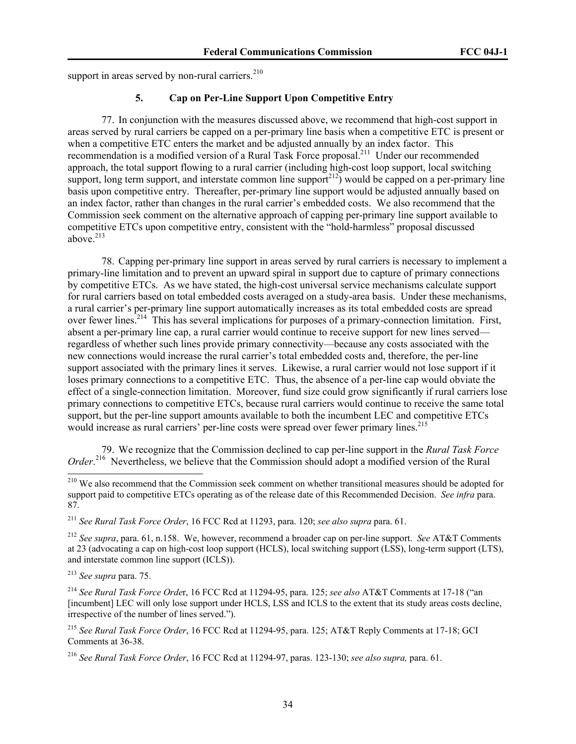support in areas served by non-rural carriers.<sup>210</sup>

# **5. Cap on Per-Line Support Upon Competitive Entry**

77. In conjunction with the measures discussed above, we recommend that high-cost support in areas served by rural carriers be capped on a per-primary line basis when a competitive ETC is present or when a competitive ETC enters the market and be adjusted annually by an index factor. This recommendation is a modified version of a Rural Task Force proposal.<sup>211</sup> Under our recommended approach, the total support flowing to a rural carrier (including high-cost loop support, local switching support, long term support, and interstate common line support<sup>212</sup>) would be capped on a per-primary line basis upon competitive entry. Thereafter, per-primary line support would be adjusted annually based on an index factor, rather than changes in the rural carrier's embedded costs. We also recommend that the Commission seek comment on the alternative approach of capping per-primary line support available to competitive ETCs upon competitive entry, consistent with the "hold-harmless" proposal discussed above. $213$ 

78. Capping per-primary line support in areas served by rural carriers is necessary to implement a primary-line limitation and to prevent an upward spiral in support due to capture of primary connections by competitive ETCs. As we have stated, the high-cost universal service mechanisms calculate support for rural carriers based on total embedded costs averaged on a study-area basis. Under these mechanisms, a rural carrier's per-primary line support automatically increases as its total embedded costs are spread over fewer lines.<sup>214</sup> This has several implications for purposes of a primary-connection limitation. First, absent a per-primary line cap, a rural carrier would continue to receive support for new lines served regardless of whether such lines provide primary connectivity—because any costs associated with the new connections would increase the rural carrier's total embedded costs and, therefore, the per-line support associated with the primary lines it serves. Likewise, a rural carrier would not lose support if it loses primary connections to a competitive ETC. Thus, the absence of a per-line cap would obviate the effect of a single-connection limitation. Moreover, fund size could grow significantly if rural carriers lose primary connections to competitive ETCs, because rural carriers would continue to receive the same total support, but the per-line support amounts available to both the incumbent LEC and competitive ETCs would increase as rural carriers' per-line costs were spread over fewer primary lines.<sup>215</sup>

79. We recognize that the Commission declined to cap per-line support in the *Rural Task Force Order*. 216 Nevertheless, we believe that the Commission should adopt a modified version of the Rural

<sup>213</sup> *See supra* para. 75.

<sup>&</sup>lt;sup>210</sup> We also recommend that the Commission seek comment on whether transitional measures should be adopted for support paid to competitive ETCs operating as of the release date of this Recommended Decision. *See infra* para. 87.

<sup>211</sup> *See Rural Task Force Order*, 16 FCC Rcd at 11293, para. 120; *see also supra* para. 61.

<sup>212</sup> *See supra*, para. 61, n.158. We, however, recommend a broader cap on per-line support. *See* AT&T Comments at 23 (advocating a cap on high-cost loop support (HCLS), local switching support (LSS), long-term support (LTS), and interstate common line support (ICLS)).

<sup>214</sup> *See Rural Task Force Orde*r, 16 FCC Rcd at 11294-95, para. 125; *see also* AT&T Comments at 17-18 ("an [incumbent] LEC will only lose support under HCLS, LSS and ICLS to the extent that its study areas costs decline, irrespective of the number of lines served.").

<sup>215</sup> *See Rural Task Force Order*, 16 FCC Rcd at 11294-95, para. 125; AT&T Reply Comments at 17-18; GCI Comments at 36-38.

<sup>216</sup> *See Rural Task Force Order*, 16 FCC Rcd at 11294-97, paras. 123-130; *see also supra,* para. 61.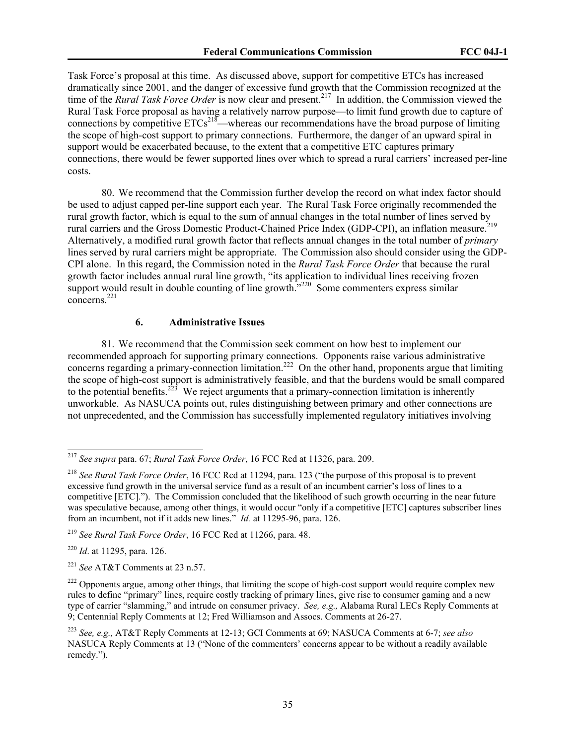Task Force's proposal at this time. As discussed above, support for competitive ETCs has increased dramatically since 2001, and the danger of excessive fund growth that the Commission recognized at the time of the *Rural Task Force Order* is now clear and present.<sup>217</sup> In addition, the Commission viewed the Rural Task Force proposal as having a relatively narrow purpose—to limit fund growth due to capture of connections by competitive  $ETCs^{218}$ —whereas our recommendations have the broad purpose of limiting the scope of high-cost support to primary connections. Furthermore, the danger of an upward spiral in support would be exacerbated because, to the extent that a competitive ETC captures primary connections, there would be fewer supported lines over which to spread a rural carriers' increased per-line costs.

80. We recommend that the Commission further develop the record on what index factor should be used to adjust capped per-line support each year. The Rural Task Force originally recommended the rural growth factor, which is equal to the sum of annual changes in the total number of lines served by rural carriers and the Gross Domestic Product-Chained Price Index (GDP-CPI), an inflation measure.<sup>219</sup> Alternatively, a modified rural growth factor that reflects annual changes in the total number of *primary* lines served by rural carriers might be appropriate. The Commission also should consider using the GDP-CPI alone. In this regard, the Commission noted in the *Rural Task Force Order* that because the rural growth factor includes annual rural line growth, "its application to individual lines receiving frozen support would result in double counting of line growth. $\frac{1}{2220}$  Some commenters express similar concerns.221

# **6. Administrative Issues**

81. We recommend that the Commission seek comment on how best to implement our recommended approach for supporting primary connections. Opponents raise various administrative concerns regarding a primary-connection limitation.<sup>222</sup> On the other hand, proponents argue that limiting the scope of high-cost support is administratively feasible, and that the burdens would be small compared to the potential benefits.<sup>223</sup> We reject arguments that a primary-connection limitation is inherently unworkable. As NASUCA points out, rules distinguishing between primary and other connections are not unprecedented, and the Commission has successfully implemented regulatory initiatives involving

<sup>220</sup> *Id*. at 11295, para. 126.

<sup>217</sup> *See supra* para. 67; *Rural Task Force Order*, 16 FCC Rcd at 11326, para. 209.

<sup>218</sup> *See Rural Task Force Order*, 16 FCC Rcd at 11294, para. 123 ("the purpose of this proposal is to prevent excessive fund growth in the universal service fund as a result of an incumbent carrier's loss of lines to a competitive [ETC]."). The Commission concluded that the likelihood of such growth occurring in the near future was speculative because, among other things, it would occur "only if a competitive [ETC] captures subscriber lines from an incumbent, not if it adds new lines." *Id.* at 11295-96, para. 126.

<sup>219</sup> *See Rural Task Force Order*, 16 FCC Rcd at 11266, para. 48.

<sup>221</sup> *See* AT&T Comments at 23 n.57.

<sup>&</sup>lt;sup>222</sup> Opponents argue, among other things, that limiting the scope of high-cost support would require complex new rules to define "primary" lines, require costly tracking of primary lines, give rise to consumer gaming and a new type of carrier "slamming," and intrude on consumer privacy. *See, e.g.,* Alabama Rural LECs Reply Comments at 9; Centennial Reply Comments at 12; Fred Williamson and Assocs. Comments at 26-27.

<sup>223</sup> *See, e.g.,* AT&T Reply Comments at 12-13; GCI Comments at 69; NASUCA Comments at 6-7; *see also*  NASUCA Reply Comments at 13 ("None of the commenters' concerns appear to be without a readily available remedy.").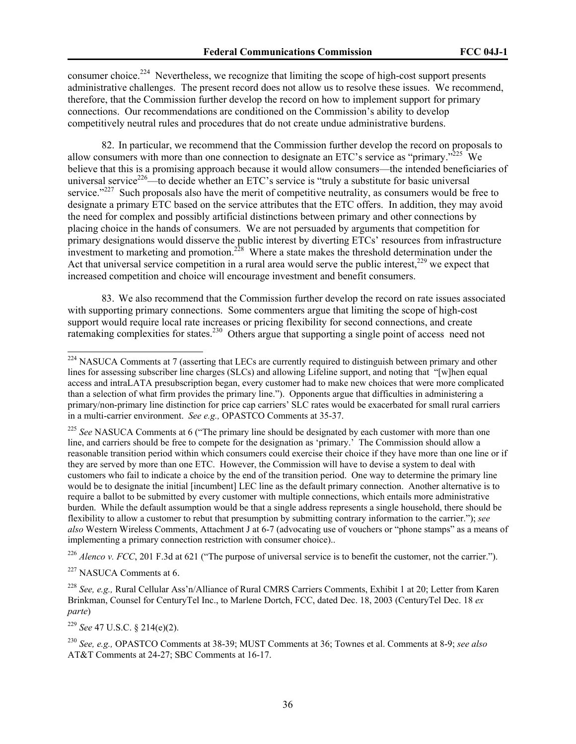consumer choice.<sup>224</sup> Nevertheless, we recognize that limiting the scope of high-cost support presents administrative challenges. The present record does not allow us to resolve these issues. We recommend, therefore, that the Commission further develop the record on how to implement support for primary connections. Our recommendations are conditioned on the Commission's ability to develop competitively neutral rules and procedures that do not create undue administrative burdens.

82. In particular, we recommend that the Commission further develop the record on proposals to allow consumers with more than one connection to designate an ETC's service as "primary."<sup>225</sup> We believe that this is a promising approach because it would allow consumers—the intended beneficiaries of universal service<sup>226</sup>—to decide whether an ETC's service is "truly a substitute for basic universal service."<sup>227</sup> Such proposals also have the merit of competitive neutrality, as consumers would be free to designate a primary ETC based on the service attributes that the ETC offers. In addition, they may avoid the need for complex and possibly artificial distinctions between primary and other connections by placing choice in the hands of consumers. We are not persuaded by arguments that competition for primary designations would disserve the public interest by diverting ETCs' resources from infrastructure investment to marketing and promotion.<sup>228</sup> Where a state makes the threshold determination under the Act that universal service competition in a rural area would serve the public interest, $229$  we expect that increased competition and choice will encourage investment and benefit consumers.

83. We also recommend that the Commission further develop the record on rate issues associated with supporting primary connections. Some commenters argue that limiting the scope of high-cost support would require local rate increases or pricing flexibility for second connections, and create ratemaking complexities for states.<sup>230</sup> Others argue that supporting a single point of access need not

<sup>226</sup> *Alenco v. FCC*, 201 F.3d at 621 ("The purpose of universal service is to benefit the customer, not the carrier.").

<sup>227</sup> NASUCA Comments at 6.

 $\overline{a}$ 

<sup>229</sup> *See* 47 U.S.C. § 214(e)(2).

 $224$  NASUCA Comments at 7 (asserting that LECs are currently required to distinguish between primary and other lines for assessing subscriber line charges (SLCs) and allowing Lifeline support, and noting that "[w]hen equal access and intraLATA presubscription began, every customer had to make new choices that were more complicated than a selection of what firm provides the primary line."). Opponents argue that difficulties in administering a primary/non-primary line distinction for price cap carriers' SLC rates would be exacerbated for small rural carriers in a multi-carrier environment. *See e.g.,* OPASTCO Comments at 35-37.

<sup>&</sup>lt;sup>225</sup> See NASUCA Comments at 6 ("The primary line should be designated by each customer with more than one line, and carriers should be free to compete for the designation as 'primary.' The Commission should allow a reasonable transition period within which consumers could exercise their choice if they have more than one line or if they are served by more than one ETC. However, the Commission will have to devise a system to deal with customers who fail to indicate a choice by the end of the transition period. One way to determine the primary line would be to designate the initial [incumbent] LEC line as the default primary connection. Another alternative is to require a ballot to be submitted by every customer with multiple connections, which entails more administrative burden. While the default assumption would be that a single address represents a single household, there should be flexibility to allow a customer to rebut that presumption by submitting contrary information to the carrier."); *see also* Western Wireless Comments, Attachment J at 6-7 (advocating use of vouchers or "phone stamps" as a means of implementing a primary connection restriction with consumer choice)..

<sup>228</sup> *See, e.g.,* Rural Cellular Ass'n/Alliance of Rural CMRS Carriers Comments, Exhibit 1 at 20; Letter from Karen Brinkman, Counsel for CenturyTel Inc., to Marlene Dortch, FCC, dated Dec. 18, 2003 (CenturyTel Dec. 18 *ex parte*)

<sup>230</sup> *See, e.g.,* OPASTCO Comments at 38-39; MUST Comments at 36; Townes et al. Comments at 8-9; *see also*  AT&T Comments at 24-27; SBC Comments at 16-17.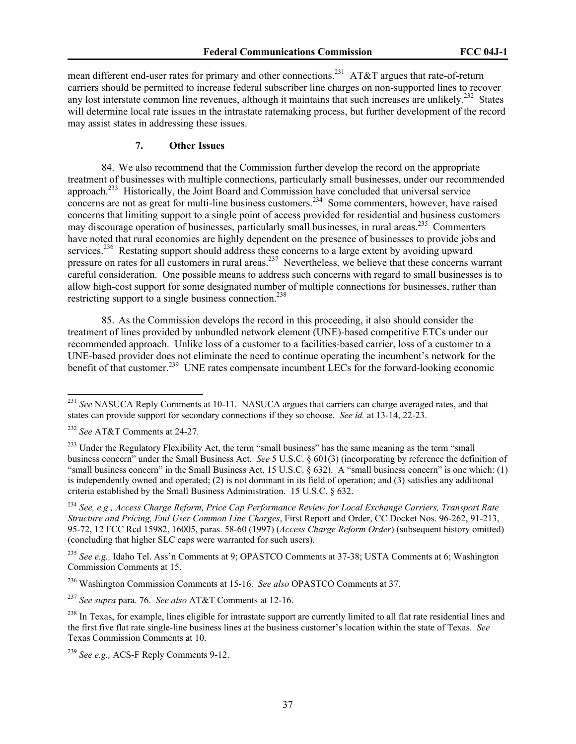mean different end-user rates for primary and other connections.<sup>231</sup> AT&T argues that rate-of-return carriers should be permitted to increase federal subscriber line charges on non-supported lines to recover any lost interstate common line revenues, although it maintains that such increases are unlikely.<sup>232</sup> States will determine local rate issues in the intrastate ratemaking process, but further development of the record may assist states in addressing these issues.

# **7. Other Issues**

84. We also recommend that the Commission further develop the record on the appropriate treatment of businesses with multiple connections, particularly small businesses, under our recommended approach.233 Historically, the Joint Board and Commission have concluded that universal service concerns are not as great for multi-line business customers.<sup>234</sup> Some commenters, however, have raised concerns that limiting support to a single point of access provided for residential and business customers may discourage operation of businesses, particularly small businesses, in rural areas.<sup>235</sup> Commenters have noted that rural economies are highly dependent on the presence of businesses to provide jobs and services.<sup>236</sup> Restating support should address these concerns to a large extent by avoiding upward pressure on rates for all customers in rural areas.<sup>237</sup> Nevertheless, we believe that these concerns warrant careful consideration. One possible means to address such concerns with regard to small businesses is to allow high-cost support for some designated number of multiple connections for businesses, rather than restricting support to a single business connection.<sup>238</sup>

85. As the Commission develops the record in this proceeding, it also should consider the treatment of lines provided by unbundled network element (UNE)-based competitive ETCs under our recommended approach. Unlike loss of a customer to a facilities-based carrier, loss of a customer to a UNE-based provider does not eliminate the need to continue operating the incumbent's network for the benefit of that customer.<sup>239</sup> UNE rates compensate incumbent LECs for the forward-looking economic

<sup>&</sup>lt;sup>231</sup> See NASUCA Reply Comments at 10-11. NASUCA argues that carriers can charge averaged rates, and that states can provide support for secondary connections if they so choose. *See id.* at 13-14, 22-23.

<sup>232</sup> *See* AT&T Comments at 24-27.

<sup>&</sup>lt;sup>233</sup> Under the Regulatory Flexibility Act, the term "small business" has the same meaning as the term "small" business concern" under the Small Business Act. *See* 5 U.S.C. § 601(3) (incorporating by reference the definition of "small business concern" in the Small Business Act, 15 U.S.C. § 632). A "small business concern" is one which: (1) is independently owned and operated; (2) is not dominant in its field of operation; and (3) satisfies any additional criteria established by the Small Business Administration. 15 U.S.C. § 632.

<sup>234</sup> *See, e.g., Access Charge Reform, Price Cap Performance Review for Local Exchange Carriers, Transport Rate Structure and Pricing, End User Common Line Charges*, First Report and Order, CC Docket Nos. 96-262, 91-213, 95-72, 12 FCC Rcd 15982, 16005, paras. 58-60 (1997) (*Access Charge Reform Order*) (subsequent history omitted) (concluding that higher SLC caps were warranted for such users).

<sup>235</sup> *See e.g.,* Idaho Tel. Ass'n Comments at 9; OPASTCO Comments at 37-38; USTA Comments at 6; Washington Commission Comments at 15.

<sup>236</sup> Washington Commission Comments at 15-16. *See also* OPASTCO Comments at 37.

<sup>237</sup> *See supra* para. 76. *See also* AT&T Comments at 12-16.

<sup>&</sup>lt;sup>238</sup> In Texas, for example, lines eligible for intrastate support are currently limited to all flat rate residential lines and the first five flat rate single-line business lines at the business customer's location within the state of Texas. *See*  Texas Commission Comments at 10.

<sup>239</sup> *See e.g.,* ACS-F Reply Comments 9-12.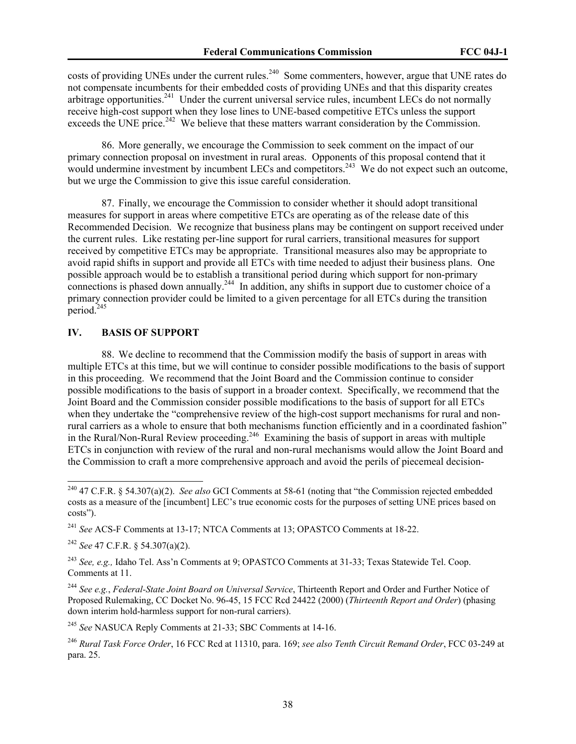costs of providing UNEs under the current rules.<sup>240</sup> Some commenters, however, argue that UNE rates do not compensate incumbents for their embedded costs of providing UNEs and that this disparity creates arbitrage opportunities.<sup>241</sup> Under the current universal service rules, incumbent LECs do not normally receive high-cost support when they lose lines to UNE-based competitive ETCs unless the support exceeds the UNE price.<sup>242</sup> We believe that these matters warrant consideration by the Commission.

86. More generally, we encourage the Commission to seek comment on the impact of our primary connection proposal on investment in rural areas. Opponents of this proposal contend that it would undermine investment by incumbent LECs and competitors.<sup>243</sup> We do not expect such an outcome, but we urge the Commission to give this issue careful consideration.

87. Finally, we encourage the Commission to consider whether it should adopt transitional measures for support in areas where competitive ETCs are operating as of the release date of this Recommended Decision. We recognize that business plans may be contingent on support received under the current rules. Like restating per-line support for rural carriers, transitional measures for support received by competitive ETCs may be appropriate. Transitional measures also may be appropriate to avoid rapid shifts in support and provide all ETCs with time needed to adjust their business plans. One possible approach would be to establish a transitional period during which support for non-primary connections is phased down annually.<sup>244</sup> In addition, any shifts in support due to customer choice of a primary connection provider could be limited to a given percentage for all ETCs during the transition period.<sup>245</sup>

#### **IV. BASIS OF SUPPORT**

88. We decline to recommend that the Commission modify the basis of support in areas with multiple ETCs at this time, but we will continue to consider possible modifications to the basis of support in this proceeding. We recommend that the Joint Board and the Commission continue to consider possible modifications to the basis of support in a broader context. Specifically, we recommend that the Joint Board and the Commission consider possible modifications to the basis of support for all ETCs when they undertake the "comprehensive review of the high-cost support mechanisms for rural and nonrural carriers as a whole to ensure that both mechanisms function efficiently and in a coordinated fashion" in the Rural/Non-Rural Review proceeding.<sup>246</sup> Examining the basis of support in areas with multiple ETCs in conjunction with review of the rural and non-rural mechanisms would allow the Joint Board and the Commission to craft a more comprehensive approach and avoid the perils of piecemeal decision-

 $\overline{a}$ 

<sup>245</sup> *See* NASUCA Reply Comments at 21-33; SBC Comments at 14-16.

<sup>240 47</sup> C.F.R. § 54.307(a)(2). *See also* GCI Comments at 58-61 (noting that "the Commission rejected embedded costs as a measure of the [incumbent] LEC's true economic costs for the purposes of setting UNE prices based on costs").

<sup>241</sup> *See* ACS-F Comments at 13-17; NTCA Comments at 13; OPASTCO Comments at 18-22.

<sup>242</sup> *See* 47 C.F.R. § 54.307(a)(2).

<sup>243</sup> *See, e.g.,* Idaho Tel. Ass'n Comments at 9; OPASTCO Comments at 31-33; Texas Statewide Tel. Coop. Comments at 11.

<sup>244</sup> *See e.g.*, *Federal-State Joint Board on Universal Service*, Thirteenth Report and Order and Further Notice of Proposed Rulemaking, CC Docket No. 96-45, 15 FCC Rcd 24422 (2000) (*Thirteenth Report and Order*) (phasing down interim hold-harmless support for non-rural carriers).

<sup>246</sup> *Rural Task Force Order*, 16 FCC Rcd at 11310, para. 169; *see also Tenth Circuit Remand Order*, FCC 03-249 at para. 25.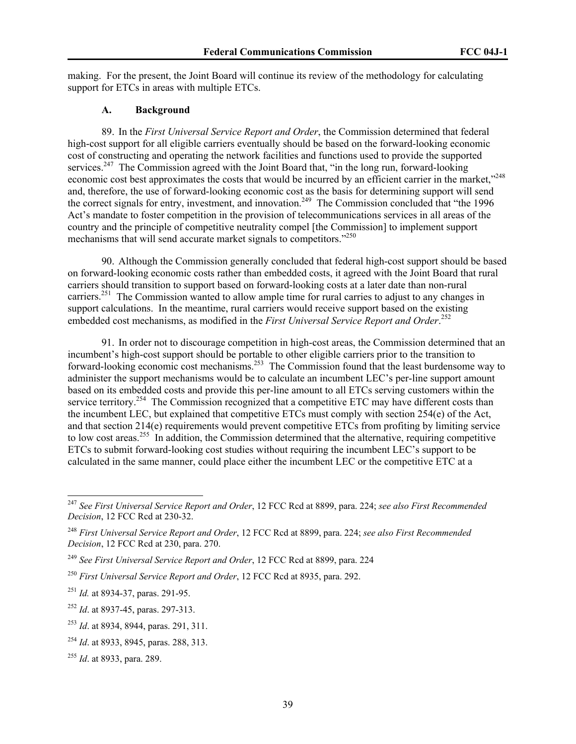making. For the present, the Joint Board will continue its review of the methodology for calculating support for ETCs in areas with multiple ETCs.

### **A. Background**

89. In the *First Universal Service Report and Order*, the Commission determined that federal high-cost support for all eligible carriers eventually should be based on the forward-looking economic cost of constructing and operating the network facilities and functions used to provide the supported services.<sup>247</sup> The Commission agreed with the Joint Board that, "in the long run, forward-looking economic cost best approximates the costs that would be incurred by an efficient carrier in the market,"<sup>248</sup> and, therefore, the use of forward-looking economic cost as the basis for determining support will send the correct signals for entry, investment, and innovation.<sup>249</sup> The Commission concluded that "the 1996" Act's mandate to foster competition in the provision of telecommunications services in all areas of the country and the principle of competitive neutrality compel [the Commission] to implement support mechanisms that will send accurate market signals to competitors."250

90. Although the Commission generally concluded that federal high-cost support should be based on forward-looking economic costs rather than embedded costs, it agreed with the Joint Board that rural carriers should transition to support based on forward-looking costs at a later date than non-rural carriers.<sup>251</sup> The Commission wanted to allow ample time for rural carries to adjust to any changes in support calculations. In the meantime, rural carriers would receive support based on the existing embedded cost mechanisms, as modified in the *First Universal Service Report and Order*. 252

91. In order not to discourage competition in high-cost areas, the Commission determined that an incumbent's high-cost support should be portable to other eligible carriers prior to the transition to forward-looking economic cost mechanisms.<sup>253</sup> The Commission found that the least burdensome way to administer the support mechanisms would be to calculate an incumbent LEC's per-line support amount based on its embedded costs and provide this per-line amount to all ETCs serving customers within the service territory.<sup>254</sup> The Commission recognized that a competitive ETC may have different costs than the incumbent LEC, but explained that competitive ETCs must comply with section 254(e) of the Act, and that section 214(e) requirements would prevent competitive ETCs from profiting by limiting service to low cost areas.<sup>255</sup> In addition, the Commission determined that the alternative, requiring competitive ETCs to submit forward-looking cost studies without requiring the incumbent LEC's support to be calculated in the same manner, could place either the incumbent LEC or the competitive ETC at a

<sup>247</sup> *See First Universal Service Report and Order*, 12 FCC Rcd at 8899, para. 224; *see also First Recommended Decision*, 12 FCC Rcd at 230-32.

<sup>248</sup> *First Universal Service Report and Order*, 12 FCC Rcd at 8899, para. 224; *see also First Recommended Decision*, 12 FCC Rcd at 230, para. 270.

<sup>249</sup> *See First Universal Service Report and Order*, 12 FCC Rcd at 8899, para. 224

<sup>250</sup> *First Universal Service Report and Order*, 12 FCC Rcd at 8935, para. 292.

<sup>251</sup> *Id.* at 8934-37, paras. 291-95.

<sup>&</sup>lt;sup>252</sup> *Id.* at 8937-45, paras. 297-313.

<sup>253</sup> *Id*. at 8934, 8944, paras. 291, 311.

<sup>254</sup> *Id*. at 8933, 8945, paras. 288, 313.

<sup>255</sup> *Id*. at 8933, para. 289.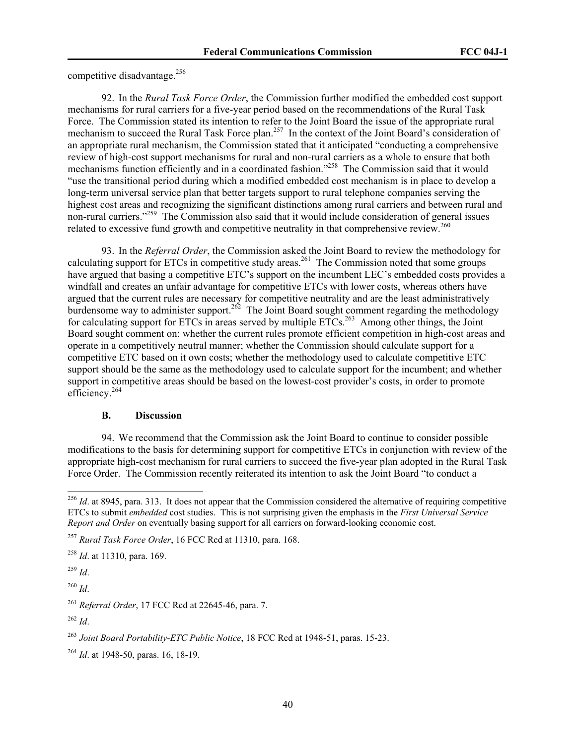competitive disadvantage.<sup>256</sup>

92. In the *Rural Task Force Order*, the Commission further modified the embedded cost support mechanisms for rural carriers for a five-year period based on the recommendations of the Rural Task Force. The Commission stated its intention to refer to the Joint Board the issue of the appropriate rural mechanism to succeed the Rural Task Force plan.<sup>257</sup> In the context of the Joint Board's consideration of an appropriate rural mechanism, the Commission stated that it anticipated "conducting a comprehensive review of high-cost support mechanisms for rural and non-rural carriers as a whole to ensure that both mechanisms function efficiently and in a coordinated fashion."<sup>258</sup> The Commission said that it would "use the transitional period during which a modified embedded cost mechanism is in place to develop a long-term universal service plan that better targets support to rural telephone companies serving the highest cost areas and recognizing the significant distinctions among rural carriers and between rural and non-rural carriers."<sup>259</sup> The Commission also said that it would include consideration of general issues related to excessive fund growth and competitive neutrality in that comprehensive review.<sup>260</sup>

93. In the *Referral Order*, the Commission asked the Joint Board to review the methodology for calculating support for ETCs in competitive study areas.<sup>261</sup> The Commission noted that some groups have argued that basing a competitive ETC's support on the incumbent LEC's embedded costs provides a windfall and creates an unfair advantage for competitive ETCs with lower costs, whereas others have argued that the current rules are necessary for competitive neutrality and are the least administratively burdensome way to administer support.<sup>262</sup> The Joint Board sought comment regarding the methodology for calculating support for ETCs in areas served by multiple  $ETCs$ <sup>263</sup> Among other things, the Joint Board sought comment on: whether the current rules promote efficient competition in high-cost areas and operate in a competitively neutral manner; whether the Commission should calculate support for a competitive ETC based on it own costs; whether the methodology used to calculate competitive ETC support should be the same as the methodology used to calculate support for the incumbent; and whether support in competitive areas should be based on the lowest-cost provider's costs, in order to promote efficiency.<sup>264</sup>

# **B. Discussion**

94. We recommend that the Commission ask the Joint Board to continue to consider possible modifications to the basis for determining support for competitive ETCs in conjunction with review of the appropriate high-cost mechanism for rural carriers to succeed the five-year plan adopted in the Rural Task Force Order. The Commission recently reiterated its intention to ask the Joint Board "to conduct a

<sup>258</sup> *Id*. at 11310, para. 169.

<sup>259</sup> *Id*.

 $\overline{a}$ 

<sup>260</sup> *Id*.

 $^{256}$  *Id.* at 8945, para. 313. It does not appear that the Commission considered the alternative of requiring competitive ETCs to submit *embedded* cost studies. This is not surprising given the emphasis in the *First Universal Service Report and Order* on eventually basing support for all carriers on forward-looking economic cost.

<sup>257</sup> *Rural Task Force Order*, 16 FCC Rcd at 11310, para. 168.

<sup>261</sup> *Referral Order*, 17 FCC Rcd at 22645-46, para. 7.

 $^{262}$  *Id.* 

<sup>263</sup> *Joint Board Portability-ETC Public Notice*, 18 FCC Rcd at 1948-51, paras. 15-23.

<sup>264</sup> *Id*. at 1948-50, paras. 16, 18-19.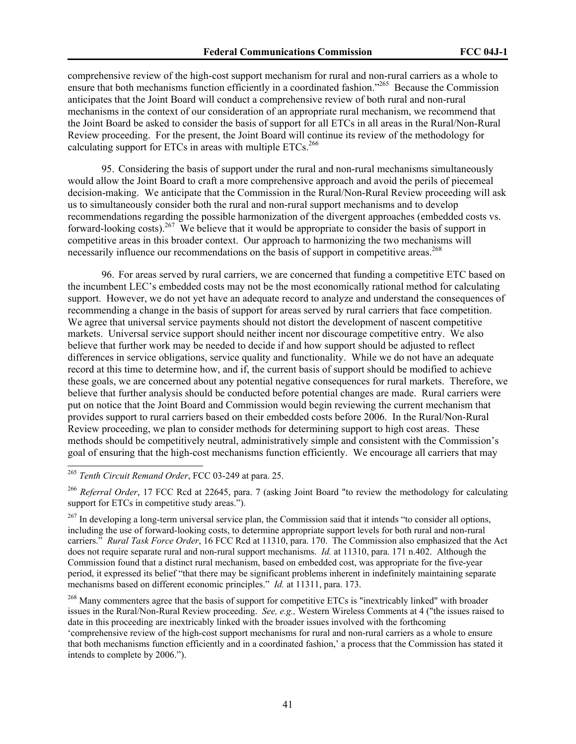comprehensive review of the high-cost support mechanism for rural and non-rural carriers as a whole to ensure that both mechanisms function efficiently in a coordinated fashion."<sup>265</sup> Because the Commission anticipates that the Joint Board will conduct a comprehensive review of both rural and non-rural mechanisms in the context of our consideration of an appropriate rural mechanism, we recommend that the Joint Board be asked to consider the basis of support for all ETCs in all areas in the Rural/Non-Rural Review proceeding. For the present, the Joint Board will continue its review of the methodology for calculating support for ETCs in areas with multiple  $ETCs$ <sup>266</sup>

95. Considering the basis of support under the rural and non-rural mechanisms simultaneously would allow the Joint Board to craft a more comprehensive approach and avoid the perils of piecemeal decision-making. We anticipate that the Commission in the Rural/Non-Rural Review proceeding will ask us to simultaneously consider both the rural and non-rural support mechanisms and to develop recommendations regarding the possible harmonization of the divergent approaches (embedded costs vs. forward-looking costs).<sup>267</sup> We believe that it would be appropriate to consider the basis of support in competitive areas in this broader context. Our approach to harmonizing the two mechanisms will necessarily influence our recommendations on the basis of support in competitive areas.<sup>268</sup>

96. For areas served by rural carriers, we are concerned that funding a competitive ETC based on the incumbent LEC's embedded costs may not be the most economically rational method for calculating support. However, we do not yet have an adequate record to analyze and understand the consequences of recommending a change in the basis of support for areas served by rural carriers that face competition. We agree that universal service payments should not distort the development of nascent competitive markets. Universal service support should neither incent nor discourage competitive entry. We also believe that further work may be needed to decide if and how support should be adjusted to reflect differences in service obligations, service quality and functionality. While we do not have an adequate record at this time to determine how, and if, the current basis of support should be modified to achieve these goals, we are concerned about any potential negative consequences for rural markets. Therefore, we believe that further analysis should be conducted before potential changes are made. Rural carriers were put on notice that the Joint Board and Commission would begin reviewing the current mechanism that provides support to rural carriers based on their embedded costs before 2006. In the Rural/Non-Rural Review proceeding, we plan to consider methods for determining support to high cost areas. These methods should be competitively neutral, administratively simple and consistent with the Commission's goal of ensuring that the high-cost mechanisms function efficiently. We encourage all carriers that may

<sup>265</sup> *Tenth Circuit Remand Order*, FCC 03-249 at para. 25.

<sup>266</sup> *Referral Order*, 17 FCC Rcd at 22645, para. 7 (asking Joint Board "to review the methodology for calculating support for ETCs in competitive study areas.").

<sup>&</sup>lt;sup>267</sup> In developing a long-term universal service plan, the Commission said that it intends "to consider all options, including the use of forward-looking costs, to determine appropriate support levels for both rural and non-rural carriers." *Rural Task Force Order*, 16 FCC Rcd at 11310, para. 170. The Commission also emphasized that the Act does not require separate rural and non-rural support mechanisms. *Id.* at 11310, para. 171 n.402. Although the Commission found that a distinct rural mechanism, based on embedded cost, was appropriate for the five-year period, it expressed its belief "that there may be significant problems inherent in indefinitely maintaining separate mechanisms based on different economic principles." *Id.* at 11311, para. 173.

<sup>&</sup>lt;sup>268</sup> Many commenters agree that the basis of support for competitive ETCs is "inextricably linked" with broader issues in the Rural/Non-Rural Review proceeding. *See, e.g.,* Western Wireless Comments at 4 ("the issues raised to date in this proceeding are inextricably linked with the broader issues involved with the forthcoming 'comprehensive review of the high-cost support mechanisms for rural and non-rural carriers as a whole to ensure that both mechanisms function efficiently and in a coordinated fashion,' a process that the Commission has stated it intends to complete by 2006.").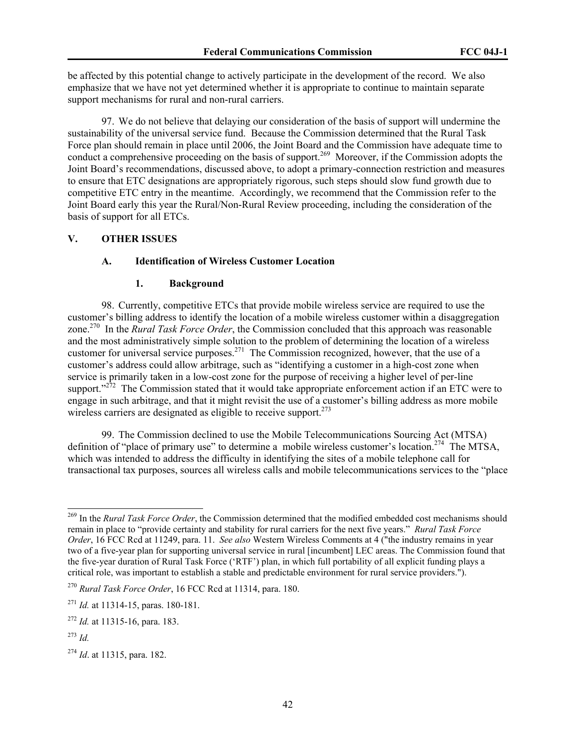be affected by this potential change to actively participate in the development of the record. We also emphasize that we have not yet determined whether it is appropriate to continue to maintain separate support mechanisms for rural and non-rural carriers.

97. We do not believe that delaying our consideration of the basis of support will undermine the sustainability of the universal service fund. Because the Commission determined that the Rural Task Force plan should remain in place until 2006, the Joint Board and the Commission have adequate time to conduct a comprehensive proceeding on the basis of support.<sup>269</sup> Moreover, if the Commission adopts the Joint Board's recommendations, discussed above, to adopt a primary-connection restriction and measures to ensure that ETC designations are appropriately rigorous, such steps should slow fund growth due to competitive ETC entry in the meantime. Accordingly, we recommend that the Commission refer to the Joint Board early this year the Rural/Non-Rural Review proceeding, including the consideration of the basis of support for all ETCs.

#### **V. OTHER ISSUES**

# **A. Identification of Wireless Customer Location**

#### **1. Background**

98. Currently, competitive ETCs that provide mobile wireless service are required to use the customer's billing address to identify the location of a mobile wireless customer within a disaggregation zone.270 In the *Rural Task Force Order*, the Commission concluded that this approach was reasonable and the most administratively simple solution to the problem of determining the location of a wireless customer for universal service purposes.<sup>271</sup> The Commission recognized, however, that the use of a customer's address could allow arbitrage, such as "identifying a customer in a high-cost zone when service is primarily taken in a low-cost zone for the purpose of receiving a higher level of per-line support." $272$  The Commission stated that it would take appropriate enforcement action if an ETC were to engage in such arbitrage, and that it might revisit the use of a customer's billing address as more mobile wireless carriers are designated as eligible to receive support.  $273$ 

99. The Commission declined to use the Mobile Telecommunications Sourcing Act (MTSA) definition of "place of primary use" to determine a mobile wireless customer's location.<sup>274</sup> The MTSA, which was intended to address the difficulty in identifying the sites of a mobile telephone call for transactional tax purposes, sources all wireless calls and mobile telecommunications services to the "place

<sup>270</sup> *Rural Task Force Order*, 16 FCC Rcd at 11314, para. 180.

<sup>269</sup> In the *Rural Task Force Order*, the Commission determined that the modified embedded cost mechanisms should remain in place to "provide certainty and stability for rural carriers for the next five years." *Rural Task Force Order*, 16 FCC Rcd at 11249, para. 11. *See also* Western Wireless Comments at 4 ("the industry remains in year two of a five-year plan for supporting universal service in rural [incumbent] LEC areas. The Commission found that the five-year duration of Rural Task Force ('RTF') plan, in which full portability of all explicit funding plays a critical role, was important to establish a stable and predictable environment for rural service providers.").

<sup>271</sup> *Id.* at 11314-15, paras. 180-181.

<sup>272</sup> *Id.* at 11315-16, para. 183.

<sup>273</sup> *Id.* 

<sup>274</sup> *Id*. at 11315, para. 182.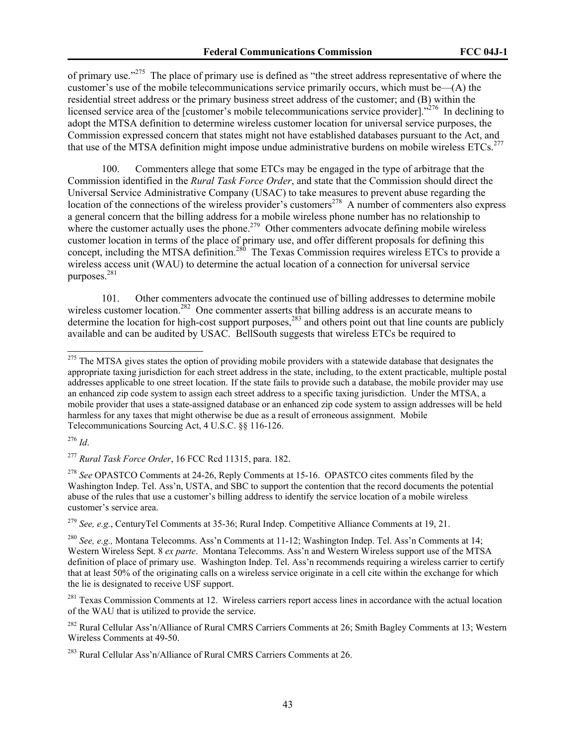of primary use."275 The place of primary use is defined as "the street address representative of where the customer's use of the mobile telecommunications service primarily occurs, which must be—(A) the residential street address or the primary business street address of the customer; and (B) within the licensed service area of the [customer's mobile telecommunications service provider]."<sup>276</sup> In declining to adopt the MTSA definition to determine wireless customer location for universal service purposes, the Commission expressed concern that states might not have established databases pursuant to the Act, and that use of the MTSA definition might impose undue administrative burdens on mobile wireless ETCs.<sup>277</sup>

100. Commenters allege that some ETCs may be engaged in the type of arbitrage that the Commission identified in the *Rural Task Force Order*, and state that the Commission should direct the Universal Service Administrative Company (USAC) to take measures to prevent abuse regarding the location of the connections of the wireless provider's customers<sup>278</sup> A number of commenters also express a general concern that the billing address for a mobile wireless phone number has no relationship to where the customer actually uses the phone.<sup>279</sup> Other commenters advocate defining mobile wireless customer location in terms of the place of primary use, and offer different proposals for defining this concept, including the MTSA definition.<sup>280</sup> The Texas Commission requires wireless ETCs to provide a wireless access unit (WAU) to determine the actual location of a connection for universal service purposes.281

101. Other commenters advocate the continued use of billing addresses to determine mobile wireless customer location.<sup>282</sup> One commenter asserts that billing address is an accurate means to determine the location for high-cost support purposes,<sup>283</sup> and others point out that line counts are publicly available and can be audited by USAC. BellSouth suggests that wireless ETCs be required to

<sup>276</sup> *Id*.

 $\overline{a}$ 

<sup>279</sup> *See, e.g.*, CenturyTel Comments at 35-36; Rural Indep. Competitive Alliance Comments at 19, 21.

<sup>&</sup>lt;sup>275</sup> The MTSA gives states the option of providing mobile providers with a statewide database that designates the appropriate taxing jurisdiction for each street address in the state, including, to the extent practicable, multiple postal addresses applicable to one street location. If the state fails to provide such a database, the mobile provider may use an enhanced zip code system to assign each street address to a specific taxing jurisdiction. Under the MTSA, a mobile provider that uses a state-assigned database or an enhanced zip code system to assign addresses will be held harmless for any taxes that might otherwise be due as a result of erroneous assignment. Mobile Telecommunications Sourcing Act, 4 U.S.C. §§ 116-126.

<sup>277</sup> *Rural Task Force Order*, 16 FCC Rcd 11315, para. 182.

<sup>278</sup> *See* OPASTCO Comments at 24-26, Reply Comments at 15-16. OPASTCO cites comments filed by the Washington Indep. Tel. Ass'n, USTA, and SBC to support the contention that the record documents the potential abuse of the rules that use a customer's billing address to identify the service location of a mobile wireless customer's service area.

<sup>280</sup> *See, e.g.,* Montana Telecomms. Ass'n Comments at 11-12; Washington Indep. Tel. Ass'n Comments at 14; Western Wireless Sept. 8 *ex parte*. Montana Telecomms. Ass'n and Western Wireless support use of the MTSA definition of place of primary use. Washington Indep. Tel. Ass'n recommends requiring a wireless carrier to certify that at least 50% of the originating calls on a wireless service originate in a cell cite within the exchange for which the lie is designated to receive USF support.

<sup>&</sup>lt;sup>281</sup> Texas Commission Comments at 12. Wireless carriers report access lines in accordance with the actual location of the WAU that is utilized to provide the service.

<sup>&</sup>lt;sup>282</sup> Rural Cellular Ass'n/Alliance of Rural CMRS Carriers Comments at 26; Smith Bagley Comments at 13; Western Wireless Comments at 49-50.

<sup>283</sup> Rural Cellular Ass'n/Alliance of Rural CMRS Carriers Comments at 26.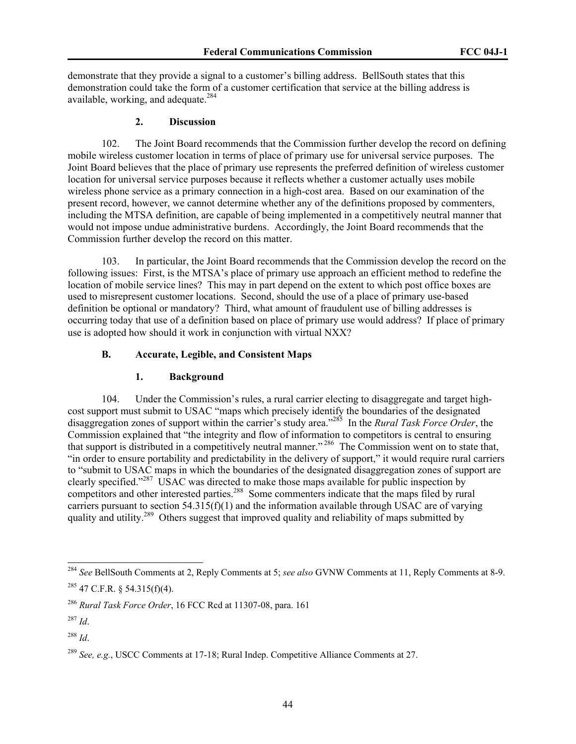demonstrate that they provide a signal to a customer's billing address. BellSouth states that this demonstration could take the form of a customer certification that service at the billing address is available, working, and adequate.<sup>284</sup>

#### **2. Discussion**

102. The Joint Board recommends that the Commission further develop the record on defining mobile wireless customer location in terms of place of primary use for universal service purposes. The Joint Board believes that the place of primary use represents the preferred definition of wireless customer location for universal service purposes because it reflects whether a customer actually uses mobile wireless phone service as a primary connection in a high-cost area. Based on our examination of the present record, however, we cannot determine whether any of the definitions proposed by commenters, including the MTSA definition, are capable of being implemented in a competitively neutral manner that would not impose undue administrative burdens. Accordingly, the Joint Board recommends that the Commission further develop the record on this matter.

103. In particular, the Joint Board recommends that the Commission develop the record on the following issues: First, is the MTSA's place of primary use approach an efficient method to redefine the location of mobile service lines? This may in part depend on the extent to which post office boxes are used to misrepresent customer locations. Second, should the use of a place of primary use-based definition be optional or mandatory? Third, what amount of fraudulent use of billing addresses is occurring today that use of a definition based on place of primary use would address? If place of primary use is adopted how should it work in conjunction with virtual NXX?

#### **B. Accurate, Legible, and Consistent Maps**

#### **1. Background**

104. Under the Commission's rules, a rural carrier electing to disaggregate and target highcost support must submit to USAC "maps which precisely identify the boundaries of the designated disaggregation zones of support within the carrier's study area."285 In the *Rural Task Force Order*, the Commission explained that "the integrity and flow of information to competitors is central to ensuring that support is distributed in a competitively neutral manner."<sup>286</sup> The Commission went on to state that, "in order to ensure portability and predictability in the delivery of support," it would require rural carriers to "submit to USAC maps in which the boundaries of the designated disaggregation zones of support are clearly specified."<sup>287</sup> USAC was directed to make those maps available for public inspection by competitors and other interested parties.<sup>288</sup> Some commenters indicate that the maps filed by rural carriers pursuant to section  $54.315(f)(1)$  and the information available through USAC are of varying quality and utility.<sup>289</sup> Others suggest that improved quality and reliability of maps submitted by

<sup>284</sup> *See* BellSouth Comments at 2, Reply Comments at 5; *see also* GVNW Comments at 11, Reply Comments at 8-9.  $^{285}$  47 C.F.R. § 54.315(f)(4).

<sup>286</sup> *Rural Task Force Order*, 16 FCC Rcd at 11307-08, para. 161

 $^{287}$  *Id.* 

<sup>288</sup> *Id*.

<sup>289</sup> *See, e.g.*, USCC Comments at 17-18; Rural Indep. Competitive Alliance Comments at 27.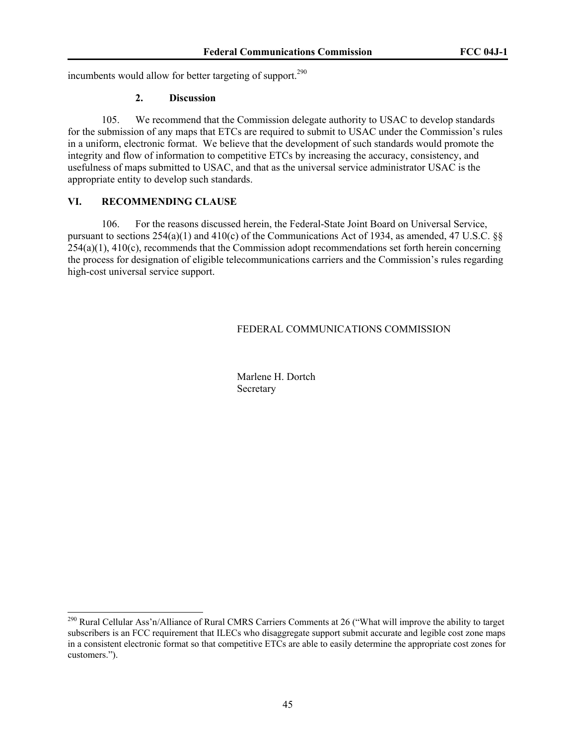incumbents would allow for better targeting of support.<sup>290</sup>

## **2. Discussion**

105. We recommend that the Commission delegate authority to USAC to develop standards for the submission of any maps that ETCs are required to submit to USAC under the Commission's rules in a uniform, electronic format. We believe that the development of such standards would promote the integrity and flow of information to competitive ETCs by increasing the accuracy, consistency, and usefulness of maps submitted to USAC, and that as the universal service administrator USAC is the appropriate entity to develop such standards.

# **VI. RECOMMENDING CLAUSE**

 $\overline{a}$ 

106. For the reasons discussed herein, the Federal-State Joint Board on Universal Service, pursuant to sections 254(a)(1) and 410(c) of the Communications Act of 1934, as amended, 47 U.S.C. §§  $254(a)(1)$ ,  $410(c)$ , recommends that the Commission adopt recommendations set forth herein concerning the process for designation of eligible telecommunications carriers and the Commission's rules regarding high-cost universal service support.

# FEDERAL COMMUNICATIONS COMMISSION

 Marlene H. Dortch **Secretary** 

<sup>&</sup>lt;sup>290</sup> Rural Cellular Ass'n/Alliance of Rural CMRS Carriers Comments at 26 ("What will improve the ability to target subscribers is an FCC requirement that ILECs who disaggregate support submit accurate and legible cost zone maps in a consistent electronic format so that competitive ETCs are able to easily determine the appropriate cost zones for customers.").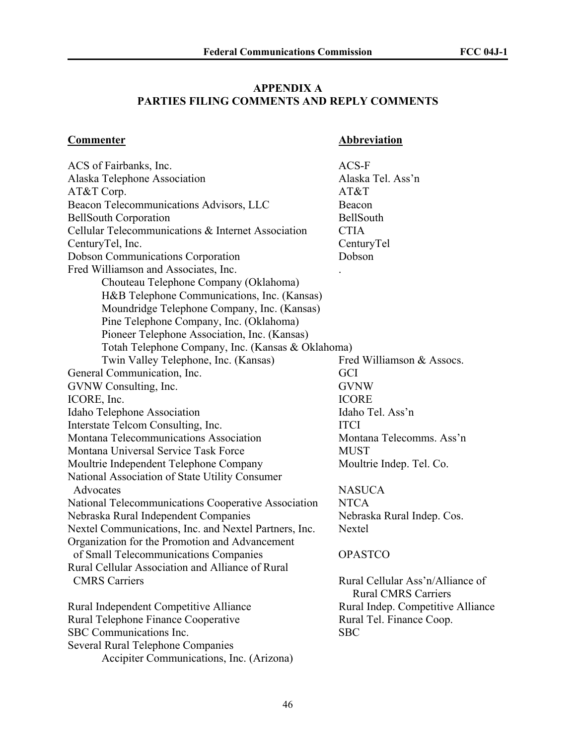# **APPENDIX A PARTIES FILING COMMENTS AND REPLY COMMENTS**

# **Commenter Abbreviation**

| ACS of Fairbanks, Inc.                                | $ACS-F$                           |
|-------------------------------------------------------|-----------------------------------|
| Alaska Telephone Association                          | Alaska Tel. Ass'n                 |
| AT&T Corp.                                            | AT&T                              |
| Beacon Telecommunications Advisors, LLC               | Beacon                            |
| <b>BellSouth Corporation</b>                          | BellSouth                         |
| Cellular Telecommunications & Internet Association    | <b>CTIA</b>                       |
| CenturyTel, Inc.                                      | CenturyTel                        |
| <b>Dobson Communications Corporation</b>              | Dobson                            |
| Fred Williamson and Associates, Inc.                  |                                   |
| Chouteau Telephone Company (Oklahoma)                 |                                   |
| H&B Telephone Communications, Inc. (Kansas)           |                                   |
| Moundridge Telephone Company, Inc. (Kansas)           |                                   |
| Pine Telephone Company, Inc. (Oklahoma)               |                                   |
| Pioneer Telephone Association, Inc. (Kansas)          |                                   |
| Totah Telephone Company, Inc. (Kansas & Oklahoma)     |                                   |
| Twin Valley Telephone, Inc. (Kansas)                  | Fred Williamson & Assocs.         |
| General Communication, Inc.                           | <b>GCI</b>                        |
| GVNW Consulting, Inc.                                 | <b>GVNW</b>                       |
| ICORE, Inc.                                           | <b>ICORE</b>                      |
| Idaho Telephone Association                           | Idaho Tel. Ass'n                  |
| Interstate Telcom Consulting, Inc.                    | <b>ITCI</b>                       |
| Montana Telecommunications Association                | Montana Telecomms. Ass'n          |
| Montana Universal Service Task Force                  | <b>MUST</b>                       |
| Moultrie Independent Telephone Company                | Moultrie Indep. Tel. Co.          |
| National Association of State Utility Consumer        |                                   |
| Advocates                                             | <b>NASUCA</b>                     |
| National Telecommunications Cooperative Association   | <b>NTCA</b>                       |
| Nebraska Rural Independent Companies                  | Nebraska Rural Indep. Cos.        |
| Nextel Communications, Inc. and Nextel Partners, Inc. | Nextel                            |
| Organization for the Promotion and Advancement        |                                   |
| of Small Telecommunications Companies                 | <b>OPASTCO</b>                    |
| Rural Cellular Association and Alliance of Rural      |                                   |
| <b>CMRS Carriers</b>                                  | Rural Cellular Ass'n/Alliance of  |
|                                                       | <b>Rural CMRS Carriers</b>        |
| Rural Independent Competitive Alliance                | Rural Indep. Competitive Alliance |
| Rural Telephone Finance Cooperative                   | Rural Tel. Finance Coop.          |
| SBC Communications Inc.                               | <b>SBC</b>                        |
| Several Rural Telephone Companies                     |                                   |
| Accipiter Communications, Inc. (Arizona)              |                                   |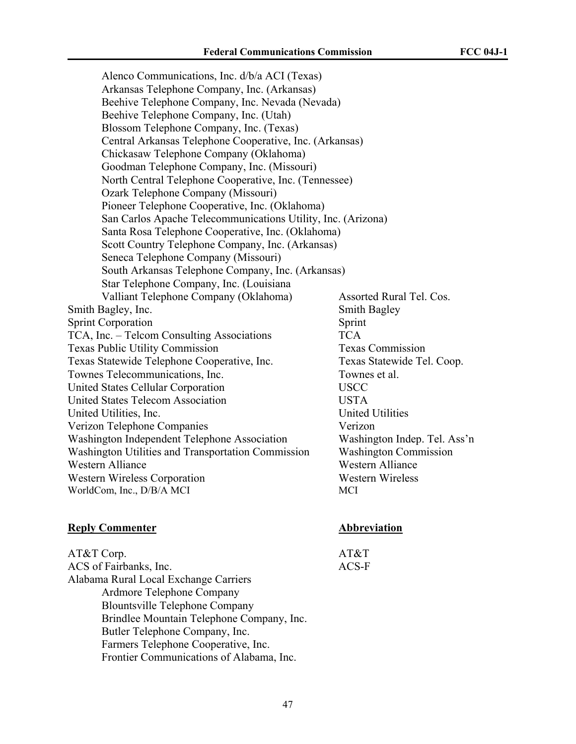Alenco Communications, Inc. d/b/a ACI (Texas) Arkansas Telephone Company, Inc. (Arkansas) Beehive Telephone Company, Inc. Nevada (Nevada) Beehive Telephone Company, Inc. (Utah) Blossom Telephone Company, Inc. (Texas) Central Arkansas Telephone Cooperative, Inc. (Arkansas) Chickasaw Telephone Company (Oklahoma) Goodman Telephone Company, Inc. (Missouri) North Central Telephone Cooperative, Inc. (Tennessee) Ozark Telephone Company (Missouri) Pioneer Telephone Cooperative, Inc. (Oklahoma) San Carlos Apache Telecommunications Utility, Inc. (Arizona) Santa Rosa Telephone Cooperative, Inc. (Oklahoma) Scott Country Telephone Company, Inc. (Arkansas) Seneca Telephone Company (Missouri) South Arkansas Telephone Company, Inc. (Arkansas) Star Telephone Company, Inc. (Louisiana Valliant Telephone Company (Oklahoma) Assorted Rural Tel. Cos. Smith Bagley, Inc. Smith Bagley, Smith Bagley Sprint Corporation Sprint TCA, Inc. – Telcom Consulting Associations TCA Texas Public Utility Commission Texas Commission Texas Statewide Telephone Cooperative, Inc. Texas Statewide Tel. Coop. Townes Telecommunications, Inc. Townes et al. United States Cellular Corporation USCC United States Telecom Association USTA United Utilities, Inc. **United Utilities** Verizon Telephone Companies Verizon Washington Independent Telephone Association Washington Indep. Tel. Ass'n Washington Utilities and Transportation Commission Washington Commission Western Alliance Western Alliance Western Wireless Corporation Western Wireless WorldCom, Inc., D/B/A MCI MCI

# **Reply Commenter Abbreviation**

AT&T Corp.  $AT\&T$ ACS of Fairbanks, Inc. ACS-F Alabama Rural Local Exchange Carriers Ardmore Telephone Company Blountsville Telephone Company Brindlee Mountain Telephone Company, Inc. Butler Telephone Company, Inc. Farmers Telephone Cooperative, Inc. Frontier Communications of Alabama, Inc.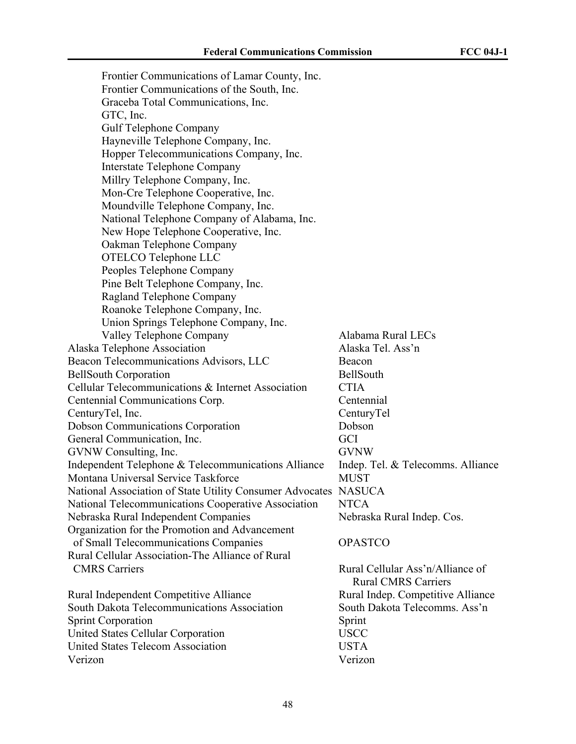Frontier Communications of Lamar County, Inc. Frontier Communications of the South, Inc. Graceba Total Communications, Inc. GTC, Inc. Gulf Telephone Company Hayneville Telephone Company, Inc. Hopper Telecommunications Company, Inc. Interstate Telephone Company Millry Telephone Company, Inc. Mon-Cre Telephone Cooperative, Inc. Moundville Telephone Company, Inc. National Telephone Company of Alabama, Inc. New Hope Telephone Cooperative, Inc. Oakman Telephone Company OTELCO Telephone LLC Peoples Telephone Company Pine Belt Telephone Company, Inc. Ragland Telephone Company Roanoke Telephone Company, Inc. Union Springs Telephone Company, Inc. Valley Telephone Company Alabama Rural LECs Alaska Telephone Association Alaska Tel. Ass'n Beacon Telecommunications Advisors, LLC Beacon BellSouth Corporation BellSouth Cellular Telecommunications & Internet Association CTIA Centennial Communications Corp. Centennial CenturyTel, Inc. CenturyTel Dobson Communications Corporation Dobson General Communication, Inc. GCI GVNW Consulting, Inc. GVNW Independent Telephone & Telecommunications Alliance Indep. Tel. & Telecomms. Alliance Montana Universal Service Taskforce MUST National Association of State Utility Consumer Advocates NASUCA National Telecommunications Cooperative Association NTCA Nebraska Rural Independent Companies Nebraska Rural Indep. Cos. Organization for the Promotion and Advancement of Small Telecommunications Companies OPASTCO Rural Cellular Association-The Alliance of Rural CMRS Carriers Rural Cellular Ass'n/Alliance of Rural CMRS Carriers Rural Independent Competitive Alliance<br>Rural Indep. Competitive Alliance South Dakota Telecommunications Association South Dakota Telecomms. Ass'n Sprint Corporation Sprint United States Cellular Corporation USCC United States Telecom Association USTA Verizon Verizon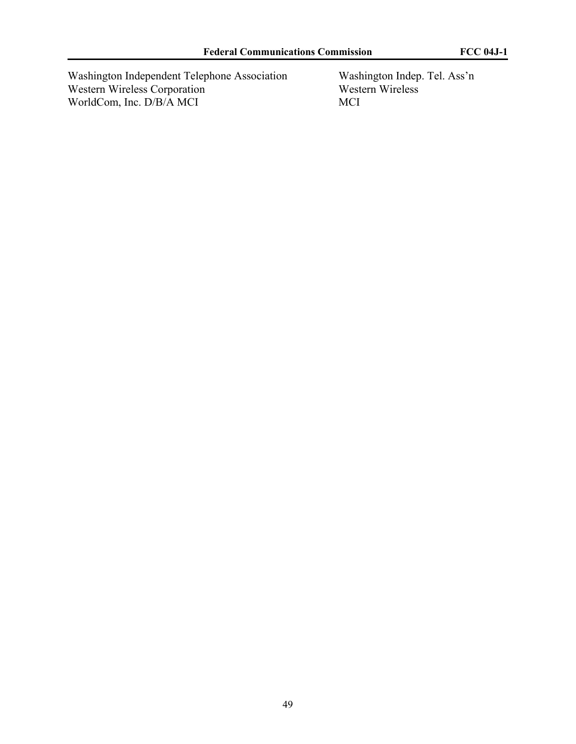Washington Independent Telephone Association Washington Indep. Tel. Ass'n Western Wireless Corporation Western Wireless Western Wireless Corporation<br>WorldCom, Inc. D/B/A MCI MCI WorldCom, Inc. D/B/A MCI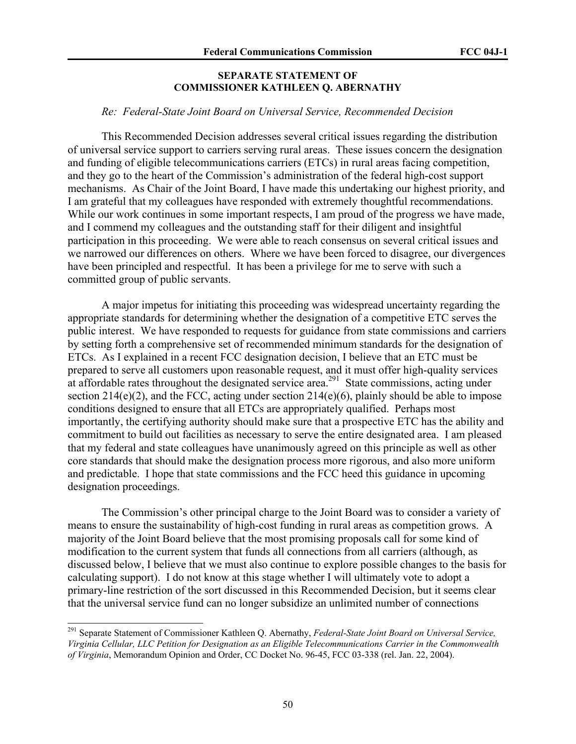### **SEPARATE STATEMENT OF COMMISSIONER KATHLEEN Q. ABERNATHY**

#### *Re: Federal-State Joint Board on Universal Service, Recommended Decision*

This Recommended Decision addresses several critical issues regarding the distribution of universal service support to carriers serving rural areas. These issues concern the designation and funding of eligible telecommunications carriers (ETCs) in rural areas facing competition, and they go to the heart of the Commission's administration of the federal high-cost support mechanisms. As Chair of the Joint Board, I have made this undertaking our highest priority, and I am grateful that my colleagues have responded with extremely thoughtful recommendations. While our work continues in some important respects, I am proud of the progress we have made, and I commend my colleagues and the outstanding staff for their diligent and insightful participation in this proceeding. We were able to reach consensus on several critical issues and we narrowed our differences on others. Where we have been forced to disagree, our divergences have been principled and respectful. It has been a privilege for me to serve with such a committed group of public servants.

A major impetus for initiating this proceeding was widespread uncertainty regarding the appropriate standards for determining whether the designation of a competitive ETC serves the public interest. We have responded to requests for guidance from state commissions and carriers by setting forth a comprehensive set of recommended minimum standards for the designation of ETCs. As I explained in a recent FCC designation decision, I believe that an ETC must be prepared to serve all customers upon reasonable request, and it must offer high-quality services at affordable rates throughout the designated service area.<sup>291</sup> State commissions, acting under section 214(e)(2), and the FCC, acting under section 214(e)(6), plainly should be able to impose conditions designed to ensure that all ETCs are appropriately qualified. Perhaps most importantly, the certifying authority should make sure that a prospective ETC has the ability and commitment to build out facilities as necessary to serve the entire designated area. I am pleased that my federal and state colleagues have unanimously agreed on this principle as well as other core standards that should make the designation process more rigorous, and also more uniform and predictable. I hope that state commissions and the FCC heed this guidance in upcoming designation proceedings.

The Commission's other principal charge to the Joint Board was to consider a variety of means to ensure the sustainability of high-cost funding in rural areas as competition grows. A majority of the Joint Board believe that the most promising proposals call for some kind of modification to the current system that funds all connections from all carriers (although, as discussed below, I believe that we must also continue to explore possible changes to the basis for calculating support). I do not know at this stage whether I will ultimately vote to adopt a primary-line restriction of the sort discussed in this Recommended Decision, but it seems clear that the universal service fund can no longer subsidize an unlimited number of connections

<sup>291</sup> Separate Statement of Commissioner Kathleen Q. Abernathy, *Federal-State Joint Board on Universal Service, Virginia Cellular, LLC Petition for Designation as an Eligible Telecommunications Carrier in the Commonwealth of Virginia*, Memorandum Opinion and Order, CC Docket No. 96-45, FCC 03-338 (rel. Jan. 22, 2004).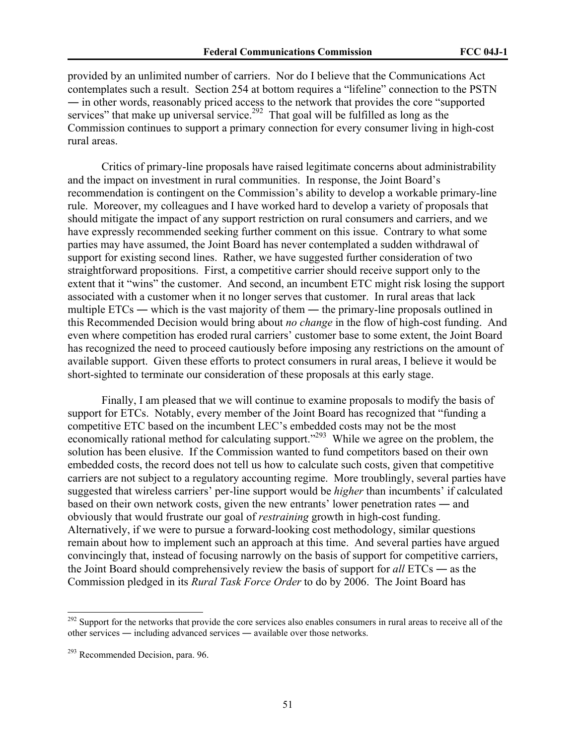provided by an unlimited number of carriers. Nor do I believe that the Communications Act contemplates such a result. Section 254 at bottom requires a "lifeline" connection to the PSTN ― in other words, reasonably priced access to the network that provides the core "supported services" that make up universal service.<sup>292</sup> That goal will be fulfilled as long as the Commission continues to support a primary connection for every consumer living in high-cost rural areas.

Critics of primary-line proposals have raised legitimate concerns about administrability and the impact on investment in rural communities. In response, the Joint Board's recommendation is contingent on the Commission's ability to develop a workable primary-line rule. Moreover, my colleagues and I have worked hard to develop a variety of proposals that should mitigate the impact of any support restriction on rural consumers and carriers, and we have expressly recommended seeking further comment on this issue. Contrary to what some parties may have assumed, the Joint Board has never contemplated a sudden withdrawal of support for existing second lines. Rather, we have suggested further consideration of two straightforward propositions. First, a competitive carrier should receive support only to the extent that it "wins" the customer. And second, an incumbent ETC might risk losing the support associated with a customer when it no longer serves that customer. In rural areas that lack multiple ETCs — which is the vast majority of them — the primary-line proposals outlined in this Recommended Decision would bring about *no change* in the flow of high-cost funding. And even where competition has eroded rural carriers' customer base to some extent, the Joint Board has recognized the need to proceed cautiously before imposing any restrictions on the amount of available support. Given these efforts to protect consumers in rural areas, I believe it would be short-sighted to terminate our consideration of these proposals at this early stage.

Finally, I am pleased that we will continue to examine proposals to modify the basis of support for ETCs. Notably, every member of the Joint Board has recognized that "funding a competitive ETC based on the incumbent LEC's embedded costs may not be the most economically rational method for calculating support."<sup>293</sup> While we agree on the problem, the solution has been elusive. If the Commission wanted to fund competitors based on their own embedded costs, the record does not tell us how to calculate such costs, given that competitive carriers are not subject to a regulatory accounting regime. More troublingly, several parties have suggested that wireless carriers' per-line support would be *higher* than incumbents' if calculated based on their own network costs, given the new entrants' lower penetration rates ― and obviously that would frustrate our goal of *restraining* growth in high-cost funding. Alternatively, if we were to pursue a forward-looking cost methodology, similar questions remain about how to implement such an approach at this time. And several parties have argued convincingly that, instead of focusing narrowly on the basis of support for competitive carriers, the Joint Board should comprehensively review the basis of support for *all* ETCs ― as the Commission pledged in its *Rural Task Force Order* to do by 2006. The Joint Board has

 $292$  Support for the networks that provide the core services also enables consumers in rural areas to receive all of the other services ― including advanced services ― available over those networks.

 $293$  Recommended Decision, para. 96.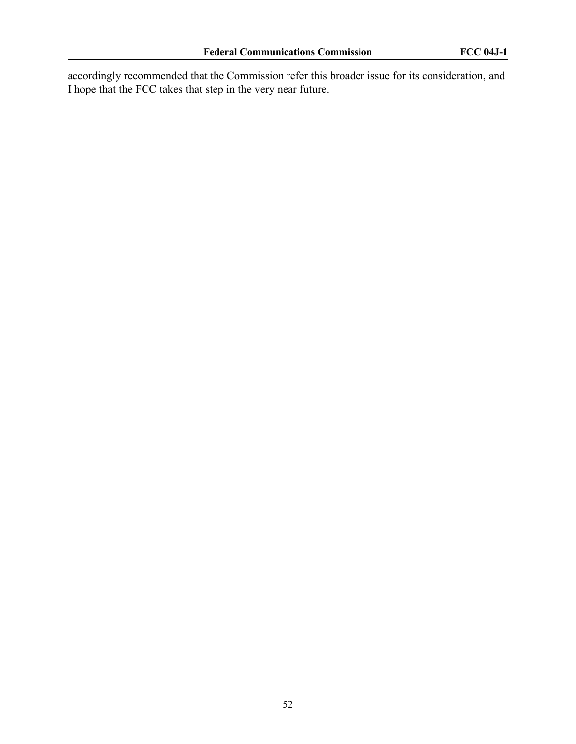accordingly recommended that the Commission refer this broader issue for its consideration, and I hope that the FCC takes that step in the very near future.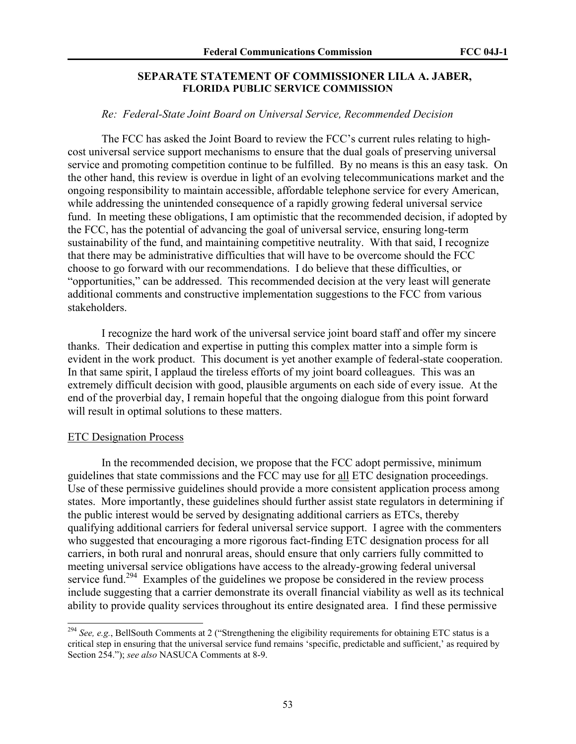# **SEPARATE STATEMENT OF COMMISSIONER LILA A. JABER, FLORIDA PUBLIC SERVICE COMMISSION**

# *Re: Federal-State Joint Board on Universal Service, Recommended Decision*

The FCC has asked the Joint Board to review the FCC's current rules relating to highcost universal service support mechanisms to ensure that the dual goals of preserving universal service and promoting competition continue to be fulfilled. By no means is this an easy task. On the other hand, this review is overdue in light of an evolving telecommunications market and the ongoing responsibility to maintain accessible, affordable telephone service for every American, while addressing the unintended consequence of a rapidly growing federal universal service fund. In meeting these obligations, I am optimistic that the recommended decision, if adopted by the FCC, has the potential of advancing the goal of universal service, ensuring long-term sustainability of the fund, and maintaining competitive neutrality. With that said, I recognize that there may be administrative difficulties that will have to be overcome should the FCC choose to go forward with our recommendations. I do believe that these difficulties, or "opportunities," can be addressed. This recommended decision at the very least will generate additional comments and constructive implementation suggestions to the FCC from various stakeholders.

I recognize the hard work of the universal service joint board staff and offer my sincere thanks. Their dedication and expertise in putting this complex matter into a simple form is evident in the work product. This document is yet another example of federal-state cooperation. In that same spirit, I applaud the tireless efforts of my joint board colleagues. This was an extremely difficult decision with good, plausible arguments on each side of every issue. At the end of the proverbial day, I remain hopeful that the ongoing dialogue from this point forward will result in optimal solutions to these matters.

#### ETC Designation Process

 $\overline{a}$ 

In the recommended decision, we propose that the FCC adopt permissive, minimum guidelines that state commissions and the FCC may use for all ETC designation proceedings. Use of these permissive guidelines should provide a more consistent application process among states. More importantly, these guidelines should further assist state regulators in determining if the public interest would be served by designating additional carriers as ETCs, thereby qualifying additional carriers for federal universal service support. I agree with the commenters who suggested that encouraging a more rigorous fact-finding ETC designation process for all carriers, in both rural and nonrural areas, should ensure that only carriers fully committed to meeting universal service obligations have access to the already-growing federal universal service fund.<sup>294</sup> Examples of the guidelines we propose be considered in the review process include suggesting that a carrier demonstrate its overall financial viability as well as its technical ability to provide quality services throughout its entire designated area. I find these permissive

<sup>294</sup> *See, e.g.*, BellSouth Comments at 2 ("Strengthening the eligibility requirements for obtaining ETC status is a critical step in ensuring that the universal service fund remains 'specific, predictable and sufficient,' as required by Section 254."); *see also* NASUCA Comments at 8-9.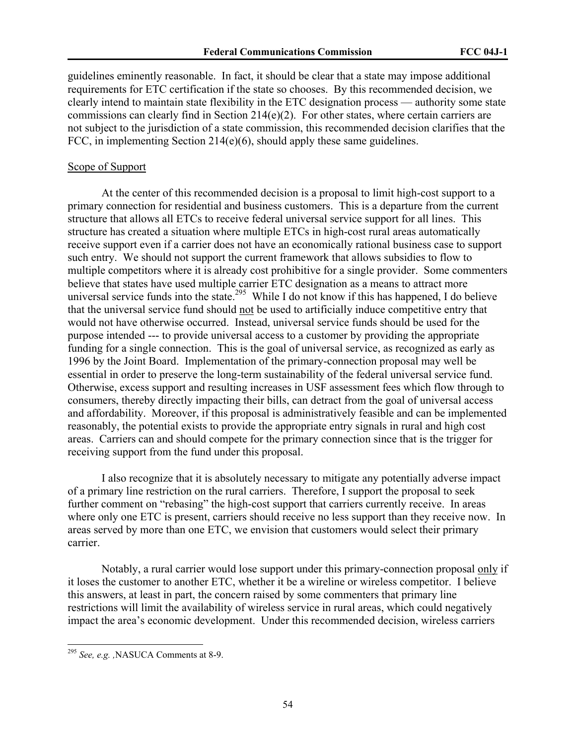guidelines eminently reasonable. In fact, it should be clear that a state may impose additional requirements for ETC certification if the state so chooses. By this recommended decision, we clearly intend to maintain state flexibility in the ETC designation process — authority some state commissions can clearly find in Section 214(e)(2). For other states, where certain carriers are not subject to the jurisdiction of a state commission, this recommended decision clarifies that the FCC, in implementing Section 214(e)(6), should apply these same guidelines.

# Scope of Support

At the center of this recommended decision is a proposal to limit high-cost support to a primary connection for residential and business customers. This is a departure from the current structure that allows all ETCs to receive federal universal service support for all lines. This structure has created a situation where multiple ETCs in high-cost rural areas automatically receive support even if a carrier does not have an economically rational business case to support such entry. We should not support the current framework that allows subsidies to flow to multiple competitors where it is already cost prohibitive for a single provider. Some commenters believe that states have used multiple carrier ETC designation as a means to attract more universal service funds into the state.<sup>295</sup> While I do not know if this has happened, I do believe that the universal service fund should not be used to artificially induce competitive entry that would not have otherwise occurred. Instead, universal service funds should be used for the purpose intended --- to provide universal access to a customer by providing the appropriate funding for a single connection. This is the goal of universal service, as recognized as early as 1996 by the Joint Board. Implementation of the primary-connection proposal may well be essential in order to preserve the long-term sustainability of the federal universal service fund. Otherwise, excess support and resulting increases in USF assessment fees which flow through to consumers, thereby directly impacting their bills, can detract from the goal of universal access and affordability. Moreover, if this proposal is administratively feasible and can be implemented reasonably, the potential exists to provide the appropriate entry signals in rural and high cost areas. Carriers can and should compete for the primary connection since that is the trigger for receiving support from the fund under this proposal.

I also recognize that it is absolutely necessary to mitigate any potentially adverse impact of a primary line restriction on the rural carriers. Therefore, I support the proposal to seek further comment on "rebasing" the high-cost support that carriers currently receive. In areas where only one ETC is present, carriers should receive no less support than they receive now. In areas served by more than one ETC, we envision that customers would select their primary carrier.

Notably, a rural carrier would lose support under this primary-connection proposal only if it loses the customer to another ETC, whether it be a wireline or wireless competitor. I believe this answers, at least in part, the concern raised by some commenters that primary line restrictions will limit the availability of wireless service in rural areas, which could negatively impact the area's economic development. Under this recommended decision, wireless carriers

<sup>295</sup> *See, e.g. ,*NASUCA Comments at 8-9.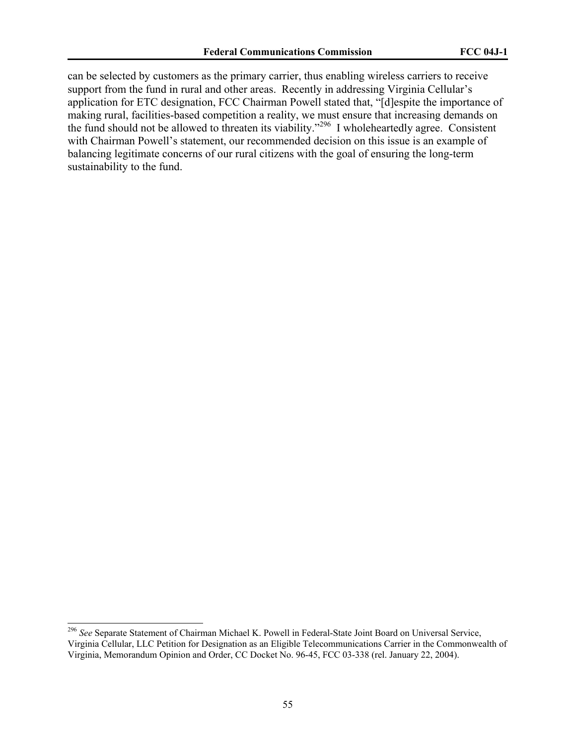can be selected by customers as the primary carrier, thus enabling wireless carriers to receive support from the fund in rural and other areas. Recently in addressing Virginia Cellular's application for ETC designation, FCC Chairman Powell stated that, "[d]espite the importance of making rural, facilities-based competition a reality, we must ensure that increasing demands on the fund should not be allowed to threaten its viability."296 I wholeheartedly agree. Consistent with Chairman Powell's statement, our recommended decision on this issue is an example of balancing legitimate concerns of our rural citizens with the goal of ensuring the long-term sustainability to the fund.

<sup>296</sup> *See* Separate Statement of Chairman Michael K. Powell in Federal-State Joint Board on Universal Service, Virginia Cellular, LLC Petition for Designation as an Eligible Telecommunications Carrier in the Commonwealth of Virginia, Memorandum Opinion and Order, CC Docket No. 96-45, FCC 03-338 (rel. January 22, 2004).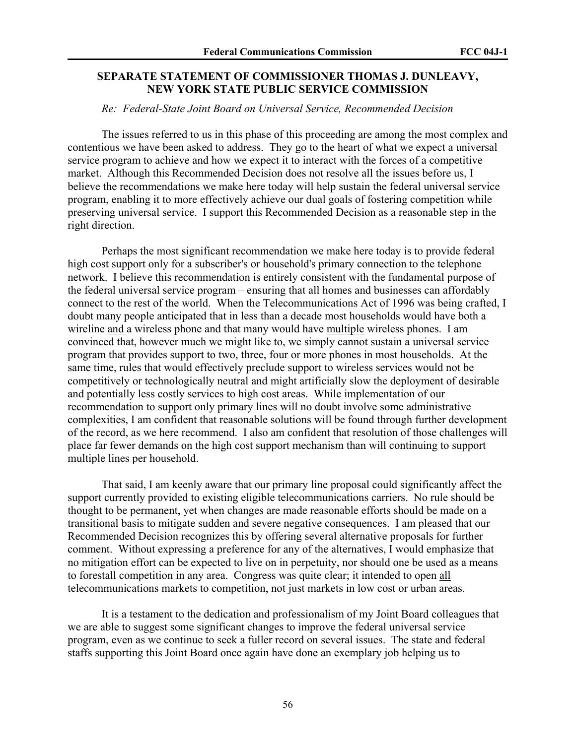# **SEPARATE STATEMENT OF COMMISSIONER THOMAS J. DUNLEAVY, NEW YORK STATE PUBLIC SERVICE COMMISSION**

# *Re: Federal-State Joint Board on Universal Service, Recommended Decision*

The issues referred to us in this phase of this proceeding are among the most complex and contentious we have been asked to address. They go to the heart of what we expect a universal service program to achieve and how we expect it to interact with the forces of a competitive market. Although this Recommended Decision does not resolve all the issues before us, I believe the recommendations we make here today will help sustain the federal universal service program, enabling it to more effectively achieve our dual goals of fostering competition while preserving universal service. I support this Recommended Decision as a reasonable step in the right direction.

Perhaps the most significant recommendation we make here today is to provide federal high cost support only for a subscriber's or household's primary connection to the telephone network. I believe this recommendation is entirely consistent with the fundamental purpose of the federal universal service program – ensuring that all homes and businesses can affordably connect to the rest of the world. When the Telecommunications Act of 1996 was being crafted, I doubt many people anticipated that in less than a decade most households would have both a wireline and a wireless phone and that many would have multiple wireless phones. I am convinced that, however much we might like to, we simply cannot sustain a universal service program that provides support to two, three, four or more phones in most households. At the same time, rules that would effectively preclude support to wireless services would not be competitively or technologically neutral and might artificially slow the deployment of desirable and potentially less costly services to high cost areas. While implementation of our recommendation to support only primary lines will no doubt involve some administrative complexities, I am confident that reasonable solutions will be found through further development of the record, as we here recommend. I also am confident that resolution of those challenges will place far fewer demands on the high cost support mechanism than will continuing to support multiple lines per household.

That said, I am keenly aware that our primary line proposal could significantly affect the support currently provided to existing eligible telecommunications carriers. No rule should be thought to be permanent, yet when changes are made reasonable efforts should be made on a transitional basis to mitigate sudden and severe negative consequences. I am pleased that our Recommended Decision recognizes this by offering several alternative proposals for further comment. Without expressing a preference for any of the alternatives, I would emphasize that no mitigation effort can be expected to live on in perpetuity, nor should one be used as a means to forestall competition in any area. Congress was quite clear; it intended to open all telecommunications markets to competition, not just markets in low cost or urban areas.

It is a testament to the dedication and professionalism of my Joint Board colleagues that we are able to suggest some significant changes to improve the federal universal service program, even as we continue to seek a fuller record on several issues. The state and federal staffs supporting this Joint Board once again have done an exemplary job helping us to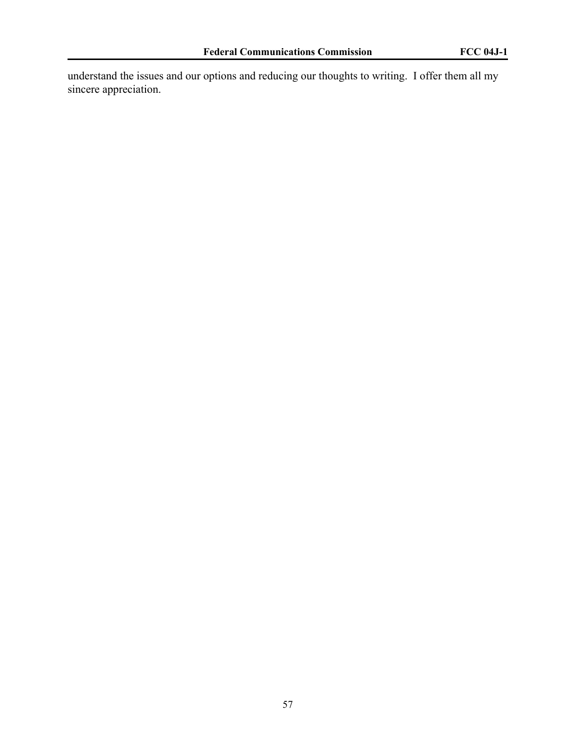understand the issues and our options and reducing our thoughts to writing. I offer them all my sincere appreciation.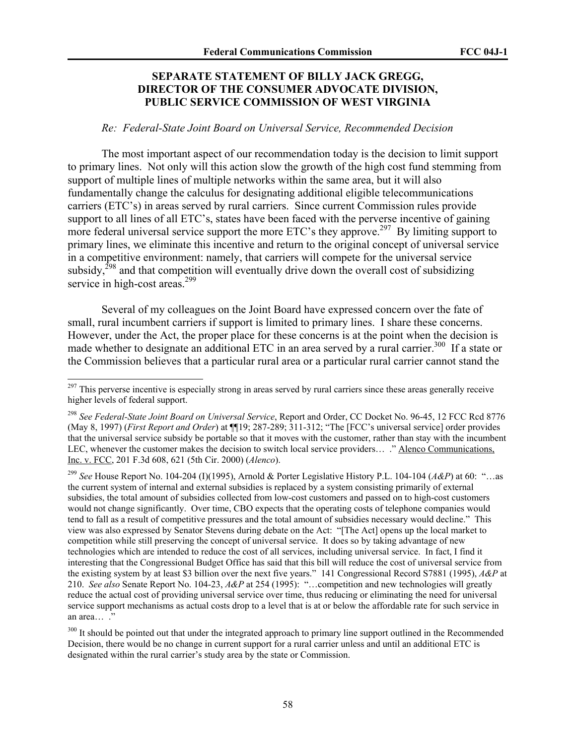# **SEPARATE STATEMENT OF BILLY JACK GREGG, DIRECTOR OF THE CONSUMER ADVOCATE DIVISION, PUBLIC SERVICE COMMISSION OF WEST VIRGINIA**

#### *Re: Federal-State Joint Board on Universal Service, Recommended Decision*

The most important aspect of our recommendation today is the decision to limit support to primary lines. Not only will this action slow the growth of the high cost fund stemming from support of multiple lines of multiple networks within the same area, but it will also fundamentally change the calculus for designating additional eligible telecommunications carriers (ETC's) in areas served by rural carriers. Since current Commission rules provide support to all lines of all ETC's, states have been faced with the perverse incentive of gaining more federal universal service support the more ETC's they approve.<sup>297</sup> By limiting support to primary lines, we eliminate this incentive and return to the original concept of universal service in a competitive environment: namely, that carriers will compete for the universal service subsidy,<sup>298</sup> and that competition will eventually drive down the overall cost of subsidizing service in high-cost areas.<sup>299</sup>

Several of my colleagues on the Joint Board have expressed concern over the fate of small, rural incumbent carriers if support is limited to primary lines. I share these concerns. However, under the Act, the proper place for these concerns is at the point when the decision is made whether to designate an additional ETC in an area served by a rural carrier.<sup>300</sup> If a state or the Commission believes that a particular rural area or a particular rural carrier cannot stand the

 $297$  This perverse incentive is especially strong in areas served by rural carriers since these areas generally receive higher levels of federal support.

<sup>298</sup> *See Federal-State Joint Board on Universal Service*, Report and Order, CC Docket No. 96-45, 12 FCC Rcd 8776 (May 8, 1997) (*First Report and Order*) at ¶¶19; 287-289; 311-312; "The [FCC's universal service] order provides that the universal service subsidy be portable so that it moves with the customer, rather than stay with the incumbent LEC, whenever the customer makes the decision to switch local service providers… ." Alenco Communications, Inc. v. FCC, 201 F.3d 608, 621 (5th Cir. 2000) (*Alenco*).

<sup>299</sup> *See* House Report No. 104-204 (I)(1995), Arnold & Porter Legislative History P.L. 104-104 (*A&P*) at 60: "…as the current system of internal and external subsidies is replaced by a system consisting primarily of external subsidies, the total amount of subsidies collected from low-cost customers and passed on to high-cost customers would not change significantly. Over time, CBO expects that the operating costs of telephone companies would tend to fall as a result of competitive pressures and the total amount of subsidies necessary would decline." This view was also expressed by Senator Stevens during debate on the Act: "[The Act] opens up the local market to competition while still preserving the concept of universal service. It does so by taking advantage of new technologies which are intended to reduce the cost of all services, including universal service. In fact, I find it interesting that the Congressional Budget Office has said that this bill will reduce the cost of universal service from the existing system by at least \$3 billion over the next five years." 141 Congressional Record S7881 (1995), *A&P* at 210. *See also* Senate Report No. 104-23, *A&P* at 254 (1995): "…competition and new technologies will greatly reduce the actual cost of providing universal service over time, thus reducing or eliminating the need for universal service support mechanisms as actual costs drop to a level that is at or below the affordable rate for such service in an area… ."

<sup>&</sup>lt;sup>300</sup> It should be pointed out that under the integrated approach to primary line support outlined in the Recommended Decision, there would be no change in current support for a rural carrier unless and until an additional ETC is designated within the rural carrier's study area by the state or Commission.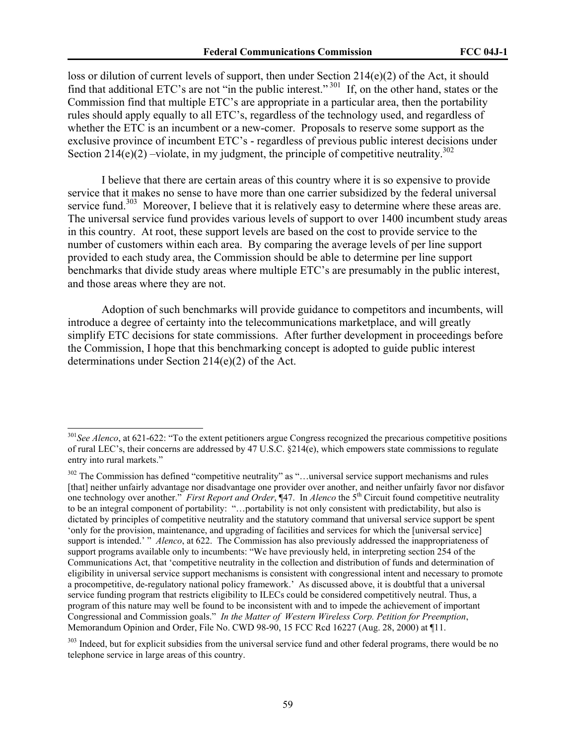loss or dilution of current levels of support, then under Section 214(e)(2) of the Act, it should find that additional ETC's are not "in the public interest."<sup>301</sup> If, on the other hand, states or the Commission find that multiple ETC's are appropriate in a particular area, then the portability rules should apply equally to all ETC's, regardless of the technology used, and regardless of whether the ETC is an incumbent or a new-comer. Proposals to reserve some support as the exclusive province of incumbent ETC's - regardless of previous public interest decisions under Section 214(e)(2) –violate, in my judgment, the principle of competitive neutrality.<sup>302</sup>

I believe that there are certain areas of this country where it is so expensive to provide service that it makes no sense to have more than one carrier subsidized by the federal universal service fund.<sup>303</sup> Moreover, I believe that it is relatively easy to determine where these areas are. The universal service fund provides various levels of support to over 1400 incumbent study areas in this country. At root, these support levels are based on the cost to provide service to the number of customers within each area. By comparing the average levels of per line support provided to each study area, the Commission should be able to determine per line support benchmarks that divide study areas where multiple ETC's are presumably in the public interest, and those areas where they are not.

Adoption of such benchmarks will provide guidance to competitors and incumbents, will introduce a degree of certainty into the telecommunications marketplace, and will greatly simplify ETC decisions for state commissions. After further development in proceedings before the Commission, I hope that this benchmarking concept is adopted to guide public interest determinations under Section 214(e)(2) of the Act.

<sup>301</sup>*See Alenco*, at 621-622: "To the extent petitioners argue Congress recognized the precarious competitive positions of rural LEC's, their concerns are addressed by 47 U.S.C. §214(e), which empowers state commissions to regulate entry into rural markets."

<sup>&</sup>lt;sup>302</sup> The Commission has defined "competitive neutrality" as "...universal service support mechanisms and rules [that] neither unfairly advantage nor disadvantage one provider over another, and neither unfairly favor nor disfavor one technology over another." *First Report and Order*, ¶47. In *Alenco* the 5<sup>th</sup> Circuit found competitive neutrality to be an integral component of portability: "…portability is not only consistent with predictability, but also is dictated by principles of competitive neutrality and the statutory command that universal service support be spent 'only for the provision, maintenance, and upgrading of facilities and services for which the [universal service] support is intended.' " *Alenco*, at 622. The Commission has also previously addressed the inappropriateness of support programs available only to incumbents: "We have previously held, in interpreting section 254 of the Communications Act, that 'competitive neutrality in the collection and distribution of funds and determination of eligibility in universal service support mechanisms is consistent with congressional intent and necessary to promote a procompetitive, de-regulatory national policy framework.' As discussed above, it is doubtful that a universal service funding program that restricts eligibility to ILECs could be considered competitively neutral. Thus, a program of this nature may well be found to be inconsistent with and to impede the achievement of important Congressional and Commission goals." *In the Matter of Western Wireless Corp. Petition for Preemption*, Memorandum Opinion and Order, File No. CWD 98-90, 15 FCC Rcd 16227 (Aug. 28, 2000) at ¶11.

<sup>&</sup>lt;sup>303</sup> Indeed, but for explicit subsidies from the universal service fund and other federal programs, there would be no telephone service in large areas of this country.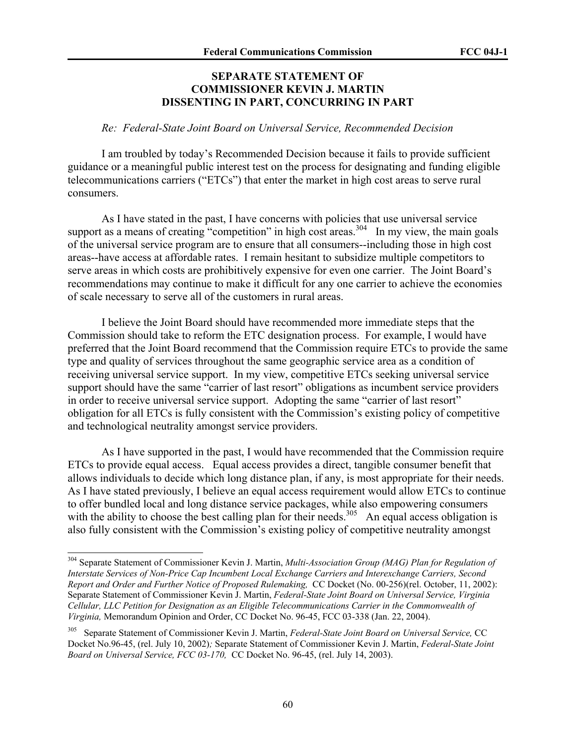# **SEPARATE STATEMENT OF COMMISSIONER KEVIN J. MARTIN DISSENTING IN PART, CONCURRING IN PART**

# *Re: Federal-State Joint Board on Universal Service, Recommended Decision*

I am troubled by today's Recommended Decision because it fails to provide sufficient guidance or a meaningful public interest test on the process for designating and funding eligible telecommunications carriers ("ETCs") that enter the market in high cost areas to serve rural consumers.

As I have stated in the past, I have concerns with policies that use universal service support as a means of creating "competition" in high cost areas.<sup>304</sup> In my view, the main goals of the universal service program are to ensure that all consumers--including those in high cost areas--have access at affordable rates. I remain hesitant to subsidize multiple competitors to serve areas in which costs are prohibitively expensive for even one carrier. The Joint Board's recommendations may continue to make it difficult for any one carrier to achieve the economies of scale necessary to serve all of the customers in rural areas.

I believe the Joint Board should have recommended more immediate steps that the Commission should take to reform the ETC designation process. For example, I would have preferred that the Joint Board recommend that the Commission require ETCs to provide the same type and quality of services throughout the same geographic service area as a condition of receiving universal service support. In my view, competitive ETCs seeking universal service support should have the same "carrier of last resort" obligations as incumbent service providers in order to receive universal service support. Adopting the same "carrier of last resort" obligation for all ETCs is fully consistent with the Commission's existing policy of competitive and technological neutrality amongst service providers.

As I have supported in the past, I would have recommended that the Commission require ETCs to provide equal access. Equal access provides a direct, tangible consumer benefit that allows individuals to decide which long distance plan, if any, is most appropriate for their needs. As I have stated previously, I believe an equal access requirement would allow ETCs to continue to offer bundled local and long distance service packages, while also empowering consumers with the ability to choose the best calling plan for their needs.<sup>305</sup> An equal access obligation is also fully consistent with the Commission's existing policy of competitive neutrality amongst

<sup>304</sup> Separate Statement of Commissioner Kevin J. Martin, *Multi-Association Group (MAG) Plan for Regulation of Interstate Services of Non-Price Cap Incumbent Local Exchange Carriers and Interexchange Carriers, Second Report and Order and Further Notice of Proposed Rulemaking,* CC Docket (No. 00-256)(rel. October, 11, 2002): Separate Statement of Commissioner Kevin J. Martin, *Federal-State Joint Board on Universal Service, Virginia Cellular, LLC Petition for Designation as an Eligible Telecommunications Carrier in the Commonwealth of Virginia,* Memorandum Opinion and Order, CC Docket No. 96-45, FCC 03-338 (Jan. 22, 2004).

<sup>305</sup> Separate Statement of Commissioner Kevin J. Martin, *Federal-State Joint Board on Universal Service,* CC Docket No.96-45, (rel. July 10, 2002)*;* Separate Statement of Commissioner Kevin J. Martin, *Federal-State Joint Board on Universal Service, FCC 03-170,* CC Docket No. 96-45, (rel. July 14, 2003).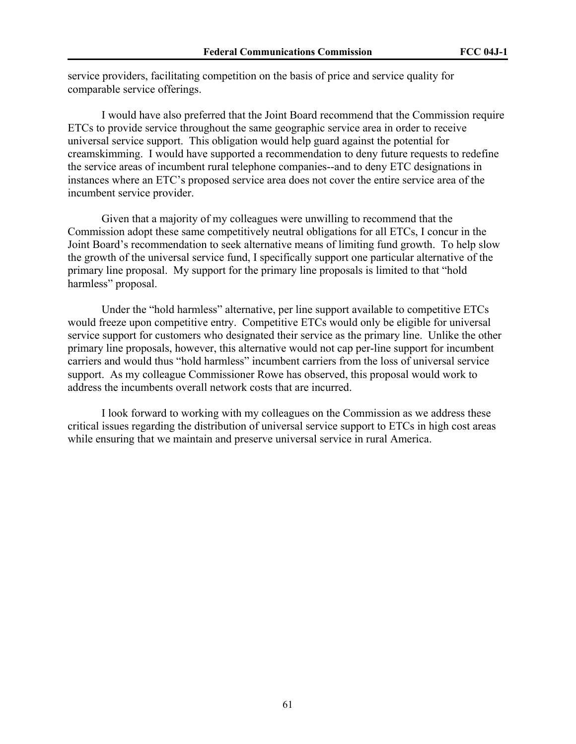service providers, facilitating competition on the basis of price and service quality for comparable service offerings.

I would have also preferred that the Joint Board recommend that the Commission require ETCs to provide service throughout the same geographic service area in order to receive universal service support. This obligation would help guard against the potential for creamskimming. I would have supported a recommendation to deny future requests to redefine the service areas of incumbent rural telephone companies--and to deny ETC designations in instances where an ETC's proposed service area does not cover the entire service area of the incumbent service provider.

Given that a majority of my colleagues were unwilling to recommend that the Commission adopt these same competitively neutral obligations for all ETCs, I concur in the Joint Board's recommendation to seek alternative means of limiting fund growth. To help slow the growth of the universal service fund, I specifically support one particular alternative of the primary line proposal. My support for the primary line proposals is limited to that "hold harmless" proposal.

Under the "hold harmless" alternative, per line support available to competitive ETCs would freeze upon competitive entry. Competitive ETCs would only be eligible for universal service support for customers who designated their service as the primary line. Unlike the other primary line proposals, however, this alternative would not cap per-line support for incumbent carriers and would thus "hold harmless" incumbent carriers from the loss of universal service support. As my colleague Commissioner Rowe has observed, this proposal would work to address the incumbents overall network costs that are incurred.

I look forward to working with my colleagues on the Commission as we address these critical issues regarding the distribution of universal service support to ETCs in high cost areas while ensuring that we maintain and preserve universal service in rural America.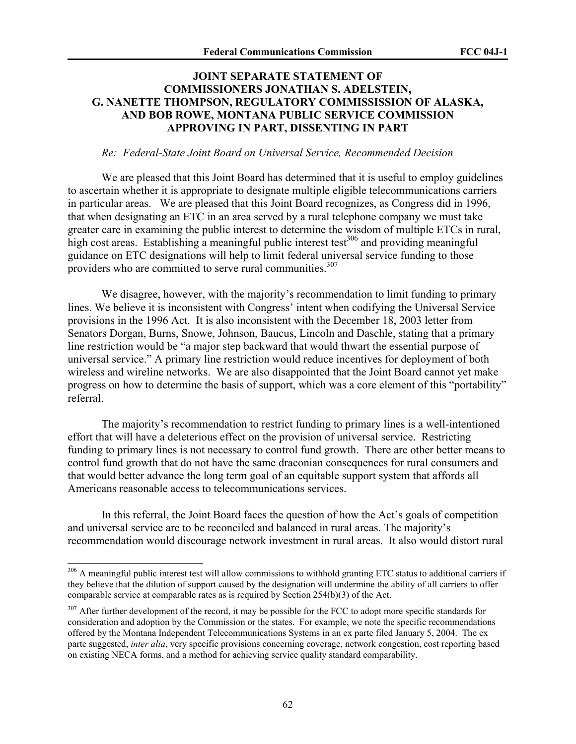# **JOINT SEPARATE STATEMENT OF COMMISSIONERS JONATHAN S. ADELSTEIN, G. NANETTE THOMPSON, REGULATORY COMMISSISSION OF ALASKA, AND BOB ROWE, MONTANA PUBLIC SERVICE COMMISSION APPROVING IN PART, DISSENTING IN PART**

#### *Re: Federal-State Joint Board on Universal Service, Recommended Decision*

We are pleased that this Joint Board has determined that it is useful to employ guidelines to ascertain whether it is appropriate to designate multiple eligible telecommunications carriers in particular areas. We are pleased that this Joint Board recognizes, as Congress did in 1996, that when designating an ETC in an area served by a rural telephone company we must take greater care in examining the public interest to determine the wisdom of multiple ETCs in rural, high cost areas. Establishing a meaningful public interest test<sup>306</sup> and providing meaningful guidance on ETC designations will help to limit federal universal service funding to those providers who are committed to serve rural communities.<sup>307</sup>

We disagree, however, with the majority's recommendation to limit funding to primary lines. We believe it is inconsistent with Congress' intent when codifying the Universal Service provisions in the 1996 Act. It is also inconsistent with the December 18, 2003 letter from Senators Dorgan, Burns, Snowe, Johnson, Baucus, Lincoln and Daschle, stating that a primary line restriction would be "a major step backward that would thwart the essential purpose of universal service." A primary line restriction would reduce incentives for deployment of both wireless and wireline networks. We are also disappointed that the Joint Board cannot yet make progress on how to determine the basis of support, which was a core element of this "portability" referral.

The majority's recommendation to restrict funding to primary lines is a well-intentioned effort that will have a deleterious effect on the provision of universal service. Restricting funding to primary lines is not necessary to control fund growth. There are other better means to control fund growth that do not have the same draconian consequences for rural consumers and that would better advance the long term goal of an equitable support system that affords all Americans reasonable access to telecommunications services.

In this referral, the Joint Board faces the question of how the Act's goals of competition and universal service are to be reconciled and balanced in rural areas. The majority's recommendation would discourage network investment in rural areas. It also would distort rural

l

<sup>&</sup>lt;sup>306</sup> A meaningful public interest test will allow commissions to withhold granting ETC status to additional carriers if they believe that the dilution of support caused by the designation will undermine the ability of all carriers to offer comparable service at comparable rates as is required by Section 254(b)(3) of the Act.

<sup>&</sup>lt;sup>307</sup> After further development of the record, it may be possible for the FCC to adopt more specific standards for consideration and adoption by the Commission or the states. For example, we note the specific recommendations offered by the Montana Independent Telecommunications Systems in an ex parte filed January 5, 2004. The ex parte suggested, *inter alia*, very specific provisions concerning coverage, network congestion, cost reporting based on existing NECA forms, and a method for achieving service quality standard comparability.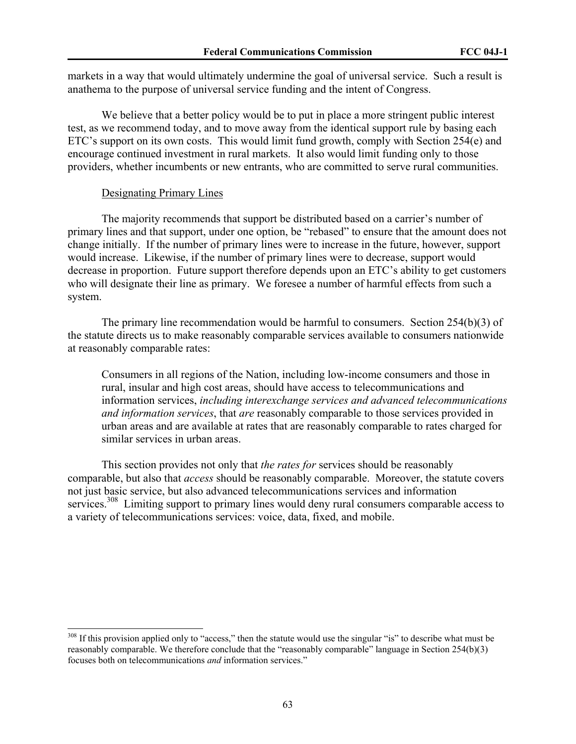markets in a way that would ultimately undermine the goal of universal service. Such a result is anathema to the purpose of universal service funding and the intent of Congress.

We believe that a better policy would be to put in place a more stringent public interest test, as we recommend today, and to move away from the identical support rule by basing each ETC's support on its own costs. This would limit fund growth, comply with Section 254(e) and encourage continued investment in rural markets. It also would limit funding only to those providers, whether incumbents or new entrants, who are committed to serve rural communities.

#### Designating Primary Lines

 $\overline{\phantom{a}}$ 

The majority recommends that support be distributed based on a carrier's number of primary lines and that support, under one option, be "rebased" to ensure that the amount does not change initially. If the number of primary lines were to increase in the future, however, support would increase. Likewise, if the number of primary lines were to decrease, support would decrease in proportion. Future support therefore depends upon an ETC's ability to get customers who will designate their line as primary. We foresee a number of harmful effects from such a system.

The primary line recommendation would be harmful to consumers. Section 254(b)(3) of the statute directs us to make reasonably comparable services available to consumers nationwide at reasonably comparable rates:

Consumers in all regions of the Nation, including low-income consumers and those in rural, insular and high cost areas, should have access to telecommunications and information services, *including interexchange services and advanced telecommunications and information services*, that *are* reasonably comparable to those services provided in urban areas and are available at rates that are reasonably comparable to rates charged for similar services in urban areas.

This section provides not only that *the rates for* services should be reasonably comparable, but also that *access* should be reasonably comparable. Moreover, the statute covers not just basic service, but also advanced telecommunications services and information services.<sup>308</sup> Limiting support to primary lines would deny rural consumers comparable access to a variety of telecommunications services: voice, data, fixed, and mobile.

<sup>&</sup>lt;sup>308</sup> If this provision applied only to "access," then the statute would use the singular "is" to describe what must be reasonably comparable. We therefore conclude that the "reasonably comparable" language in Section 254(b)(3) focuses both on telecommunications *and* information services."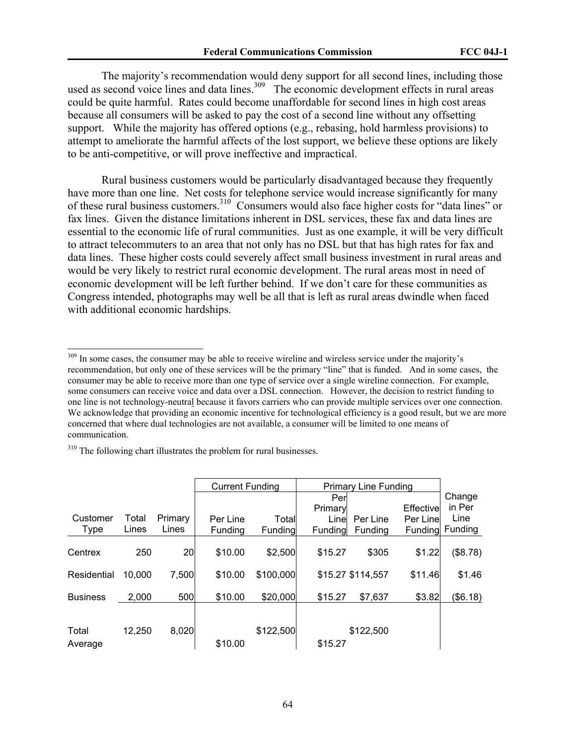The majority's recommendation would deny support for all second lines, including those used as second voice lines and data lines.<sup>309</sup> The economic development effects in rural areas could be quite harmful. Rates could become unaffordable for second lines in high cost areas because all consumers will be asked to pay the cost of a second line without any offsetting support. While the majority has offered options (e.g., rebasing, hold harmless provisions) to attempt to ameliorate the harmful affects of the lost support, we believe these options are likely to be anti-competitive, or will prove ineffective and impractical.

 Rural business customers would be particularly disadvantaged because they frequently have more than one line. Net costs for telephone service would increase significantly for many of these rural business customers.310 Consumers would also face higher costs for "data lines" or fax lines. Given the distance limitations inherent in DSL services, these fax and data lines are essential to the economic life of rural communities. Just as one example, it will be very difficult to attract telecommuters to an area that not only has no DSL but that has high rates for fax and data lines. These higher costs could severely affect small business investment in rural areas and would be very likely to restrict rural economic development. The rural areas most in need of economic development will be left further behind. If we don't care for these communities as Congress intended, photographs may well be all that is left as rural areas dwindle when faced with additional economic hardships.

<sup>310</sup> The following chart illustrates the problem for rural businesses.

|                 |        |         | <b>Current Funding</b><br><b>Primary Line Funding</b> |           |         |                   |            |          |
|-----------------|--------|---------|-------------------------------------------------------|-----------|---------|-------------------|------------|----------|
|                 |        |         |                                                       |           | Per     |                   |            | Change   |
|                 |        |         |                                                       |           | Primary |                   | Effectivel | in Per   |
| Customer        | Total  | Primary | Per Line                                              | Totall    | Line    | Per Line          | Per Line   | Line     |
| Type            | Lines  | Lines   | Fundina                                               | Funding   | Funding | Funding           | Funding    | Funding  |
|                 |        |         |                                                       |           |         |                   |            |          |
| Centrex         | 250    | 20      | \$10.00                                               | \$2,500   | \$15.27 | \$305             | \$1.22     | (\$8.78) |
|                 |        |         |                                                       |           |         |                   |            |          |
| Residential     | 10,000 | 7,500   | \$10.00                                               | \$100,000 |         | \$15.27 \$114,557 | \$11.46    | \$1.46   |
|                 |        |         |                                                       |           |         |                   |            |          |
| <b>Business</b> | 2,000  | 500     | \$10.00                                               | \$20,000  | \$15.27 | \$7,637           | \$3.82     | (\$6.18) |
|                 |        |         |                                                       |           |         |                   |            |          |
|                 |        |         |                                                       |           |         |                   |            |          |
| Total           | 12,250 | 8,020   |                                                       | \$122,500 |         | \$122,500         |            |          |
| Average         |        |         | \$10.00                                               |           | \$15.27 |                   |            |          |

<sup>&</sup>lt;sup>309</sup> In some cases, the consumer may be able to receive wireline and wireless service under the majority's recommendation, but only one of these services will be the primary "line" that is funded. And in some cases, the consumer may be able to receive more than one type of service over a single wireline connection. For example, some consumers can receive voice and data over a DSL connection. However, the decision to restrict funding to one line is not technology-neutral because it favors carriers who can provide multiple services over one connection. We acknowledge that providing an economic incentive for technological efficiency is a good result, but we are more concerned that where dual technologies are not available, a consumer will be limited to one means of communication.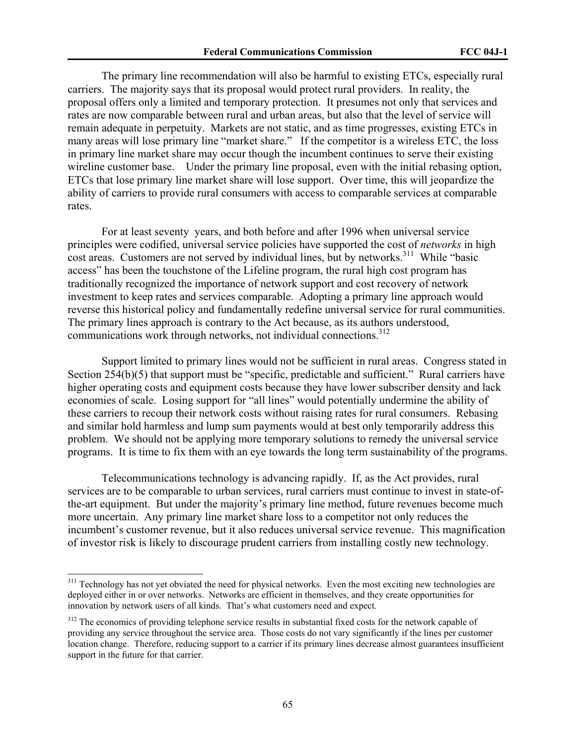The primary line recommendation will also be harmful to existing ETCs, especially rural carriers. The majority says that its proposal would protect rural providers. In reality, the proposal offers only a limited and temporary protection. It presumes not only that services and rates are now comparable between rural and urban areas, but also that the level of service will remain adequate in perpetuity. Markets are not static, and as time progresses, existing ETCs in many areas will lose primary line "market share." If the competitor is a wireless ETC, the loss in primary line market share may occur though the incumbent continues to serve their existing wireline customer base. Under the primary line proposal, even with the initial rebasing option, ETCs that lose primary line market share will lose support. Over time, this will jeopardize the ability of carriers to provide rural consumers with access to comparable services at comparable rates.

 For at least seventy years, and both before and after 1996 when universal service principles were codified, universal service policies have supported the cost of *networks* in high cost areas. Customers are not served by individual lines, but by networks.<sup>311</sup> While "basic access" has been the touchstone of the Lifeline program, the rural high cost program has traditionally recognized the importance of network support and cost recovery of network investment to keep rates and services comparable. Adopting a primary line approach would reverse this historical policy and fundamentally redefine universal service for rural communities. The primary lines approach is contrary to the Act because, as its authors understood, communications work through networks, not individual connections.<sup>312</sup>

 Support limited to primary lines would not be sufficient in rural areas. Congress stated in Section 254(b)(5) that support must be "specific, predictable and sufficient." Rural carriers have higher operating costs and equipment costs because they have lower subscriber density and lack economies of scale. Losing support for "all lines" would potentially undermine the ability of these carriers to recoup their network costs without raising rates for rural consumers. Rebasing and similar hold harmless and lump sum payments would at best only temporarily address this problem. We should not be applying more temporary solutions to remedy the universal service programs. It is time to fix them with an eye towards the long term sustainability of the programs.

 Telecommunications technology is advancing rapidly. If, as the Act provides, rural services are to be comparable to urban services, rural carriers must continue to invest in state-ofthe-art equipment. But under the majority's primary line method, future revenues become much more uncertain. Any primary line market share loss to a competitor not only reduces the incumbent's customer revenue, but it also reduces universal service revenue. This magnification of investor risk is likely to discourage prudent carriers from installing costly new technology.

<sup>&</sup>lt;sup>311</sup> Technology has not yet obviated the need for physical networks. Even the most exciting new technologies are deployed either in or over networks. Networks are efficient in themselves, and they create opportunities for innovation by network users of all kinds. That's what customers need and expect.

<sup>&</sup>lt;sup>312</sup> The economics of providing telephone service results in substantial fixed costs for the network capable of providing any service throughout the service area. Those costs do not vary significantly if the lines per customer location change. Therefore, reducing support to a carrier if its primary lines decrease almost guarantees insufficient support in the future for that carrier.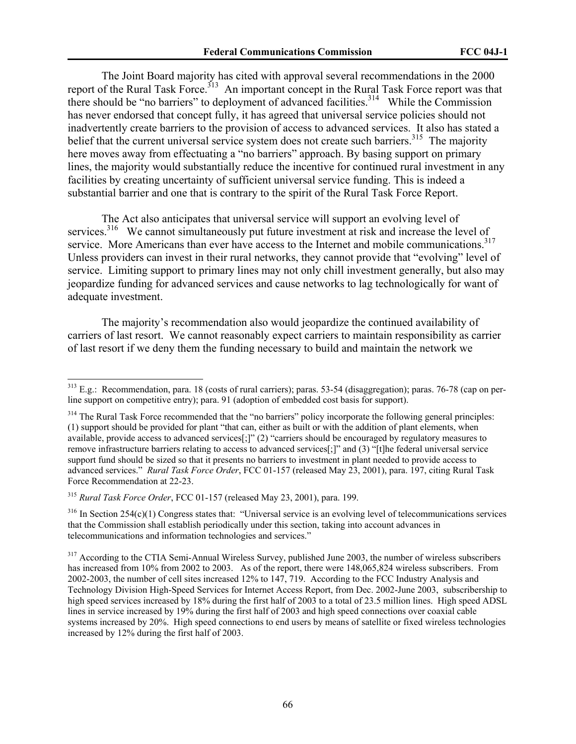The Joint Board majority has cited with approval several recommendations in the 2000 report of the Rural Task Force.<sup>313</sup> An important concept in the Rural Task Force report was that there should be "no barriers" to deployment of advanced facilities.<sup>314</sup> While the Commission has never endorsed that concept fully, it has agreed that universal service policies should not inadvertently create barriers to the provision of access to advanced services. It also has stated a belief that the current universal service system does not create such barriers.<sup>315</sup> The majority here moves away from effectuating a "no barriers" approach. By basing support on primary lines, the majority would substantially reduce the incentive for continued rural investment in any facilities by creating uncertainty of sufficient universal service funding. This is indeed a substantial barrier and one that is contrary to the spirit of the Rural Task Force Report.

 The Act also anticipates that universal service will support an evolving level of services.<sup>316</sup> We cannot simultaneously put future investment at risk and increase the level of service. More Americans than ever have access to the Internet and mobile communications.<sup>317</sup> Unless providers can invest in their rural networks, they cannot provide that "evolving" level of service. Limiting support to primary lines may not only chill investment generally, but also may jeopardize funding for advanced services and cause networks to lag technologically for want of adequate investment.

The majority's recommendation also would jeopardize the continued availability of carriers of last resort. We cannot reasonably expect carriers to maintain responsibility as carrier of last resort if we deny them the funding necessary to build and maintain the network we

<sup>315</sup> *Rural Task Force Order*, FCC 01-157 (released May 23, 2001), para. 199.

<sup>&</sup>lt;sup>313</sup> E.g.: Recommendation, para. 18 (costs of rural carriers); paras. 53-54 (disaggregation); paras. 76-78 (cap on perline support on competitive entry); para. 91 (adoption of embedded cost basis for support).

<sup>&</sup>lt;sup>314</sup> The Rural Task Force recommended that the "no barriers" policy incorporate the following general principles: (1) support should be provided for plant "that can, either as built or with the addition of plant elements, when available, provide access to advanced services[;]" (2) "carriers should be encouraged by regulatory measures to remove infrastructure barriers relating to access to advanced services[;]" and (3) "[t]he federal universal service support fund should be sized so that it presents no barriers to investment in plant needed to provide access to advanced services." *Rural Task Force Order*, FCC 01-157 (released May 23, 2001), para. 197, citing Rural Task Force Recommendation at 22-23.

 $316$  In Section 254(c)(1) Congress states that: "Universal service is an evolving level of telecommunications services that the Commission shall establish periodically under this section, taking into account advances in telecommunications and information technologies and services."

<sup>&</sup>lt;sup>317</sup> According to the CTIA Semi-Annual Wireless Survey, published June 2003, the number of wireless subscribers has increased from 10% from 2002 to 2003. As of the report, there were 148,065,824 wireless subscribers. From 2002-2003, the number of cell sites increased 12% to 147, 719. According to the FCC Industry Analysis and Technology Division High-Speed Services for Internet Access Report, from Dec. 2002-June 2003, subscribership to high speed services increased by 18% during the first half of 2003 to a total of 23.5 million lines. High speed ADSL lines in service increased by 19% during the first half of 2003 and high speed connections over coaxial cable systems increased by 20%. High speed connections to end users by means of satellite or fixed wireless technologies increased by 12% during the first half of 2003.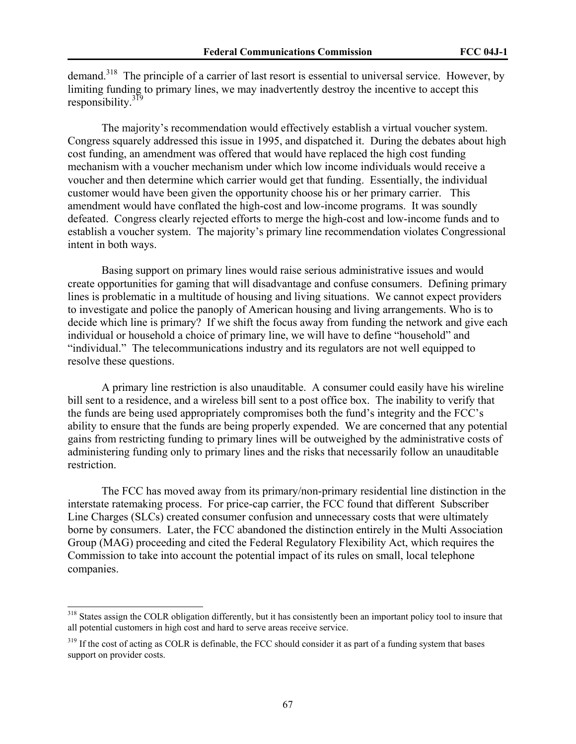demand.<sup>318</sup> The principle of a carrier of last resort is essential to universal service. However, by limiting funding to primary lines, we may inadvertently destroy the incentive to accept this responsibility. $319$ 

The majority's recommendation would effectively establish a virtual voucher system. Congress squarely addressed this issue in 1995, and dispatched it. During the debates about high cost funding, an amendment was offered that would have replaced the high cost funding mechanism with a voucher mechanism under which low income individuals would receive a voucher and then determine which carrier would get that funding. Essentially, the individual customer would have been given the opportunity choose his or her primary carrier. This amendment would have conflated the high-cost and low-income programs. It was soundly defeated. Congress clearly rejected efforts to merge the high-cost and low-income funds and to establish a voucher system. The majority's primary line recommendation violates Congressional intent in both ways.

Basing support on primary lines would raise serious administrative issues and would create opportunities for gaming that will disadvantage and confuse consumers. Defining primary lines is problematic in a multitude of housing and living situations. We cannot expect providers to investigate and police the panoply of American housing and living arrangements. Who is to decide which line is primary? If we shift the focus away from funding the network and give each individual or household a choice of primary line, we will have to define "household" and "individual." The telecommunications industry and its regulators are not well equipped to resolve these questions.

A primary line restriction is also unauditable. A consumer could easily have his wireline bill sent to a residence, and a wireless bill sent to a post office box. The inability to verify that the funds are being used appropriately compromises both the fund's integrity and the FCC's ability to ensure that the funds are being properly expended. We are concerned that any potential gains from restricting funding to primary lines will be outweighed by the administrative costs of administering funding only to primary lines and the risks that necessarily follow an unauditable restriction.

The FCC has moved away from its primary/non-primary residential line distinction in the interstate ratemaking process. For price-cap carrier, the FCC found that different Subscriber Line Charges (SLCs) created consumer confusion and unnecessary costs that were ultimately borne by consumers. Later, the FCC abandoned the distinction entirely in the Multi Association Group (MAG) proceeding and cited the Federal Regulatory Flexibility Act, which requires the Commission to take into account the potential impact of its rules on small, local telephone companies.

<sup>&</sup>lt;sup>318</sup> States assign the COLR obligation differently, but it has consistently been an important policy tool to insure that all potential customers in high cost and hard to serve areas receive service.

<sup>&</sup>lt;sup>319</sup> If the cost of acting as COLR is definable, the FCC should consider it as part of a funding system that bases support on provider costs.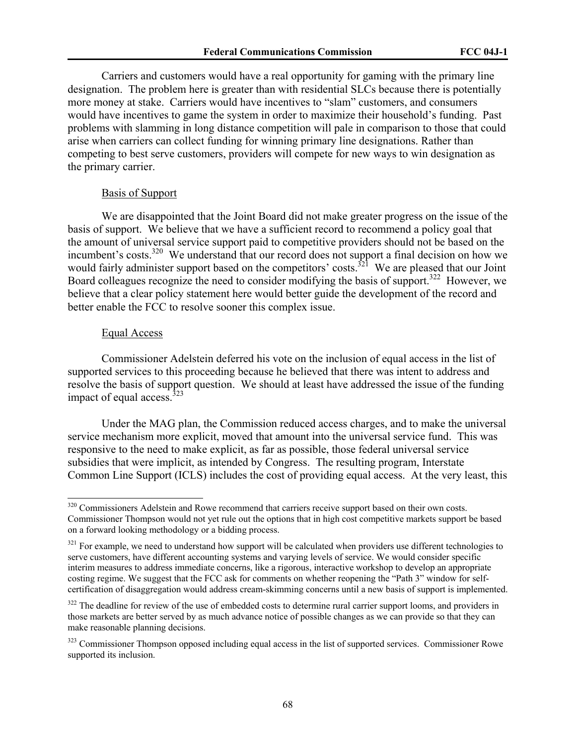Carriers and customers would have a real opportunity for gaming with the primary line designation. The problem here is greater than with residential SLCs because there is potentially more money at stake. Carriers would have incentives to "slam" customers, and consumers would have incentives to game the system in order to maximize their household's funding. Past problems with slamming in long distance competition will pale in comparison to those that could arise when carriers can collect funding for winning primary line designations. Rather than competing to best serve customers, providers will compete for new ways to win designation as the primary carrier.

## Basis of Support

We are disappointed that the Joint Board did not make greater progress on the issue of the basis of support. We believe that we have a sufficient record to recommend a policy goal that the amount of universal service support paid to competitive providers should not be based on the incumbent's costs.<sup>320</sup> We understand that our record does not support a final decision on how we would fairly administer support based on the competitors' costs.<sup>321</sup> We are pleased that our Joint Board colleagues recognize the need to consider modifying the basis of support.<sup>322</sup> However, we believe that a clear policy statement here would better guide the development of the record and better enable the FCC to resolve sooner this complex issue.

#### Equal Access

 $\overline{\phantom{a}}$ 

Commissioner Adelstein deferred his vote on the inclusion of equal access in the list of supported services to this proceeding because he believed that there was intent to address and resolve the basis of support question. We should at least have addressed the issue of the funding impact of equal access. $323$ 

Under the MAG plan, the Commission reduced access charges, and to make the universal service mechanism more explicit, moved that amount into the universal service fund. This was responsive to the need to make explicit, as far as possible, those federal universal service subsidies that were implicit, as intended by Congress. The resulting program, Interstate Common Line Support (ICLS) includes the cost of providing equal access. At the very least, this

<sup>&</sup>lt;sup>320</sup> Commissioners Adelstein and Rowe recommend that carriers receive support based on their own costs. Commissioner Thompson would not yet rule out the options that in high cost competitive markets support be based on a forward looking methodology or a bidding process.

<sup>&</sup>lt;sup>321</sup> For example, we need to understand how support will be calculated when providers use different technologies to serve customers, have different accounting systems and varying levels of service. We would consider specific interim measures to address immediate concerns, like a rigorous, interactive workshop to develop an appropriate costing regime. We suggest that the FCC ask for comments on whether reopening the "Path 3" window for selfcertification of disaggregation would address cream-skimming concerns until a new basis of support is implemented.

<sup>&</sup>lt;sup>322</sup> The deadline for review of the use of embedded costs to determine rural carrier support looms, and providers in those markets are better served by as much advance notice of possible changes as we can provide so that they can make reasonable planning decisions.

<sup>&</sup>lt;sup>323</sup> Commissioner Thompson opposed including equal access in the list of supported services. Commissioner Rowe supported its inclusion.